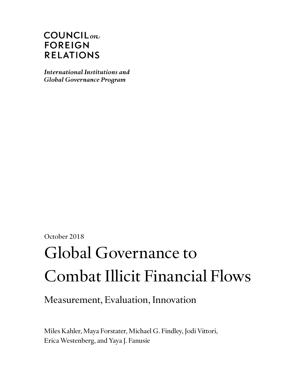# $COUNTLL_{on}$ **FOREIGN RELATIONS**

**International Institutions and Global Governance Program** 

October 2018

# Global Governance to Combat Illicit Financial Flows

Measurement, Evaluation, Innovation

Miles Kahler, Maya Forstater, Michael G. Findley, Jodi Vittori, Erica Westenberg, and Yaya J. Fanusie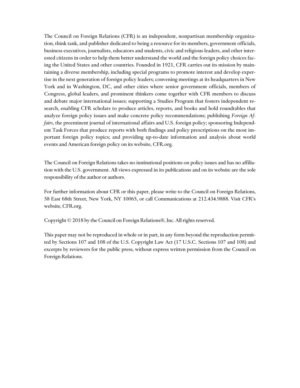The Council on Foreign Relations (CFR) is an independent, nonpartisan membership organization, think tank, and publisher dedicated to being a resource for its members, government officials, business executives, journalists, educators and students, civic and religious leaders, and other interested citizens in order to help them better understand the world and the foreign policy choices facing the United States and other countries. Founded in 1921, CFR carries out its mission by maintaining a diverse membership, including special programs to promote interest and develop expertise in the next generation of foreign policy leaders; convening meetings at its headquarters in New York and in Washington, DC, and other cities where senior government officials, members of Congress, global leaders, and prominent thinkers come together with CFR members to discuss and debate major international issues; supporting a Studies Program that fosters independent research, enabling CFR scholars to produce articles, reports, and books and hold roundtables that analyze foreign policy issues and make concrete policy recommendations; publishing *Foreign Affairs*, the preeminent journal of international affairs and U.S. foreign policy; sponsoring Independent Task Forces that produce reports with both findings and policy prescriptions on the most important foreign policy topics; and providing up-to-date information and analysis about world events and American foreign policy on its website, CFR.org.

The Council on Foreign Relations takes no institutional positions on policy issues and has no affiliation with the U.S. government. All views expressed in its publications and on its website are the sole responsibility of the author or authors.

For further information about CFR or this paper, please write to the Council on Foreign Relations, 58 East 68th Street, New York, NY 10065, or call Communications at 212.434.9888. Visit CFR's website, CFR.org.

Copyright © 2018 by the Council on Foreign Relations®, Inc. All rights reserved.

This paper may not be reproduced in whole or in part, in any form beyond the reproduction permitted by Sections 107 and 108 of the U.S. Copyright Law Act (17 U.S.C. Sections 107 and 108) and excerpts by reviewers for the public press, without express written permission from the Council on Foreign Relations.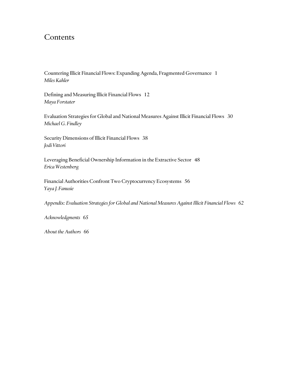## Contents

[Countering Illicit Financial Flows: Expanding Agenda, Fragmented Governance 1](#page-3-0) *Miles Kahler*

Defining [and Measuring Illicit Financial Flows 12](#page-14-0) *Maya Forstater*

[Evaluation Strategies for Global and National Measures Against Illicit Financial Flows 30](#page-32-0) *Michael G. Findley*

[Security Dimensions of Illicit Financial Flows 38](#page-40-0) *Jodi Vittori*

[Leveraging Beneficial Ownership Information in the Extractive Sector 48](#page-50-0) *Erica Westenberg*

[Financial Authorities Confront Two Cryptocurrency Ecosystems 56](#page-58-0) *Yaya J. Fanusie*

*Appendix: Evaluation Strategies for Global and National Measures Against Illicit Financial Flows 62*

*Acknowledgments 65*

*About the Authors 66*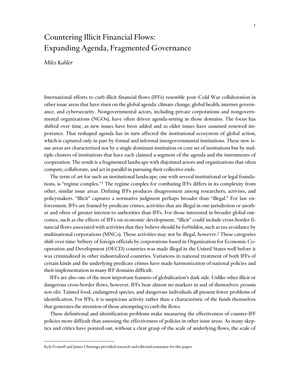# <span id="page-3-0"></span>Countering Illicit Financial Flows: Expanding Agenda, Fragmented Governance

## *Miles Kahler*

International efforts to curb illicit financial flows (IFFs) resemble post–Cold War collaboration in other issue areas that have risen on the global agenda: climate change, global health, internet governance, and cybersecurity. Nongovernmental actors, including private corporations and nongovernmental organizations (NGOs), have often driven agenda-setting in those domains. The focus has shifted over time, as new issues have been added and as older issues have assumed renewed importance. That reshaped agenda has in turn affected the institutional ecosystem of global action, which is captured only in part by formal and informal intergovernmental institutions. These new issue areas are characterized not by a single dominant institution or core set of institutions but by multiple clusters of institutions that have each claimed a segment of the agenda and the instruments of cooperation. The result is a fragmented landscape with disjointed actors and organizations that often compete, collaborate, and act in parallel in pursuing their collective ends.<sup>1</sup>

The term of art for such an institutional landscape, one with several institutional or legal foundations, is "regime complex."<sup>1</sup> The regime complex for combating IFFs differs in its complexity from other, similar issue areas. Defining IFFs produces disagreement among researchers, activists, and policymakers. "Illicit" captures a normative judgment perhaps broader than "illegal." For law enforcement, IFFs are framed by predicate crimes, activities that are illegal in one jurisdiction or another and often of greater interest to authorities than IFFs. For those interested in broader global outcomes, such as the effects of IFFs on economic development, "illicit" could include cross-border financial flows associated with activities that they believe should be forbidden, such as tax avoidance by multinational corporations (MNCs). Those activities may not be illegal, however.<sup>2</sup> These categories shift over time: bribery of foreign officials by corporations based in Organization for Economic Cooperation and Development (OECD) countries was made illegal in the United States well before it was criminalized in other industrialized countries. Variations in national treatment of both IFFs of certain kinds and the underlying predicate crimes have made harmonization of national policies and their implementation in many IFF domains difficult.

IFFs are also one of the most important features of globalization's dark side. Unlike other illicit or dangerous cross-border flows, however, IFFs bear almost no markers in and of themselves: *pecunia non olet*. Tainted food, endangered species, and dangerous individuals all present fewer problems of identification. For IFFs, it is suspicious activity rather than a characteristic of the funds themselves that generates the attention of those attempting to curb the flows.

These definitional and identification problems make measuring the effectiveness of counter-IFF policies more difficult than assessing the effectiveness of policies in other issue areas. As many skeptics and critics have pointed out, without a clear grasp of the scale of underlying flows, the scale of

Kyle Evanoff and James Chizungu provided research and editorial assistance for this paper.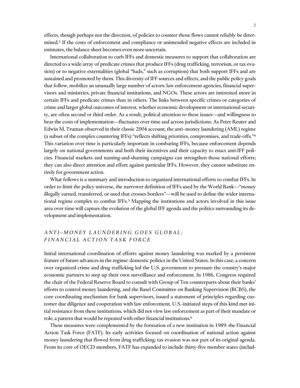effects, though perhaps not the direction, of policies to counter those flows cannot reliably be determined. <sup>3</sup> If the costs of enforcement and compliance or unintended negative effects are included in estimates, the balance sheet becomes even more uncertain.

International collaboration to curb IFFs and domestic measures to support that collaboration are directed to a wide array of predicate crimes that produce IFFs (drug trafficking, terrorism, or tax evasion) or to negative externalities (global "bads," such as corruption) that both support IFFs and are sustained and promoted by them. This diversity of IFF sources and effects, and the public policy goals that follow, mobilize an unusually large number of actors: law enforcement agencies, financial supervisors and ministries, private financial institutions, and NGOs. These actors are interested more in certain IFFs and predicate crimes than in others. The links between specific crimes or categories of crime and larger global outcomes of interest, whether economic development or international security, are often second or third order. As a result, political attention to these issues—and willingness to bear the costs of implementation—fluctuates over time and across jurisdictions. As Peter Reuter and Edwin M. Truman observed in their classic 2004 account, the anti–money laundering (AML) regime (a subset of the complex countering IFFs) "reflects shifting priorities, compromises, and trade-offs."<sup>4</sup> This variation over time is particularly important in combating IFFs, because enforcement depends largely on national governments and both their incentives and their capacity to enact anti-IFF policies. Financial markets and naming-and-shaming campaigns can strengthen those national efforts; they can also direct attention and effort against particular IFFs. However, they cannot substitute entirely for government action.

What follows is a summary and introduction to organized international efforts to combat IFFs. In order to limit the policy universe, the narrower definition of IFFs used by the World Bank—"money illegally earned, transferred, or used that crosses borders"—will be used to define the wider international regime complex to combat IFFs.<sup>5</sup> Mapping the institutions and actors involved in this issue area over time will capture the evolution of the global IFF agenda and the politics surrounding its development and implementation.

## *A N T I – M O N E Y L A U N D E R I N G G O E S G L O B A L : F I N A N C I A L A C T I O N T A S K F O R C E*

Initial international coordination of efforts against money laundering was marked by a persistent feature of future advances in the regime: domestic politics in the United States. In this case, a concern over organized crime and drug trafficking led the U.S. government to pressure the country's major economic partners to step up their own surveillance and enforcement. In 1986, Congress required the chair of the Federal Reserve Board to consult with Group of Ten counterparts about their banks' efforts to control money laundering, and the Basel Committee on Banking Supervision (BCBS), the core coordinating mechanism for bank supervisors, issued a statement of principles regarding customer due diligence and cooperation with law enforcement. U.S.-initiated steps of this kind met initial resistance from these institutions, which did not view law enforcement as part of their mandate or role, a pattern that would be repeated with other financial institutions.<sup>6</sup>

These measures were complemented by the formation of a new institution in 1989: the Financial Action Task Force (FATF). Its early activities focused on coordination of national action against money laundering that flowed from drug trafficking; tax evasion was not part of its original agenda. From its core of OECD members, FATF has expanded to include thirty-five member states (includ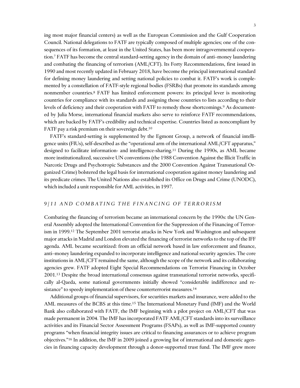ing most major financial centers) as well as the European Commission and the Gulf Cooperation Council. National delegations to FATF are typically composed of multiple agencies; one of the consequences of its formation, at least in the United States, has been more intragovernmental cooperation.<sup>7</sup> FATF has become the central standard-setting agency in the domain of anti–money laundering and combating the financing of terrorism (AML/CFT). Its Forty Recommendations, first issued in 1990 and most recently updated in February 2018, have become the principal international standard for defining money laundering and setting national policies to combat it. FATF's work is complemented by a constellation of FATF-style regional bodies (FSRBs) that promote its standards among nonmember countries.<sup>8</sup> FATF has limited enforcement powers: its principal lever is monitoring countries for compliance with its standards and assigning those countries to lists according to their levels of deficiency and their cooperation with FATF to remedy those shortcomings.<sup>9</sup> As documented by Julia Morse, international financial markets also serve to reinforce FATF recommendations, which are backed by FATF's credibility and technical expertise. Countries listed as noncompliant by FATF pay a risk premium on their sovereign debt. 10

FATF's standard-setting is supplemented by the Egmont Group, a network of financial intelligence units (FIUs), self-described as the "operational arm of the international AML/CFT apparatus," designed to facilitate information- and intelligence-sharing.<sup>11</sup> During the 1990s, as AML became more institutionalized, successive UN conventions (the 1988 Convention Against the Illicit Traffic in Narcotic Drugs and Psychotropic Substances and the 2000 Convention Against Transnational Organized Crime) bolstered the legal basis for international cooperation against money laundering and its predicate crimes. The United Nations also established its Office on Drugs and Crime (UNODC), which included a unit responsible for AML activities, in 1997.

## *9 / 1 1 A N D C O M B A T I N G T H E F I N A N C I N G O F T E R R O R I S M*

Combating the financing of terrorism became an international concern by the 1990s: the UN General Assembly adopted the International Convention for the Suppression of the Financing of Terrorism in 1999.<sup>12</sup> The September 2001 terrorist attacks in New York and Washington and subsequent major attacks in Madrid and London elevated the financing of terrorist networks to the top of the IFF agenda. AML became securitized: from an official network based in law enforcement and finance, anti–money laundering expanded to incorporate intelligence and national security agencies. The core institutions in AML/CFT remained the same, although the scope of the network and its collaborating agencies grew. FATF adopted Eight Special Recommendations on Terrorist Financing in October 2001.<sup>13</sup> Despite the broad international consensus against transnational terrorist networks, specifically al-Qaeda, some national governments initially showed "considerable indifference and resistance" to speedy implementation of these counterterrorist measures.<sup>14</sup>

Additional groups of financial supervisors, for securities markets and insurance, were added to the AML measures of the BCBS at this time.<sup>15</sup> The International Monetary Fund (IMF) and the World Bank also collaborated with FATF, the IMF beginning with a pilot project on AML/CFT that was made permanent in 2004. The IMF has incorporated FATF AML/CFT standards into its surveillance activities and its Financial Sector Assessment Programs (FSAPs), as well as IMF-supported country programs "when financial integrity issues are critical to financing assurances or to achieve program objectives."<sup>16</sup> In addition, the IMF in 2009 joined a growing list of international and domestic agencies in financing capacity development through a donor-supported trust fund. The IMF grew more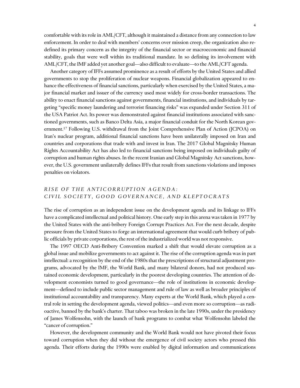comfortable with its role in AML/CFT, although it maintained a distance from any connection to law enforcement. In order to deal with members' concerns over mission creep, the organization also redefined its primary concern as the integrity of the financial sector or macroeconomic and financial stability, goals that were well within its traditional mandate. In so defining its involvement with AML/CFT, the IMF added yet another goal—also difficult to evaluate—to the AML/CFT agenda.

Another category of IFFs assumed prominence as a result of efforts by the United States and allied governments to stop the proliferation of nuclear weapons. Financial globalization appeared to enhance the effectiveness of financial sanctions, particularly when exercised by the United States, a major financial market and issuer of the currency used most widely for cross-border transactions. The ability to enact financial sanctions against governments, financial institutions, and individuals by targeting "specific money laundering and terrorist financing risks" was expanded under Section 311 of the USA Patriot Act. Its power was demonstrated against financial institutions associated with sanctioned governments, such as Banco Delta Asia, a major financial conduit for the North Korean government. <sup>17</sup> Following U.S. withdrawal from the Joint Comprehensive Plan of Action (JCPOA) on Iran's nuclear program, additional financial sanctions have been unilaterally imposed on Iran and countries and corporations that trade with and invest in Iran. The 2017 Global Magnitsky Human Rights Accountability Act has also led to financial sanctions being imposed on individuals guilty of corruption and human rights abuses. In the recent Iranian and Global Magnitsky Act sanctions, however, the U.S. government unilaterally defines IFFs that result from sanctions violations and imposes penalties on violators.

## *R I S E O F T H E A N T I C O R R U P T I O N A G E N D A : C I V I L S O C I E T Y , G O O D G O V E R N A N C E , A N D K L E P T O C R A T S*

The rise of corruption as an independent issue on the development agenda and its linkage to IFFs have a complicated intellectual and political history. One early step in this arena was taken in 1977 by the United States with the anti-bribery Foreign Corrupt Practices Act. For the next decade, despite pressure from the United States to forge an international agreement that would curb bribery of public officials by private corporations, the rest of the industrialized world was not responsive.

The 1997 OECD Anti-Bribery Convention marked a shift that would elevate corruption as a global issue and mobilize governments to act against it. The rise of the corruption agenda was in part intellectual: a recognition by the end of the 1980s that the prescriptions of structural adjustment programs, advocated by the IMF, the World Bank, and many bilateral donors, had not produced sustained economic development, particularly in the poorest developing countries. The attention of development economists turned to good governance—the role of institutions in economic development—defined to include public sector management and rule of law as well as broader principles of institutional accountability and transparency. Many experts at the World Bank, which played a central role in setting the development agenda, viewed politics—and even more so corruption—as radioactive, banned by the bank's charter. That taboo was broken in the late 1990s, under the presidency of James Wolfensohn, with the launch of bank programs to combat what Wolfensohn labeled the "cancer of corruption."

However, the development community and the World Bank would not have pivoted their focus toward corruption when they did without the emergence of civil society actors who pressed this agenda. Their efforts during the 1990s were enabled by digital information and communications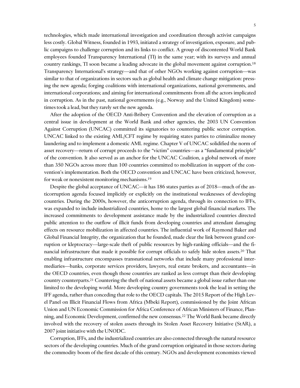technologies, which made international investigation and coordination through activist campaigns less costly. Global Witness, founded in 1993, initiated a strategy of investigation, exposure, and public campaigns to challenge corruption and its links to conflict. A group of discontented World Bank employees founded Transparency International (TI) in the same year; with its surveys and annual country rankings, TI soon became a leading advocate in the global movement against corruption. 18 Transparency International's strategy—and that of other NGOs working against corruption—was similar to that of organizations in sectors such as global health and climate change mitigation: pressing the new agenda; forging coalitions with international organizations, national governments, and international corporations; and aiming for international commitments from all the actors implicated in corruption. As in the past, national governments (e.g., Norway and the United Kingdom) sometimes took a lead, but they rarely set the new agenda.

After the adoption of the OECD Anti-Bribery Convention and the elevation of corruption as a central issue in development at the World Bank and other agencies, the 2003 UN Convention Against Corruption (UNCAC) committed its signatories to countering public sector corruption. UNCAC linked to the existing AML/CFT regime by requiring states parties to criminalize money laundering and to implement a domestic AML regime. Chapter V of UNCAC solidified the norm of asset recovery—return of corrupt proceeds to the "victim" countries—as a "fundamental principle" of the convention. It also served as an anchor for the UNCAC Coalition, a global network of more than 350 NGOs across more than 100 countries committed to mobilization in support of the convention's implementation. Both the OECD convention and UNCAC have been criticized, however, for weak or nonexistent monitoring mechanisms.<sup>19</sup>

Despite the global acceptance of UNCAC—it has 186 states parties as of 2018—much of the anticorruption agenda focused implicitly or explicitly on the institutional weaknesses of developing countries. During the 2000s, however, the anticorruption agenda, through its connection to IFFs, was expanded to include industrialized countries, home to the largest global financial markets. The increased commitments to development assistance made by the industrialized countries directed public attention to the outflow of illicit funds from developing countries and attendant damaging effects on resource mobilization in affected countries. The influential work of Raymond Baker and Global Financial Integrity, the organization that he founded, made clear the link between grand corruption or kleptocracy—large-scale theft of public resources by high-ranking officials—and the financial infrastructure that made it possible for corrupt officials to safely hide stolen assets.<sup>20</sup> That enabling infrastructure encompasses transnational networks that include many professional intermediaries—banks, corporate services providers, lawyers, real estate brokers, and accountants—in the OECD countries, even though those countries are ranked as less corrupt than their developing country counterparts.<sup>21</sup> Countering the theft of national assets became a global issue rather than one limited to the developing world. More developing country governments took the lead in setting the IFF agenda, rather than conceding that role to the OECD capitals. The 2015 Report of the High Level Panel on Illicit Financial Flows from Africa (Mbeki Report), commissioned by the Joint African Union and UN Economic Commission for Africa Conference of African Ministers of Finance, Planning, and Economic Development, confirmed the new consensus.<sup>22</sup> The World Bank became directly involved with the recovery of stolen assets through its Stolen Asset Recovery Initiative (StAR), a 2007 joint initiative with the UNODC.

Corruption, IFFs, and the industrialized countries are also connected through the natural resource sectors of the developing countries. Much of the grand corruption originated in those sectors during the commodity boom of the first decade of this century. NGOs and development economists viewed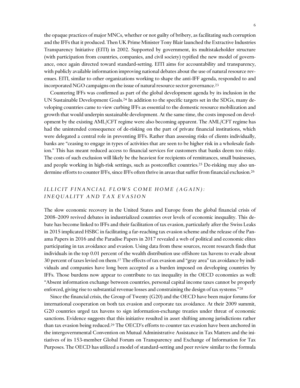the opaque practices of major MNCs, whether or not guilty of bribery, as facilitating such corruption and the IFFs that it produced. Then UK Prime Minister Tony Blair launched the Extractive Industries Transparency Initiative (EITI) in 2002. Supported by government, its multistakeholder structure (with participation from countries, companies, and civil society) typified the new model of governance, once again directed toward standard-setting. EITI aims for accountability and transparency, with publicly available information improving national debates about the use of natural resource revenues. EITI, similar to other organizations working to shape the anti-IFF agenda, responded to and incorporated NGO campaigns on the issue of natural resource sector governance.<sup>23</sup>

Countering IFFs was confirmed as part of the global development agenda by its inclusion in the UN Sustainable Development Goals.<sup>24</sup> In addition to the specific targets set in the SDGs, many developing countries came to view curbing IFFs as essential to the domestic resource mobilization and growth that would underpin sustainable development. At the same time, the costs imposed on development by the existing AML/CFT regime were also becoming apparent. The AML/CFT regime has had the unintended consequence of de-risking on the part of private financial institutions, which were delegated a central role in preventing IFFs. Rather than assessing risks of clients individually, banks are "ceasing to engage in types of activities that are seen to be higher risk in a wholesale fashion." This has meant reduced access to financial services for customers that banks deem too risky. The costs of such exclusion will likely be the heaviest for recipients of remittances, small businesses, and people working in high-risk settings, such as postconflict countries.<sup>25</sup> De-risking may also undermine efforts to counter IFFs, since IFFs often thrive in areas that suffer from financial exclusion.<sup>26</sup>

## *ILLICIT FINANCIAL FLOWS COME HOME (AGAIN): I N E Q U A L I T Y A N D T A X E V A S I O N*

The slow economic recovery in the United States and Europe from the global financial crisis of 2008–2009 revived debates in industrialized countries over levels of economic inequality. This debate has become linked to IFFs and their facilitation of tax evasion, particularly after the Swiss Leaks in 2015 implicated HSBC in facilitating a far-reaching tax evasion scheme and the release of the Panama Papers in 2016 and the Paradise Papers in 2017 revealed a web of political and economic elites participating in tax avoidance and evasion. Using data from these sources, recent research finds that individuals in the top 0.01 percent of the wealth distribution use offshore tax havens to evade about 30 percent of taxes levied on them.<sup>27</sup> The effects of tax evasion and "gray area" tax avoidance by individuals and companies have long been accepted as a burden imposed on developing countries by IFFs. Those burdens now appear to contribute to tax inequality in the OECD economies as well: "Absent information exchange between countries, personal capital income taxes cannot be properly enforced, giving rise to substantial revenue losses and constraining the design of tax systems."<sup>28</sup>

Since the financial crisis, the Group of Twenty (G20) and the OECD have been major forums for international cooperation on both tax evasion and corporate tax avoidance. At their 2009 summit, G20 countries urged tax havens to sign information-exchange treaties under threat of economic sanctions. Evidence suggests that this initiative resulted in asset shifting among jurisdictions rather than tax evasion being reduced. <sup>29</sup> The OECD's efforts to counter tax evasion have been anchored in the intergovernmental Convention on Mutual Administrative Assistance in Tax Matters and the initiatives of its 153-member Global Forum on Transparency and Exchange of Information for Tax Purposes. The OECD has utilized a model of standard-setting and peer review similar to the formula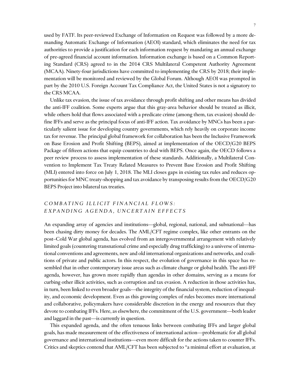used by FATF. Its peer-reviewed Exchange of Information on Request was followed by a more demanding Automatic Exchange of Information (AEOI) standard, which eliminates the need for tax authorities to provide a justification for each information request by mandating an annual exchange of pre-agreed financial account information. Information exchange is based on a Common Reporting Standard (CRS) agreed to in the 2014 CRS Multilateral Competent Authority Agreement (MCAA). Ninety-four jurisdictions have committed to implementing the CRS by 2018; their implementation will be monitored and reviewed by the Global Forum. Although AEOI was prompted in part by the 2010 U.S. Foreign Account Tax Compliance Act, the United States is not a signatory to the CRS MCAA.

Unlike tax evasion, the issue of tax avoidance through profit shifting and other means has divided the anti-IFF coalition. Some experts argue that this gray-area behavior should be treated as illicit, while others hold that flows associated with a predicate crime (among them, tax evasion) should define IFFs and serve as the principal focus of anti-IFF action. Tax avoidance by MNCs has been a particularly salient issue for developing country governments, which rely heavily on corporate income tax for revenue. The principal global framework for collaboration has been the Inclusive Framework on Base Erosion and Profit Shifting (BEPS), aimed at implementation of the OECD/G20 BEPS Package of fifteen actions that equip countries to deal with BEPS. Once again, the OECD follows a peer review process to assess implementation of these standards. Additionally, a Multilateral Convention to Implement Tax Treaty Related Measures to Prevent Base Erosion and Profit Shifting (MLI) entered into force on July 1, 2018. The MLI closes gaps in existing tax rules and reduces opportunities for MNC treaty-shopping and tax avoidance by transposing results from the OECD/G20 BEPS Project into bilateral tax treaties.

## *COMBATING ILLICIT FINANCIAL FLOWS:* EXPANDING AGENDA, UNCERTAIN EFFECTS

An expanding array of agencies and institutions—global, regional, national, and subnational—has been chasing dirty money for decades. The AML/CFT regime complex, like other entrants on the post–Cold War global agenda, has evolved from an intergovernmental arrangement with relatively limited goals (countering transnational crime and especially drug trafficking) to a universe of international conventions and agreements, new and old international organizations and networks, and coalitions of private and public actors. In this respect, the evolution of governance in this space has resembled that in other contemporary issue areas such as climate change or global health. The anti-IFF agenda, however, has grown more rapidly than agendas in other domains, serving as a means for curbing other illicit activities, such as corruption and tax evasion. A reduction in those activities has, in turn, been linked to even broader goals—the integrity of the financial system, reduction of inequality, and economic development. Even as this growing complex of rules becomes more international and collaborative, policymakers have considerable discretion in the energy and resources that they devote to combating IFFs. Here, as elsewhere, the commitment of the U.S. government—both leader and laggard in the past—is currently in question.

This expanded agenda, and the often tenuous links between combating IFFs and larger global goals, has made measurement of the effectiveness of international action—problematic for all global governance and international institutions—even more difficult for the actions taken to counter IFFs. Critics and skeptics contend that AML/CFT has been subjected to "a minimal effort at evaluation, at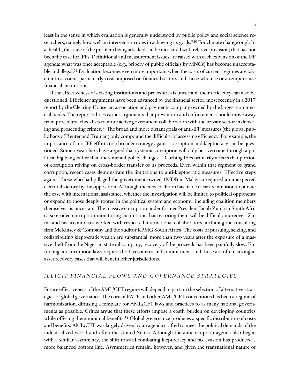least in the sense in which evaluation is generally understood by public policy and social science researchers, namely how well an intervention does in achieving its goals."<sup>30</sup> For climate change or global health, the scale of the problem being attacked can be measured with relative precision; that has not been the case for IFFs. Definitional and measurement issues are raised with each expansion of the IFF agenda: what was once acceptable (e.g., bribery of public officials by MNCs) has become unacceptable and illegal.<sup>31</sup> Evaluation becomes even more important when the costs of current regimes are taken into account, particularly costs imposed on financial sectors and those who use or attempt to use financial institutions.

If the effectiveness of existing institutions and procedures is uncertain, their efficiency can also be questioned. Efficiency arguments have been advanced by the financial sector, most recently in a 2017 report by the Clearing House, an association and payments company owned by the largest commercial banks. The report echoes earlier arguments that prevention and enforcement should move away from procedural checklists to more active government collaboration with the private sector in detecting and prosecuting crimes.<sup>32</sup> The broad and more distant goals of anti-IFF measures (the global public bads of Reuter and Truman) only compound the difficulty of assessing efficiency. For example, the importance of anti-IFF efforts to a broader strategy against corruption and kleptocracy can be questioned. Some researchers have argued that systemic corruption will only be overcome through a political big bang rather than incremental policy changes.<sup>33</sup> Curbing IFFs primarily affects that portion of corruption relying on cross-border transfer of its proceeds. Even within that segment of grand corruption, recent cases demonstrate the limitations to anti-kleptocratic measures. Effective steps against those who had pillaged the government-owned 1MDB in Malaysia required an unexpected electoral victory by the opposition. Although the new coalition has made clear its intention to pursue the case with international assistance, whether the investigation will be limited to political opponents or expand to those deeply rooted in the political system and economy, including coalition members themselves, is uncertain. The massive corruption under former President Jacob Zuma in South Africa so eroded corruption-monitoring institutions that restoring them will be difficult; moreover, Zuma and his accomplices worked with respected international collaborators, including the consulting firm McKinsey & Company and the auditor KPMG South Africa. The costs of pursuing, seizing, and redistributing kleptocratic wealth are substantial: more than two years after the exposure of a massive theft from the Nigerian state oil company, recovery of the proceeds has been painfully slow. Enforcing anticorruption laws requires both resources and commitment, and those are often lacking in asset recovery cases that will benefit other jurisdictions.

## *I L L I C I T F I N A N C I A L F L O W S A N D G O V E R N A N C E S T R A T E G I E S*

Future effectiveness of the AML/CFT regime will depend in part on the selection of alternative strategies of global governance. The core of FATF and other AML/CFT conventions has been a regime of harmonization, diffusing a template for AML/CFT laws and practices to as many national governments as possible. Critics argue that these efforts impose a costly burden on developing countries while offering them minimal benefits.<sup>34</sup> Global governance produces a specific distribution of costs and benefits: AML/CFT was largely driven by an agenda crafted to meet the political demands of the industrialized world and often the United States. Although the anticorruption agenda also began with a similar asymmetry, the shift toward combating kleptocracy and tax evasion has produced a more balanced bottom line. Asymmetries remain, however, and given the transnational nature of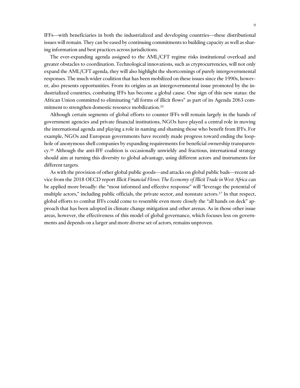IFFs—with beneficiaries in both the industrialized and developing countries—these distributional issues will remain. They can be eased by continuing commitments to building capacity as well as sharing information and best practices across jurisdictions.

The ever-expanding agenda assigned to the AML/CFT regime risks institutional overload and greater obstacles to coordination. Technological innovations, such as cryptocurrencies, will not only expand the AML/CFT agenda, they will also highlight the shortcomings of purely intergovernmental responses. The much wider coalition that has been mobilized on these issues since the 1990s, however, also presents opportunities. From its origins as an intergovernmental issue promoted by the industrialized countries, combating IFFs has become a global cause. One sign of this new status: the African Union committed to eliminating "all forms of illicit flows" as part of its Agenda 2063 commitment to strengthen domestic resource mobilization.<sup>35</sup>

Although certain segments of global efforts to counter IFFs will remain largely in the hands of government agencies and private financial institutions, NGOs have played a central role in moving the international agenda and playing a role in naming and shaming those who benefit from IFFs. For example, NGOs and European governments have recently made progress toward ending the loophole of anonymous shell companies by expanding requirements for beneficial ownership transparency.<sup>36</sup> Although the anti-IFF coalition is occasionally unwieldy and fractious, international strategy should aim at turning this diversity to global advantage, using different actors and instruments for different targets.

As with the provision of other global public goods—and attacks on global public bads—recent advice from the 2018 OECD report *Illicit Financial Flows: The Economy of Illicit Trade in West Africa* can be applied more broadly: the "most informed and effective response" will "leverage the potential of multiple actors," including public officials, the private sector, and nonstate actors.<sup>37</sup> In that respect, global efforts to combat IFFs could come to resemble even more closely the "all hands on deck" approach that has been adopted in climate change mitigation and other arenas. As in those other issue areas, however, the effectiveness of this model of global governance, which focuses less on governments and depends on a larger and more diverse set of actors, remains unproven.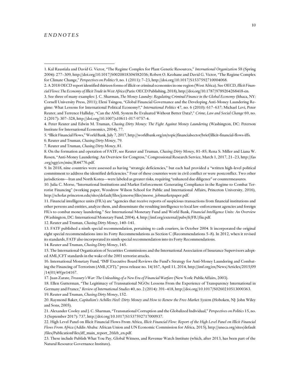#### *E N D N O T E S*

 $\overline{a}$ 

5. "Illicit Financial Flows," World Bank, July 7, 2017, http://worldbank.org/en/topic/financialsector/brief/illicit-financial-flows-iffs.

- 6. Reuter and Truman, *Chasing Dirty Money*, 79.
- 7. Reuter and Truman, *Chasing Dirty Money*, 81.

8. On the formation and operation of FATF, see Reuter and Truman, *Chasing Dirty Money*, 81–85; Rena S. Miller and Liana W. Rosen, "Anti-Money Laundering: An Overview for Congress," Congressional Research Service, March 1, 2017, 21–23, http://fas .org/sgp/crs/misc/R44776.pdf.

9. In 2018, nine countries were assessed as having "strategic deficiencies," but each had provided a "written high-level political commitment to address the identified deficiencies." Four of these countries were in civil conflict or were postconflict. Two other jurisdictions—Iran and North Korea—were labeled as greater risks, requiring "enhanced due diligence" or countermeasures.

10. Julia C. Morse, "International Institutions and Market Enforcement: Generating Compliance in the Regime to Combat Terrorist Financing" (working paper, Woodrow Wilson School for Public and International Affairs, Princeton University, 2016), http://scholar.princeton.edu/sites/default/files/jcmorse/files/morse\_jobmarketpaper.pdf.

11. Financial intelligence units (FIUs) are "agencies that receive reports of suspicious transactions from financial institutions and other persons and entities, analyze them, and disseminate the resulting intelligence to local law-enforcement agencies and foreign FIUs to combat money laundering." See International Monetary Fund and World Bank, *Financial Intelligence Units: An Overview* (Washington, DC: International Monetary Fund, 2004), 4, http://imf.org/external/pubs/ft/FIU/fiu.pdf.

12. Reuter and Truman, *Chasing Dirty Money*, 140–141.

13. FATF published a ninth special recommendation, pertaining to cash couriers, in October 2004. It incorporated the original eight special recommendations into its Forty Recommendations as Section C (Recommendations 5–8). In 2012, when it revised its standards, FATF also incorporated its ninth special recommendation into its Forty Recommendations.

14. Reuter and Truman, *Chasing Dirty Money*, 145.

15. The International Organization of Securities Commissions and the International Association of Insurance Supervisors adopted AML/CFT standards in the wake of the 2001 terrorist attacks.

16. International Monetary Fund, "IMF Executive Board Reviews the Fund's Strategy for Anti-Money Laundering and Combating the Financing of Terrorism (AML/CFT)," press release no. 14/167, April 11, 2014, http://imf.org/en/News/Articles/2015/09 /14/01/49/pr14167.

17. Juan Zarate, *Treasury's War: The Unleashing of a New Era of Financial Warfare* (New York: PublicAffairs, 2003).

18. Ellen Gutterman, "The Legitimacy of Transnational NGOs: Lessons From the Experience of Transparency International in Germany and France," *Review of International Studies* 40, no. 2 (2014): 391–418, http://doi.org/10.1017/S0260210513000363. 19. Reuter and Truman, *Chasing Dirty Money*, 152.

20. Raymond Baker, *Capitalism's Achilles Heel: Dirty Money and How to Renew the Free-Market System* (Hoboken, NJ: John Wiley and Sons, 2005).

21. Alexander Cooley and J. C. Sharman, "Transnational Corruption and the Globalized Individual," *Perspectives on Politics* 15, no. 3 (September 2017): 737, http://doi.org/10.1017/S1537592717000937.

22. High Level Panel on Illicit Financial Flows From Africa, *Illicit Financial Flow: Report of the High Level Panel on Illicit Financial Flows From Africa* (Addis Ababa: African Union and UN Economic Commission for Africa, 2015), http://uneca.org/sites/default /files/PublicationFiles/iff\_main\_report\_26feb\_en.pdf.

23. These include Publish What You Pay, Global Witness, and Revenue Watch Institute (which, after 2013, has been part of the Natural Resource Governance Institute).

<sup>1.</sup> Kal Raustiala and David G. Victor, "The Regime Complex for Plant Genetic Resources," *International Organization* 58 (Spring 2004): 277–309, http://doi.org/10.1017/S0020818304582036; Robert O. Keohane and David G. Victor, "The Regime Complex for Climate Change," *Perspectives on Politics* 9, no. 1 (2011): 7–23, http://doi.org/10.1017/S1537592710004068.

<sup>2.</sup> A 2018 OECD report identified thirteen forms of illicit or criminal economies in one region (West Africa). See OECD, *Illicit Financial Flows: The Economy of Illicit Trade in West Africa* (Paris: OECD Publishing, 2018), http://doi.org/10.1787/9789264268418-en.

<sup>3.</sup> See three of many examples: J. C. Sharman, *The Money Laundry: Regulating Criminal Finance in the Global Economy* (Ithaca, NY: Cornell University Press, 2011); Eleni Tsingou, "Global Financial Governance and the Developing Anti-Money Laundering Regime: What Lessons for International Political Economy?," *International Politics* 47, no. 6 (2010): 617–637; Michael Levi, Peter Reuter, and Terrence Halliday, "Can the AML System Be Evaluated Without Better Data?," *Crime, Law and Social Change* 69, no. 2 (2017): 307–328, http://doi.org/10.1007/s10611-017-9757-4.

<sup>4.</sup> Peter Reuter and Edwin M. Truman, *Chasing Dirty Money: The Fight Against Money Laundering* (Washington, DC: Peterson Institute for International Economics, 2004), 77.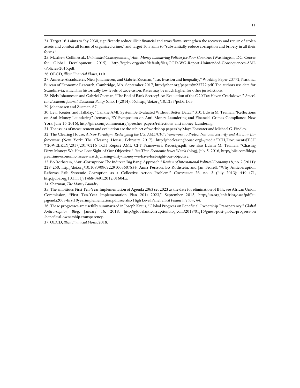24. Target 16.4 aims to "by 2030, significantly reduce illicit financial and arms flows, strengthen the recovery and return of stolen assets and combat all forms of organized crime," and target 16.5 aims to "substantially reduce corruption and bribery in all their forms."

25. Matthew Collin et al., *Unintended Consequences of Anti–Money Laundering Policies for Poor Countries* (Washington, DC: Center for Global Development, 2015), http://cgdev.org/sites/default/files/CGD-WG-Report-Unintended-Consequences-AML -Policies-2015.pdf.

26. OECD, *Illicit Financial Flows*, 110.

 $\overline{a}$ 

27. Annette Alstadsaeter, Niels Johannesen, and Gabriel Zucman, "Tax Evasion and Inequality," Working Paper 23772, National Bureau of Economic Research, Cambridge, MA, September 2017, http://nber.org/papers/w23772.pdf. The authors use data for Scandinavia, which has historically low levels of tax evasion. Rates may be much higher for other jurisdictions.

28. Niels Johannesen and Gabriel Zucman, "The End of Bank Secrecy? An Evaluation of the G20 Tax Haven Crackdown," *American Economic Journal: Economic Policy* 6, no. 1 (2014): 66, http://doi.org/10.1257/pol.6.1.65

29. Johannesen and Zucman, 67.

30. Levi, Reuter, and Halliday, "Can the AML System Be Evaluated Without Better Data?," 310; Edwin M. Truman, "Reflections on Anti–Money Laundering" (remarks, EY Symposium on Anti–Money Laundering and Financial Crimes Compliance, New York, June 16, 2016), http://piie.com/commentary/speeches-papers/reflections-anti-money-laundering.

31. The issues of measurement and evaluation are the subject of workshop papers by Maya Forstater and Michael G. Findley.

32. The Clearing House, *A New Paradigm: Redesigning the U.S. AML/CFT Framework to Protect National Security and Aid Law Enforcement* (New York: The Clearing House, February 2017), http://theclearinghouse.org/~/media/TCH/Documents/TCH %20WEEKLY/2017/20170216\_TCH\_Report\_AML\_CFT\_Framework\_Redesign.pdf; see also Edwin M. Truman, "Chasing Dirty Money: We Have Lost Sight of Our Objective." *RealTime Economic Issues Watch* (blog), July 5, 2016, http://piie.com/blogs /realtime-economic-issues-watch/chasing-dirty-money-we-have-lost-sight-our-objective.

33. Bo Rothstein, "Anti-Corruption: The Indirect 'Big Bang' Approach," *Review of International Political Economy* 18, no. 2 (2011): 228–250, http://doi.org/10.1080/09692291003607834; Anna Persson, Bo Rothstein, and Jan Teorell, "Why Anticorruption Reforms Fail: Systemic Corruption as a Collective Action Problem," *Governance* 26, no. 3 (July 2013): 449–471, http://doi.org/10.1111/j.1468-0491.2012.01604.x.

34. Sharman, *The Money Laundry*.

35. The ambitious First Ten-Year Implementation of Agenda 2063 set 2023 as the date for elimination of IFFs; see African Union Commission, "First Ten-Year Implementation Plan 2014–2023," September 2015, http://un.org/en/africa/osaa/pdf/au /agenda2063-first10yearimplementation.pdf; see also High Level Panel, *Illicit Financial Flow*, 44.

36. These progresses are usefully summarized in Joseph Kraus, "Global Progress on Beneficial Ownership Transparency," *Global Anticorruption Blog*, January 16, 2018, http://globalanticorruptionblog.com/2018/01/16/guest-post-global-progress-on -beneficial-ownership-transparency.

37. OECD, *Illicit Financial Flows*, 2018.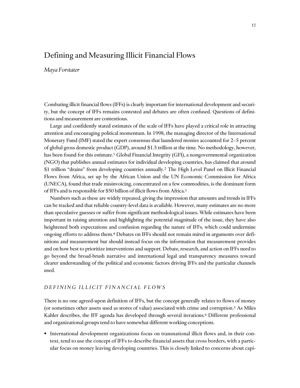## <span id="page-14-0"></span>Defining and Measuring Illicit Financial Flows

*Maya Forstater*

Combating illicit financial flows (IFFs) is clearly important for international development and security, but the concept of IFFs remains contested and debates are often confused. Questions of definitions and measurement are contentious.

Large and confidently stated estimates of the scale of IFFs have played a critical role in attracting attention and encouraging political momentum. In 1998, the managing director of the International Monetary Fund (IMF) stated the expert consensus that laundered monies accounted for 2–5 percent of global gross domestic product (GDP), around \$1.5 trillion at the time. No methodology, however, has been found for this estimate.<sup>1</sup> Global Financial Integrity (GFI), a nongovernmental organization (NGO) that publishes annual estimates for individual developing countries, has claimed that around \$1 trillion "drains" from developing countries annually.<sup>2</sup> The High Level Panel on Illicit Financial Flows from Africa, set up by the African Union and the UN Economic Commission for Africa (UNECA), found that trade misinvoicing, concentrated on a few commodities, is the dominant form of IFFs and is responsible for \$50 billion of illicit flows from Africa.<sup>3</sup>

Numbers such as these are widely repeated, giving the impression that amounts and trends in IFFs can be tracked and that reliable country-level data is available. However, many estimates are no more than speculative guesses or suffer from significant methodological issues. While estimates have been important in raising attention and highlighting the potential magnitude of the issue, they have also heightened both expectations and confusion regarding the nature of IFFs, which could undermine ongoing efforts to address them.<sup>4</sup> Debates on IFFs should not remain mired in arguments over definitions and measurement but should instead focus on the information that measurement provides and on how best to prioritize interventions and support. Debate, research, and action on IFFs need to go beyond the broad-brush narrative and international legal and transparency measures toward clearer understanding of the political and economic factors driving IFFs and the particular channels used.

## *D E F I N I N G I L L I C I T F I N A N C I A L F L O W S*

There is no one agreed-upon definition of IFFs, but the concept generally relates to flows of money (or sometimes other assets used as stores of value) associated with crime and corruption.<sup>5</sup> As Miles Kahler describes, the IFF agenda has developed through several iterations.<sup>6</sup> Different professional and organizational groups tend to have somewhat different working conceptions.

 International development organizations focus on transnational illicit flows and, in their context, tend to use the concept of IFFs to describe financial assets that cross borders, with a particular focus on money leaving developing countries. This is closely linked to concerns about capi-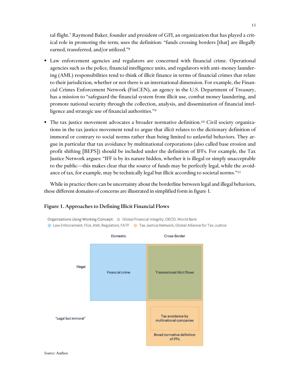tal flight. <sup>7</sup> Raymond Baker, founder and president of GFI, an organization that has played a critical role in promoting the term, uses the definition: "funds crossing borders [that] are illegally earned, transferred, and/or utilized." 8

- Law enforcement agencies and regulators are concerned with financial crime. Operational agencies such as the police, financial intelligence units, and regulators with anti–money laundering (AML) responsibilities tend to think of illicit finance in terms of financial crimes that relate to their jurisdiction, whether or not there is an international dimension. For example, the Financial Crimes Enforcement Network (FinCEN), an agency in the U.S. Department of Treasury, has a mission to "safeguard the financial system from illicit use, combat money laundering, and promote national security through the collection, analysis, and dissemination of financial intelligence and strategic use of financial authorities."<sup>9</sup>
- $\blacksquare$  The tax justice movement advocates a broader normative definition.<sup>10</sup> Civil society organizations in the tax justice movement tend to argue that *illicit* relates to the dictionary definition of immoral or contrary to social norms rather than being limited to unlawful behaviors. They argue in particular that tax avoidance by multinational corporations (also called base erosion and profit shifting [BEPS]) should be included under the definition of IFFs. For example, the Tax Justice Network argues: "IFF is by its nature hidden, whether it is illegal or simply unacceptable to the public—this makes clear that the source of funds may be perfectly legal, while the avoidance of tax, for example, may be technically legal but illicit according to societal norms." 11

While in practice there can be uncertainty about the borderline between legal and illegal behaviors, these different domains of concerns are illustrated in simplified form in figure 1.



## Figure 1. Approaches to Defining Illicit Financial Flows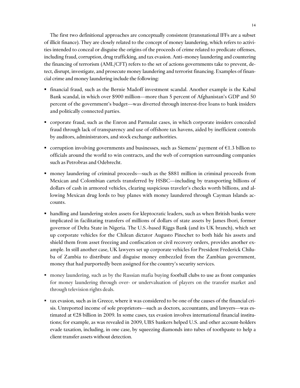The first two definitional approaches are conceptually consistent (transnational IFFs are a subset of illicit finance). They are closely related to the concept of money laundering, which refers to activities intended to conceal or disguise the origins of the proceeds of crime related to predicate offenses, including fraud, corruption, drug trafficking, and tax evasion. Anti–money laundering and countering the financing of terrorism (AML/CFT) refers to the set of actions governments take to prevent, detect, disrupt, investigate, and prosecute money laundering and terrorist financing. Examples of financial crime and money laundering include the following:

- financial fraud, such as the Bernie Madoff investment scandal. Another example is the Kabul Bank scandal, in which over \$900 million—more than 5 percent of Afghanistan's GDP and 50 percent of the government's budget—was diverted through interest-free loans to bank insiders and politically connected parties.
- corporate fraud, such as the Enron and Parmalat cases, in which corporate insiders concealed fraud through lack of transparency and use of offshore tax havens, aided by inefficient controls by auditors, administrators, and stock exchange authorities.
- corruption involving governments and businesses, such as Siemens' payment of  $€1.3$  billion to officials around the world to win contracts, and the web of corruption surrounding companies such as Petrobras and Odebrecht.
- money laundering of criminal proceeds—such as the \$881 million in criminal proceeds from Mexican and Colombian cartels transferred by HSBC—including by transporting billions of dollars of cash in armored vehicles, clearing suspicious traveler's checks worth billions, and allowing Mexican drug lords to buy planes with money laundered through Cayman Islands accounts.
- handling and laundering stolen assets for kleptocratic leaders, such as when British banks were implicated in facilitating transfers of millions of dollars of state assets by James Ibori, former governor of Delta State in Nigeria. The U.S.-based Riggs Bank (and its UK branch), which set up corporate vehicles for the Chilean dictator Augusto Pinochet to both hide his assets and shield them from asset freezing and confiscation or civil recovery orders, provides another example. In still another case, UK lawyers set up corporate vehicles for President Frederick Chiluba of Zambia to distribute and disguise money embezzled from the Zambian government, money that had purportedly been assigned for the country's security services.
- money laundering, such as by the Russian mafia buying football clubs to use as front companies for money laundering through over- or undervaluation of players on the transfer market and through television rights deals.
- tax evasion, such as in Greece, where it was considered to be one of the causes of the financial crisis. Unreported income of sole proprietors—such as doctors, accountants, and lawyers—was estimated at €28 billion in 2009. In some cases, tax evasion involves international financial institutions; for example, as was revealed in 2009, UBS bankers helped U.S. and other account-holders evade taxation, including, in one case, by squeezing diamonds into tubes of toothpaste to help a client transfer assets without detection.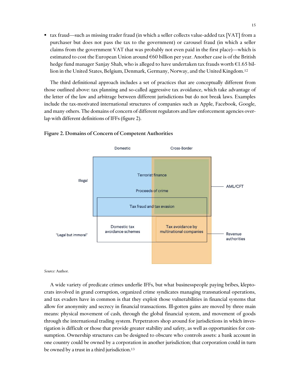tax fraud—such as missing trader fraud (in which a seller collects value-added tax [VAT] from a purchaser but does not pass the tax to the government) or carousel fraud (in which a seller claims from the government VAT that was probably not even paid in the first place)—which is estimated to cost the European Union around  $\epsilon$ 60 billion per year. Another case is of the British hedge fund manager Sanjay Shah, who is alleged to have undertaken tax frauds worth €1.65 billion in the United States, Belgium, Denmark, Germany, Norway, and the United Kingdom.<sup>12</sup>

The third definitional approach includes a set of practices that are conceptually different from those outlined above: tax planning and so-called aggressive tax avoidance, which take advantage of the letter of the law and arbitrage between different jurisdictions but do not break laws. Examples include the tax-motivated international structures of companies such as Apple, Facebook, Google, and many others. The domains of concern of different regulators and law enforcement agencies overlap with different definitions of IFFs (figure 2).



#### Figure 2. Domains of Concern of Competent Authorities

#### *Source:* Author.

A wide variety of predicate crimes underlie IFFs, but what businesspeople paying bribes, kleptocrats involved in grand corruption, organized crime syndicates managing transnational operations, and tax evaders have in common is that they exploit those vulnerabilities in financial systems that allow for anonymity and secrecy in financial transactions. Ill-gotten gains are moved by three main means: physical movement of cash, through the global financial system, and movement of goods through the international trading system. Perpetrators shop around for jurisdictions in which investigation is difficult or those that provide greater stability and safety, as well as opportunities for consumption. Ownership structures can be designed to obscure who controls assets: a bank account in one country could be owned by a corporation in another jurisdiction; that corporation could in turn be owned by a trust in a third jurisdiction.<sup>13</sup>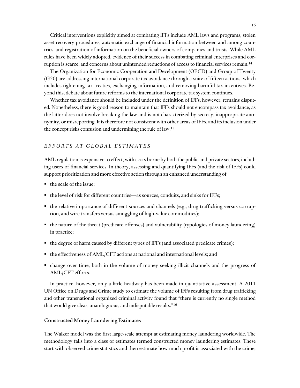Critical interventions explicitly aimed at combating IFFs include AML laws and programs, stolen asset recovery procedures, automatic exchange of financial information between and among countries, and registration of information on the beneficial owners of companies and trusts. While AML rules have been widely adopted, evidence of their success in combating criminal enterprises and corruption is scarce, and concerns about unintended reductions of access to financial services remain.<sup>14</sup>

The Organization for Economic Cooperation and Development (OECD) and Group of Twenty (G20) are addressing international corporate tax avoidance through a suite of fifteen actions, which includes tightening tax treaties, exchanging information, and removing harmful tax incentives. Beyond this, debate about future reforms to the international corporate tax system continues.

Whether tax avoidance should be included under the definition of IFFs, however, remains disputed. Nonetheless, there is good reason to maintain that IFFs should not encompass tax avoidance, as the latter does not involve breaking the law and is not characterized by secrecy, inappropriate anonymity, or misreporting. It is therefore not consistent with other areas of IFFs, and its inclusion under the concept risks confusion and undermining the rule of law.<sup>15</sup>

## *E F F O R T S A T G L O B A L E S T I M A T E S*

AML regulation is expensive to effect, with costs borne by both the public and private sectors, including users of financial services. In theory, assessing and quantifying IFFs (and the risk of IFFs) could support prioritization and more effective action through an enhanced understanding of

- $\blacksquare$  the scale of the issue;
- the level of risk for different countries—as sources, conduits, and sinks for IFFs;
- the relative importance of different sources and channels (e.g., drug trafficking versus corruption, and wire transfers versus smuggling of high-value commodities);
- the nature of the threat (predicate offenses) and vulnerability (typologies of money laundering) in practice;
- the degree of harm caused by different types of IFFs (and associated predicate crimes);
- the effectiveness of AML/CFT actions at national and international levels; and
- change over time, both in the volume of money seeking illicit channels and the progress of AML/CFT efforts.

In practice, however, only a little headway has been made in quantitative assessment. A 2011 UN Office on Drugs and Crime study to estimate the volume of IFFs resulting from drug trafficking and other transnational organized criminal activity found that "there is currently no single method that would give clear, unambiguous, and indisputable results."<sup>16</sup>

#### Constructed Money Laundering Estimates

The Walker model was the first large-scale attempt at estimating money laundering worldwide. The methodology falls into a class of estimates termed constructed money laundering estimates. These start with observed crime statistics and then estimate how much profit is associated with the crime,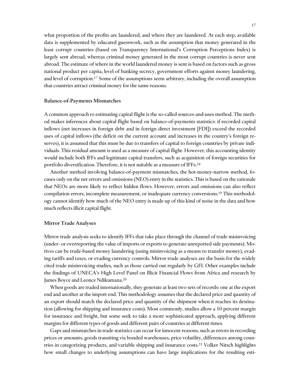what proportion of the profits are laundered, and where they are laundered. At each step, available data is supplemented by educated guesswork, such as the assumption that money generated in the least corrupt countries (based on Transparency International's Corruption Perceptions Index) is largely sent abroad, whereas criminal money generated in the most corrupt countries is never sent abroad. The estimate of where in the world laundered money is sent is based on factors such as gross national product per capita, level of banking secrecy, government efforts against money laundering, and level of corruption.<sup>17</sup> Some of the assumptions seem arbitrary, including the overall assumption that countries attract criminal money for the same reasons.

#### Balance-of-Payments Mismatches

A common approach to estimating capital flight is the so-called sources-and-uses method. The method makes inferences about capital flight based on balance-of-payments statistics: if recorded capital inflows (net increases in foreign debt and in foreign direct investment [FDI]) exceed the recorded uses of capital inflows (the deficit on the current account and increases in the country's foreign reserves), it is assumed that this must be due to transfers of capital to foreign countries by private individuals. This residual amount is used as a measure of capital flight. However, this accounting identity would include both IFFs and legitimate capital transfers, such as acquisition of foreign securities for portfolio diversification. Therefore, it is not suitable as a measure of IFFs.<sup>18</sup>

Another method involving balance-of-payment mismatches, the hot-money-narrow method, focuses only on the net errors and omissions (NEO) entry in the statistics. This is based on the rationale that NEOs are more likely to reflect hidden flows. However, errors and omissions can also reflect compilation errors, incomplete measurement, or inadequate currency conversions.<sup>19</sup> This methodology cannot identify how much of the NEO entry is made up of this kind of noise in the data and how much reflects illicit capital flight.

#### Mirror Trade Analyses

Mirror trade analysis seeks to identify IFFs that take place through the channel of trade misinvoicing (under- or overreporting the value of imports or exports to generate unreported side payments). Motives can be trade-based money laundering (using misinvoicing as a means to transfer money), evading tariffs and taxes, or evading currency controls. Mirror trade analyses are the basis for the widely cited trade misinvoicing studies, such as those carried out regularly by GFI. Other examples include the findings of UNECA's High Level Panel on Illicit Financial Flows from Africa and research by James Boyce and Leonce Ndikumana.<sup>20</sup>

When goods are traded internationally, they generate at least two sets of records: one at the export end and another at the import end. This methodology assumes that the declared price and quantity of an export should match the declared price and quantity of the shipment when it reaches its destination (allowing for shipping and insurance costs). Most commonly, studies allow a 10 percent margin for insurance and freight, but some seek to take a more sophisticated approach, applying different margins for different types of goods and different pairs of countries at different times.

Gaps and mismatches in trade statistics can occur for innocent reasons, such as errors in recording prices or amounts, goods transiting via bonded warehouses, price volatility, differences among countries in categorizing products, and variable shipping and insurance costs.<sup>21</sup> Volker Nitsch highlights how small changes to underlying assumptions can have large implications for the resulting esti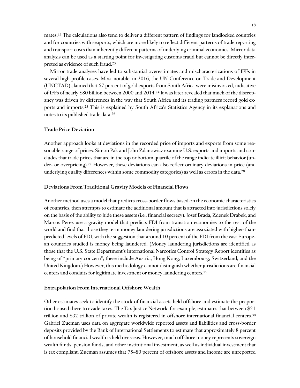mates.<sup>22</sup> The calculations also tend to deliver a different pattern of findings for landlocked countries and for countries with seaports, which are more likely to reflect different patterns of trade reporting and transport costs than inherently different patterns of underlying criminal economies. Mirror data analysis can be used as a starting point for investigating customs fraud but cannot be directly interpreted as evidence of such fraud.<sup>23</sup>

Mirror trade analyses have led to substantial overestimates and mischaracterizations of IFFs in several high-profile cases. Most notable, in 2016, the UN Conference on Trade and Development (UNCTAD) claimed that 67 percent of gold exports from South Africa were misinvoiced, indicative of IFFs of nearly \$80 billion between 2000 and 2014.<sup>24</sup> It was later revealed that much of the discrepancy was driven by differences in the way that South Africa and its trading partners record gold exports and imports.<sup>25</sup> This is explained by South Africa's Statistics Agency in its explanations and notes to its published trade data.<sup>26</sup>

## Trade Price Deviation

Another approach looks at deviations in the recorded price of imports and exports from some reasonable range of prices. Simon Pak and John Zdanowicz examine U.S. exports and imports and concludes that trade prices that are in the top or bottom quartile of the range indicate illicit behavior (under- or overpricing).<sup>27</sup> However, these deviations can also reflect ordinary deviations in price (and underlying quality differences within some commodity categories) as well as errors in the data.<sup>28</sup>

#### Deviations From Traditional Gravity Models of Financial Flows

Another method uses a model that predicts cross-border flows based on the economic characteristics of countries, then attempts to estimate the additional amount that is attracted into jurisdictions solely on the basis of the ability to hide these assets (i.e., financial secrecy). Josef Brada, Zdenek Drabek, and Marcos Perez use a gravity model that predicts FDI from transition economies to the rest of the world and find that those they term money laundering jurisdictions are associated with higher-thanpredicted levels of FDI, with the suggestion that around 10 percent of the FDI from the east European countries studied is money being laundered. (Money laundering jurisdictions are identified as those that the U.S. State Department's International Narcotics Control Strategy Report identifies as being of "primary concern"; these include Austria, Hong Kong, Luxembourg, Switzerland, and the United Kingdom.) However, this methodology cannot distinguish whether jurisdictions are financial centers and conduits for legitimate investment or money laundering centers.<sup>29</sup>

#### Extrapolation From International Offshore Wealth

Other estimates seek to identify the stock of financial assets held offshore and estimate the proportion housed there to evade taxes. The Tax Justice Network, for example, estimates that between \$21 trillion and \$32 trillion of private wealth is registered in offshore international financial centers.<sup>30</sup> Gabriel Zucman uses data on aggregate worldwide reported assets and liabilities and cross-border deposits provided by the Bank of International Settlements to estimate that approximately 8 percent of household financial wealth is held overseas. However, much offshore money represents sovereign wealth funds, pension funds, and other institutional investment, as well as individual investment that is tax compliant. Zucman assumes that 75–80 percent of offshore assets and income are unreported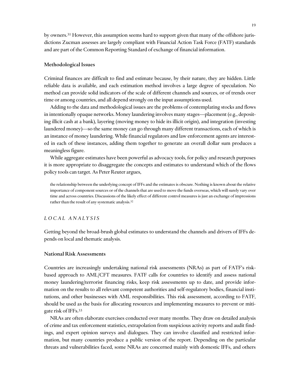by owners.<sup>31</sup> However, this assumption seems hard to support given that many of the offshore jurisdictions Zucman assesses are largely compliant with Financial Action Task Force (FATF) standards and are part of the Common Reporting Standard of exchange of financial information.

## Methodological Issues

Criminal finances are difficult to find and estimate because, by their nature, they are hidden. Little reliable data is available, and each estimation method involves a large degree of speculation. No method can provide solid indicators of the scale of different channels and sources, or of trends over time or among countries, and all depend strongly on the input assumptions used.

Adding to the data and methodological issues are the problems of contemplating stocks and flows in intentionally opaque networks. Money laundering involves many stages—placement (e.g., depositing illicit cash at a bank), layering (moving money to hide its illicit origin), and integration (investing laundered money)—so the same money can go through many different transactions, each of which is an instance of money laundering. While financial regulators and law enforcement agents are interested in each of these instances, adding them together to generate an overall dollar sum produces a meaningless figure.

While aggregate estimates have been powerful as advocacy tools, for policy and research purposes it is more appropriate to disaggregate the concepts and estimates to understand which of the flows policy tools can target. As Peter Reuter argues,

the relationship between the underlying concept of IFFs and the estimates is obscure. Nothing is known about the relative importance of component sources or of the channels that are used to move the funds overseas, which will surely vary over time and across countries. Discussions of the likely effect of different control measures is just an exchange of impressions rather than the result of any systematic analysis.<sup>32</sup>

#### *L O C A L A N A L Y S I S*

Getting beyond the broad-brush global estimates to understand the channels and drivers of IFFs depends on local and thematic analysis.

#### National Risk Assessments

Countries are increasingly undertaking national risk assessments (NRAs) as part of FATF's riskbased approach to AML/CFT measures. FATF calls for countries to identify and assess national money laundering/terrorist financing risks, keep risk assessments up to date, and provide information on the results to all relevant competent authorities and self-regulatory bodies, financial institutions, and other businesses with AML responsibilities. This risk assessment, according to FATF, should be used as the basis for allocating resources and implementing measures to prevent or mitigate risk of IFFs.<sup>33</sup>

NRAs are often elaborate exercises conducted over many months. They draw on detailed analysis of crime and tax enforcement statistics, extrapolation from suspicious activity reports and audit findings, and expert opinion surveys and dialogues. They can involve classified and restricted information, but many countries produce a public version of the report. Depending on the particular threats and vulnerabilities faced, some NRAs are concerned mainly with domestic IFFs, and others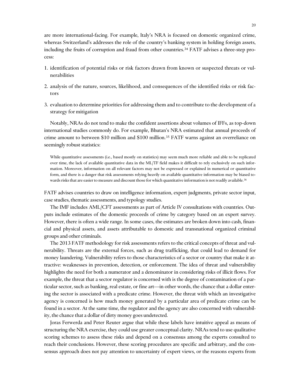are more international-facing. For example, Italy's NRA is focused on domestic organized crime, whereas Switzerland's addresses the role of the country's banking system in holding foreign assets, including the fruits of corruption and fraud from other countries.<sup>34</sup> FATF advises a three-step process:

- 1. identification of potential risks or risk factors drawn from known or suspected threats or vulnerabilities
- 2. analysis of the nature, sources, likelihood, and consequences of the identified risks or risk factors
- 3. evaluation to determine priorities for addressing them and to contribute to the development of a strategy for mitigation

Notably, NRAs do not tend to make the confident assertions about volumes of IFFs, as top-down international studies commonly do. For example, Bhutan's NRA estimated that annual proceeds of crime amount to between \$10 million and \$100 million.<sup>35</sup> FATF warns against an overreliance on seemingly robust statistics:

While quantitative assessments (i.e., based mostly on statistics) may seem much more reliable and able to be replicated over time, the lack of available quantitative data in the ML/TF field makes it difficult to rely exclusively on such information. Moreover, information on all relevant factors may not be expressed or explained in numerical or quantitative form, and there is a danger that risk assessments relying heavily on available quantitative information may be biased towards risks that are easier to measure and discount those for which quantitative information is not readily available.<sup>36</sup>

FATF advises countries to draw on intelligence information, expert judgments, private sector input, case studies, thematic assessments, and typology studies.

The IMF includes AML/CFT assessments as part of Article IV consultations with countries. Outputs include estimates of the domestic proceeds of crime by category based on an expert survey. However, there is often a wide range. In some cases, the estimates are broken down into cash, financial and physical assets, and assets attributable to domestic and transnational organized criminal groups and other criminals.

The 2013 FATF methodology for risk assessments refers to the critical concepts of threat and vulnerability. Threats are the external forces, such as drug trafficking, that could lead to demand for money laundering. Vulnerability refers to those characteristics of a sector or country that make it attractive: weaknesses in prevention, detection, or enforcement. The idea of threat and vulnerability highlights the need for both a numerator and a denominator in considering risks of illicit flows. For example, the threat that a sector regulator is concerned with is the degree of contamination of a particular sector, such as banking, real estate, or fine art—in other words, the chance that a dollar entering the sector is associated with a predicate crime. However, the threat with which an investigative agency is concerned is how much money generated by a particular area of predicate crime can be found in a sector. At the same time, the regulator and the agency are also concerned with vulnerability, the chance that a dollar of dirty money goes undetected.

Joras Ferwerda and Peter Reuter argue that while these labels have intuitive appeal as means of structuring the NRA exercise, they could use greater conceptual clarity. NRAs tend to use qualitative scoring schemes to assess these risks and depend on a consensus among the experts consulted to reach their conclusions. However, these scoring procedures are specific and arbitrary, and the consensus approach does not pay attention to uncertainty of expert views, or the reasons experts from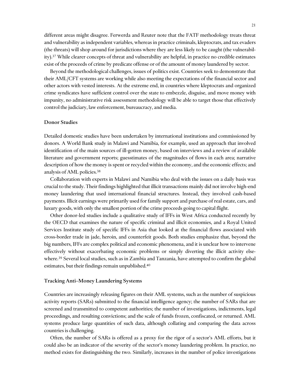different areas might disagree. Ferwerda and Reuter note that the FATF methodology treats threat and vulnerability as independent variables, whereas in practice criminals, kleptocrats, and tax evaders (the threats) will shop around for jurisdictions where they are less likely to be caught (the vulnerability).<sup>37</sup> While clearer concepts of threat and vulnerability are helpful, in practice no credible estimates exist of the proceeds of crime by predicate offense or of the amount of money laundered by sector.

Beyond the methodological challenges, issues of politics exist. Countries seek to demonstrate that their AML/CFT systems are working while also meeting the expectations of the financial sector and other actors with vested interests. At the extreme end, in countries where kleptocrats and organized crime syndicates have sufficient control over the state to embezzle, disguise, and move money with impunity, no administrative risk assessment methodology will be able to target those that effectively control the judiciary, law enforcement, bureaucracy, and media.

#### Donor Studies

Detailed domestic studies have been undertaken by international institutions and commissioned by donors. A World Bank study in Malawi and Namibia, for example, used an approach that involved identification of the main sources of ill-gotten money, based on interviews and a review of available literature and government reports; guesstimates of the magnitudes of flows in each area; narrative description of how the money is spent or recycled within the economy, and the economic effects; and analysis of AML policies.<sup>38</sup>

Collaboration with experts in Malawi and Namibia who deal with the issues on a daily basis was crucial to the study. Their findings highlighted that illicit transactions mainly did not involve high-end money laundering that used international financial structures. Instead, they involved cash-based payments. Illicit earnings were primarily used for family support and purchase of real estate, cars, and luxury goods, with only the smallest portion of the crime proceeds going to capital flight.

Other donor-led studies include a qualitative study of IFFs in West Africa conducted recently by the OECD that examines the nature of specific criminal and illicit economies, and a Royal United Services Institute study of specific IFFs in Asia that looked at the financial flows associated with cross-border trade in jade, heroin, and counterfeit goods. Both studies emphasize that, beyond the big numbers, IFFs are complex political and economic phenomena, and it is unclear how to intervene effectively without exacerbating economic problems or simply diverting the illicit activity elsewhere.<sup>39</sup> Several local studies, such as in Zambia and Tanzania, have attempted to confirm the global estimates, but their findings remain unpublished.<sup>40</sup>

#### Tracking Anti–Money Laundering Systems

Countries are increasingly releasing figures on their AML systems, such as the number of suspicious activity reports (SARs) submitted to the financial intelligence agency; the number of SARs that are screened and transmitted to competent authorities; the number of investigations, indictments, legal proceedings, and resulting convictions; and the scale of funds frozen, confiscated, or returned. AML systems produce large quantities of such data, although collating and comparing the data across countries is challenging.

Often, the number of SARs is offered as a proxy for the rigor of a sector's AML efforts, but it could also be an indicator of the severity of the sector's money laundering problem. In practice, no method exists for distinguishing the two. Similarly, increases in the number of police investigations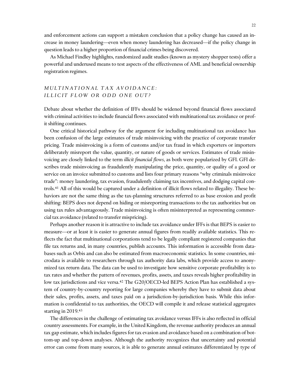and enforcement actions can support a mistaken conclusion that a policy change has caused an increase in money laundering—even when money laundering has decreased—if the policy change in question leads to a higher proportion of financial crimes being discovered.

As Michael Findley highlights, randomized audit studies (known as mystery shopper tests) offer a powerful and underused means to test aspects of the effectiveness of AML and beneficial ownership registration regimes.

## *M U L T I N A T I O N A L T A X A V O I D A N C E : I L L I C I T F L O W O R O D D O N E O U T ?*

Debate about whether the definition of IFFs should be widened beyond financial flows associated with criminal activities to include financial flows associated with multinational tax avoidance or profit shifting continues.

One critical historical pathway for the argument for including multinational tax avoidance has been confusion of the large estimates of trade misinvoicing with the practice of corporate transfer pricing. Trade misinvoicing is a form of customs and/or tax fraud in which exporters or importers deliberately misreport the value, quantity, or nature of goods or services. Estimates of trade misinvoicing are closely linked to the term *illicit financial flows*, as both were popularized by GFI. GFI describes trade misinvoicing as fraudulently manipulating the price, quantity, or quality of a good or service on an invoice submitted to customs and lists four primary reasons "why criminals misinvoice trade": money laundering, tax evasion, fraudulently claiming tax incentives, and dodging capital controls.<sup>41</sup> All of this would be captured under a definition of illicit flows related to illegality. These behaviors are not the same thing as the tax-planning structures referred to as base erosion and profit shifting: BEPS does not depend on hiding or misreporting transactions to the tax authorities but on using tax rules advantageously. Trade misinvoicing is often misinterpreted as representing commercial tax avoidance (related to transfer mispricing).

Perhaps another reason it is attractive to include tax avoidance under IFFs is that BEPS is easier to measure—or at least it is easier to generate annual figures from readily available statistics. This reflects the fact that multinational corporations tend to be legally compliant registered companies that file tax returns and, in many countries, publish accounts. This information is accessible from databases such as Orbis and can also be estimated from macroeconomic statistics. In some countries, microdata is available to researchers through tax authority data labs, which provide access to anonymized tax return data. The data can be used to investigate how sensitive corporate profitability is to tax rates and whether the pattern of revenues, profits, assets, and taxes reveals higher profitability in low tax jurisdictions and vice versa.<sup>42</sup> The G20/OECD-led BEPS Action Plan has established a system of country-by-country reporting for large companies whereby they have to submit data about their sales, profits, assets, and taxes paid on a jurisdiction-by-jurisdiction basis. While this information is confidential to tax authorities, the OECD will compile it and release statistical aggregates starting in 2019.<sup>43</sup>

The differences in the challenge of estimating tax avoidance versus IFFs is also reflected in official country assessments. For example, in the United Kingdom, the revenue authority produces an annual tax gap estimate, which includes figures for tax evasion and avoidance based on a combination of bottom-up and top-down analyses. Although the authority recognizes that uncertainty and potential error can come from many sources, it is able to generate annual estimates differentiated by type of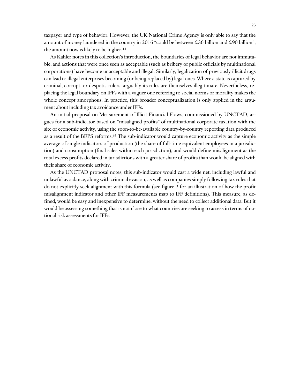taxpayer and type of behavior. However, the UK National Crime Agency is only able to say that the amount of money laundered in the country in 2016 "could be between £36 billion and £90 billion"; the amount now is likely to be higher.<sup>44</sup>

As Kahler notes in this collection's introduction, the boundaries of legal behavior are not immutable, and actions that were once seen as acceptable (such as bribery of public officials by multinational corporations) have become unacceptable and illegal. Similarly, legalization of previously illicit drugs can lead to illegal enterprises becoming (or being replaced by) legal ones. Where a state is captured by criminal, corrupt, or despotic rulers, arguably its rules are themselves illegitimate. Nevertheless, replacing the legal boundary on IFFs with a vaguer one referring to social norms or morality makes the whole concept amorphous. In practice, this broader conceptualization is only applied in the argument about including tax avoidance under IFFs.

An initial proposal on Measurement of Illicit Financial Flows, commissioned by UNCTAD, argues for a sub-indicator based on "misaligned profits" of multinational corporate taxation with the site of economic activity, using the soon-to-be-available country-by-country reporting data produced as a result of the BEPS reforms.<sup>45</sup> The sub-indicator would capture economic activity as the simple average of single indicators of production (the share of full-time equivalent employees in a jurisdiction) and consumption (final sales within each jurisdiction), and would define misalignment as the total excess profits declared in jurisdictions with a greater share of profits than would be aligned with their share of economic activity.

As the UNCTAD proposal notes, this sub-indicator would cast a wide net, including lawful and unlawful avoidance, along with criminal evasion, as well as companies simply following tax rules that do not explicitly seek alignment with this formula (see figure 3 for an illustration of how the profit misalignment indicator and other IFF measurements map to IFF definitions). This measure, as defined, would be easy and inexpensive to determine, without the need to collect additional data. But it would be assessing something that is not close to what countries are seeking to assess in terms of national risk assessments for IFFs.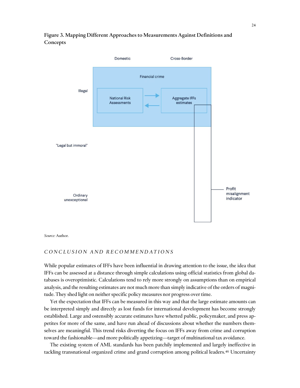

## Figure 3. Mapping Different Approaches to Measurements Against Definitions and Concepts

*Source:* Author.

## CONCLUSION AND RECOMMENDATIONS

While popular estimates of IFFs have been influential in drawing attention to the issue, the idea that IFFs can be assessed at a distance through simple calculations using official statistics from global databases is overoptimistic. Calculations tend to rely more strongly on assumptions than on empirical analysis, and the resulting estimates are not much more than simply indicative of the orders of magnitude. They shed light on neither specific policy measures nor progress over time.

Yet the expectation that IFFs can be measured in this way and that the large estimate amounts can be interpreted simply and directly as lost funds for international development has become strongly established. Large and ostensibly accurate estimates have whetted public, policymaker, and press appetites for more of the same, and have run ahead of discussions about whether the numbers themselves are meaningful. This trend risks diverting the focus on IFFs away from crime and corruption toward the fashionable—and more politically appetizing—target of multinational tax avoidance.

The existing system of AML standards has been patchily implemented and largely ineffective in tackling transnational organized crime and grand corruption among political leaders.<sup>46</sup> Uncertainty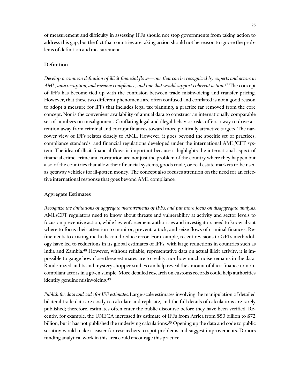of measurement and difficulty in assessing IFFs should not stop governments from taking action to address this gap, but the fact that countries are taking action should not be reason to ignore the problems of definition and measurement.

## Definition

*Develop a common definition of illicit financial flows—one that can be recognized by experts and actors in*  AML, anticorruption, and revenue compliance, and one that would support coherent action.<sup>47</sup> The concept of IFFs has become tied up with the confusion between trade misinvoicing and transfer pricing. However, that these two different phenomena are often confused and conflated is not a good reason to adopt a measure for IFFs that includes legal tax planning, a practice far removed from the core concept. Nor is the convenient availability of annual data to construct an internationally comparable set of numbers on misalignment. Conflating legal and illegal behavior risks offers a way to drive attention away from criminal and corrupt finances toward more politically attractive targets. The narrower view of IFFs relates closely to AML. However, it goes beyond the specific set of practices, compliance standards, and financial regulations developed under the international AML/CFT system. The idea of illicit financial flows is important because it highlights the international aspect of financial crime; crime and corruption are not just the problem of the country where they happen but also of the countries that allow their financial systems, goods trade, or real estate markets to be used as getaway vehicles for ill-gotten money. The concept also focuses attention on the need for an effective international response that goes beyond AML compliance.

## Aggregate Estimates

*Recognize the limitations of aggregate measurements of IFFs, and put more focus on disaggregate analysis.* AML/CFT regulators need to know about threats and vulnerability at activity and sector levels to focus on preventive action, while law enforcement authorities and investigators need to know about where to focus their attention to monitor, prevent, attack, and seize flows of criminal finances. Refinements to existing methods could reduce error. For example, recent revisions to GFI's methodology have led to reductions in its global estimates of IFFs, with large reductions in countries such as India and Zambia.<sup>48</sup> However, without reliable, representative data on actual illicit activity, it is impossible to gauge how close these estimates are to reality, nor how much noise remains in the data. Randomized audits and mystery shopper studies can help reveal the amount of illicit finance or noncompliant actors in a given sample. More detailed research on customs records could help authorities identify genuine misinvoicing.<sup>49</sup>

*Publish the data and code for IFF estimates.* Large-scale estimates involving the manipulation of detailed bilateral trade data are costly to calculate and replicate, and the full details of calculations are rarely published; therefore, estimates often enter the public discourse before they have been verified. Recently, for example, the UNECA increased its estimate of IFFs from Africa from \$50 billion to \$72 billion, but it has not published the underlying calculations.<sup>50</sup> Opening up the data and code to public scrutiny would make it easier for researchers to spot problems and suggest improvements. Donors funding analytical work in this area could encourage this practice.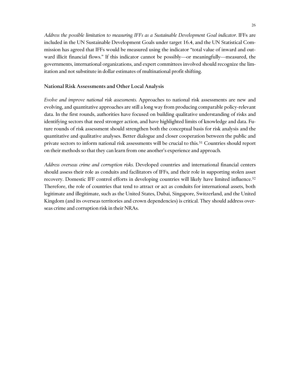*Address the possible limitation to measuring IFFs as a Sustainable Development Goal indicator.* IFFs are included in the UN Sustainable Development Goals under target 16.4, and the UN Statistical Commission has agreed that IFFs would be measured using the indicator "total value of inward and outward illicit financial flows." If this indicator cannot be possibly—or meaningfully—measured, the governments, international organizations, and expert committees involved should recognize the limitation and not substitute in dollar estimates of multinational profit shifting.

#### National Risk Assessments and Other Local Analysis

*Evolve and improve national risk assessments.* Approaches to national risk assessments are new and evolving, and quantitative approaches are still a long way from producing comparable policy-relevant data. In the first rounds, authorities have focused on building qualitative understanding of risks and identifying sectors that need stronger action, and have highlighted limits of knowledge and data. Future rounds of risk assessment should strengthen both the conceptual basis for risk analysis and the quantitative and qualitative analyses. Better dialogue and closer cooperation between the public and private sectors to inform national risk assessments will be crucial to this.<sup>51</sup> Countries should report on their methods so that they can learn from one another's experience and approach.

*Address overseas crime and corruption risks.* Developed countries and international financial centers should assess their role as conduits and facilitators of IFFs, and their role in supporting stolen asset recovery. Domestic IFF control efforts in developing countries will likely have limited influence.<sup>52</sup> Therefore, the role of countries that tend to attract or act as conduits for international assets, both legitimate and illegitimate, such as the United States, Dubai, Singapore, Switzerland, and the United Kingdom (and its overseas territories and crown dependencies) is critical. They should address overseas crime and corruption risk in their NRAs.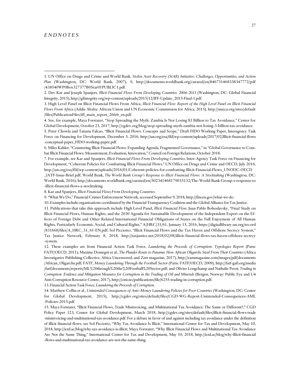#### *E N D N O T E S*

 $\overline{a}$ 

3. High Level Panel on Illicit Financial Flows From Africa, *Illicit Financial Flow: Report of the High Level Panel on Illicit Financial Flows From Africa* (Addis Ababa: African Union and UN Economic Commission for Africa, 2015), http://uneca.org/sites/default /files/PublicationFiles/iff\_main\_report\_26feb\_en.pdf.

7. For example, see Kar and Spanjers, *Illicit Financial Flows From Developing Countries*; Inter-Agency Task Force on Financing for Development, "Coherent Policies for Combatting Illicit Financial Flows," UN Office on Drugs and Crime and OECD, July 2016, http://un.org/esa/ffd/wp-content/uploads/2016/01/Coherent-policies-for-combatting-Illicit-Financial-Flows\_UNODC-OECD \_IATF-Issue-Brief.pdf; World Bank, *The World Bank Group's Response to Illicit Financial Flows: A Stocktaking* (Washington, DC:

8. Kar and Spanjers, *Illicit Financial Flows From Developing Countries*.

9. "What We Do," Financial Crimes Enforcement Network, accessed September 9, 2018, http://fincen.gov/what-we-do.

10. Examples include organizations coordinated by the Financial Transparency Coalition and the Global Alliance for Tax Justice.

11. Publications that take this approach include High Level Panel, *Illicit Financial Flow*; Juan Pablo Bohoslavsky, "Final Study on Illicit Financial Flows, Human Rights, and the 2030 Agenda for Sustainable Development of the Independent Expert on the Effects of Foreign Debt and Other Related International Financial Obligations of States on the Full Enjoyment of All Human Rights, Particularly Economic, Social, and Cultural Rights," A/HRC/31/61, January 15, 2016, https://digitallibrary.un.org/record /831668/files/A\_HRC\_31\_61-EN.pdf; Sol Picciotto, "Illicit Financial Flows and the Tax Haven and Offshore Secrecy System," Tax Justice Network, February 8, 2018, http://taxjustice.net/2018/02/08/illicit-financial-flows-tax-haven-offshore-secrecy -system.

12. These examples are from Financial Action Task Force, *Laundering the Proceeds of Corruption: Typologies Report* (Paris: FATF/OECD, 2011); Maxime Domegni et al., *The Plunder Route to Panama: How African Oligarchs Steal From Their Countries* (Africa Investigative Publishing Collective, Africa Uncensored, and *Zam* magazine, 2017), http://zammagazine.com/images/pdf/documents /African\_Oligarchs.pdf; FATF, *Money Laundering Through the Football Sector* (Paris: FATF/OECD, 2009), http://fatf-gafi.org/media /fatf/documents/reports/ML%20through%20the%20Football%20Sector.pdf; and Olivier Longchamp and Nathalie Perot, *Trading in Corruption: Evidence and Mitigation Measures for Corruption in the Trading of Oil and Minerals* (Bergen, Norway: Public Eye and U4 Anti-Corruption Resource Centre, 2017), http://cmi.no/publications/file/6255-trading-in-corruption.pdf.

13. Financial Action Task Force, *Laundering the Proceeds of Corruption*.

14. Matthew Collin et al., *Unintended Consequences of Anti–Money Laundering Policies for Poor Countries* (Washington, DC: Center for Global Development, 2015), http://cgdev.org/sites/default/files/CGD-WG-Report-Unintended-Consequences-AML -Policies-2015.pdf.

15. Maya Forstater, "Illicit Financial Flows, Trade Misinvoicing, and Multinational Tax Avoidance: The Same or Different?," CGD Policy Paper 123, Center for Global Development, March 2018, http://cgdev.org/sites/default/files/illicit-financial-flows-trade -misinvoicing-and-multinational-tax-avoidance.pdf. For a debate in favor of and against including tax avoidance under the definition of illicit financial flows, see Sol Picciotto, "Why Tax Avoidance Is Illicit," International Center for Tax and Development, May 10, 2018, http://ictd.ac/blog/why-tax-avoidance-is-illicit; Maya Forstater, "Why Illicit Financial Flows and Multinational Tax Avoidance Are Not the Same Thing," International Center for Tax and Development, May 10, 2018, http://ictd.ac/blog/why-illicit-financial -flows-and-multinational-tax-avoidance-are-not-the-same-thing.

<sup>1.</sup> UN Office on Drugs and Crime and World Bank, *Stolen Asset Recovery (StAR) Initiative: Challenges, Opportunities, and Action Plan* (Washington, DC: World Bank, 2007), 9, http://documents.worldbank.org/curated/en/846731468338347772/pdf /438540WP0Box327377B0Star01PUBLIC1.pdf.

<sup>2.</sup> Dev Kar and Joseph Spanjers*, Illicit Financial Flows From Developing Countries: 2004–2013* (Washington, DC: Global Financial Integrity, 2015), http://gfintegrity.org/wp-content/uploads/2015/12/IFF-Update\_2015-Final-1.pdf.

<sup>4.</sup> See, for example, Maya Forstater, "Stop Spreading the Myth: Zambia Is Not Losing \$3 Billion to Tax Avoidance," Center for Global Development, October 23, 2017, http://cgdev.org/blog/stop-spreading-myth-zambia-not-losing-3-billion-tax-avoidance.

<sup>5.</sup> Peter Chowla and Tatiana Falcao, "Illicit Financial Flows: Concepts and Scope," Draft FfDO Working Paper, Interagency Task Force on Financing for Development, December 5, 2016, http://un.org/esa/ffd/wp-content/uploads/2017/02/Illicit-financial-flows -conceptual-paper\_FfDO-working-paper.pdf.

<sup>6.</sup> Miles Kahler, "Countering Illicit Financial Flows: Expanding Agenda, Fragmented Governance," in "Global Governance to Combat Illicit Financial Flows: Measurement, Evaluation, Innovation," Council on Foreign Relations, October 2018.

World Bank, 2016), http://documents.worldbank.org/curated/en/502341468179035132/The-World-Bank-Group-s-response-to -illicit-financial-flows-a-stocktaking.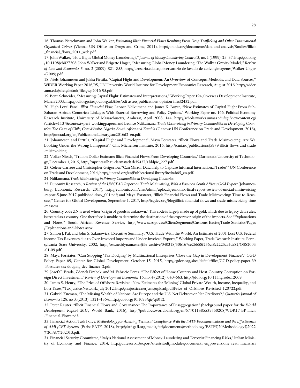16. Thomas Pietschmann and John Walker, *Estimating Illicit Financial Flows Resulting From Drug Trafficking and Other Transnational Organized Crimes* (Vienna: UN Office on Drugs and Crime, 2011), http://unodc.org/documents/data-and-analysis/Studies/Illicit financial flows 2011 web.pdf.

18. Niels Johannesen and Jukka Pirttila, "Capital Flight and Development: An Overview of Concepts, Methods, and Data Sources," WIDER Working Paper 2016/95, UN University World Institute for Development Economics Research, August 2016, http://wider .unu.edu/sites/default/files/wp2016-95.pdf.

19. Benu Schneider, "Measuring Capital Flight: Estimates and Interpretations," Working Paper 194, Overseas Development Institute, March 2003, http://odi.org/sites/odi.org.uk/files/odi-assets/publications-opinion-files/2432.pdf.

20. High Level Panel, *Illicit Financial Flow*; Leonce Ndikumana and James K. Boyce, "New Estimates of Capital Flight From Sub-Saharan African Countries: Linkages With External Borrowing and Policy Options," Working Paper no. 166, Political Economy Research Institute, University of Massachusetts, Amherst, April 2008, 144, http://scholarworks.umass.edu/cgi/viewcontent.cgi ?article=1137&context=peri\_workingpapers; and Leonce Ndikumana, *Trade Misinvoicing in Primary Commodities in Developing Countries: The Cases of Chile, Cote d'Ivoire, Nigeria, South Africa and Zambia* (Geneva: UN Conference on Trade and Development, 2016), http://unctad.org/en/PublicationsLibrary/suc2016d2\_en.pdf.

21. Johannesen and Pirttila, "Capital Flight and Development"; Maya Forstater, "Illicit Flows and Trade Misinvoicing: Are We Looking Under the Wrong Lamppost?," Chr. Michelsen Institute, 2016, http://cmi.no/publications/5979-illicit-flows-and-trade -misinvoicing.

22. Volker Nitsch, "Trillion Dollar Estimate: Illicit Financial Flows From Developing Countries," Darmstadt University of Technology, December 3, 2015, http://tuprints.ulb.tu-darmstadt.de/5437/1/ddpie\_227.pdf.

23. Celene Carrere and Christopher Grigoriou, "Can Mirror Data Help to Capture Informal International Trade?," UN Conference on Trade and Development, 2014, http://unctad.org/en/PublicationsLibrary/itcdtab65\_en.pdf.

24. Ndikumana, *Trade Misinvoicing in Primary Commodities in Developing Countries*.

 $\overline{a}$ 

25. Eunomix Research, *A Review of the UNCTAD Report on Trade Misinvoicing, With a Focus on South Africa's Gold Export* (Johannesburg: Euonomix Research, 2017), http://eunomix.com/cmsAdmin/uploads/eunomix-final-report-review-of-unctad-misinvoicing -report-5-june-2017-published-docx\_001.pdf; and Maya Forstater, "Illicit Financial Flows and Trade Misinvoicing: Time to Reassess," Center for Global Development, September 1, 2017, http://cgdev.org/blog/illicit-financial-flows-and-trade-misinvoicing-time -reassess.

26. Country code ZN is used when "origin of goods is unknown." This code is largely made up of gold, which due to legacy data rules, is treated as a country. One therefore is unable to determine the destination of the exports or origin of the imports. See "Explanations and Notes," South African Revenue Service, http://www.sars.gov.za/ClientSegments/Customs-Excise/Trade-Statistics/Pages /Explanations-and-Notes.aspx.

27. Simon J. Pak and John S. Zdanowicz, Executive Summary, "U.S. Trade With the World: An Estimate of 2001 Lost U.S. Federal Income Tax Revenues due to Over-Invoiced Imports and Under-Invoiced Exports," Working Paper, Trade Research Institute, Pennsylvania State University, 2002, http://oss.net/dynamaster/file\_archive/040318/50b167ce2bb58f256cf8c2225aa4da82/OSS2003 -01-09.pdf

28. Maya Forstater, "Can Stopping 'Tax Dodging' by Multinational Enterprises Close the Gap in Development Finance?," CGD Policy Paper 69, Center for Global Development, October 15, 2015, http://cgdev.org/sites/default/files/CGD-policy-paper-69 -Forstater-tax-dodging-dev-finance\_2.pdf.

29. Josef C. Brada, Zdenek Drabek, and M. Fabricio Perez, "The Effect of Home‐Country and Host‐Country Corruption on Foreign Direct Investment," *Review of Development Economics* 16, no. 4 (2012): 640–663, http://doi.org/10.1111/rode.12009.

30. James S. Henry, "The Price of Offshore Revisited: New Estimates for 'Missing' Global Private Wealth, Income, Inequality, and Lost Taxes," Tax Justice Network, July 2012, http://taxjustice.net/cms/upload/pdf/Price\_of\_Offshore\_Revisited\_120722.pdf.

31. Gabriel Zucman, "The Missing Wealth of Nations: Are Europe and the U.S. Net Debtors or Net Creditors?," *Quarterly Journal of Economics* 128, no 3. (2013): 1321–1364, http://doi.org/10.1093/qje/qjt012.

32. Peter Reuter, "Illicit Financial Flows and Governance: The Importance of Disaggregation" (background paper for the *World Development Report 2017*, World Bank, 2016), http://pubdocs.worldbank.org/en/677011485539750208/WDR17-BP-Illicit -Financial-Flows.pdf.

33. Financial Action Task Force, *Methodology for Assessing Technical Compliance With the FATF Recommendations and the Effectiveness of AML/CFT Systems* (Paris: FATF, 2018), http://fatf-gafi.org/media/fatf/documents/methodology/FATF%20Methodology%2022 %20Feb%202013.pdf.

34. Financial Security Committee, "Italy's National Assessment of Money-Laundering and Terrorist Financing Risks," Italian Ministry of Economy and Finance, 2014, http://dt.tesoro.it/export/sites/sitodt/modules/documenti\_en/prevenzione\_reati\_finanziari

<sup>17.</sup> John Walker, "How Big Is Global Money Laundering?," *Journal of Money Laundering Control* 3, no. 1 (1999): 25–37, http://doi.org /10.1108/eb027208; John Walker and Brigette Unger, "Measuring Global Money Laundering: 'The Walker Gravity Model,'" *Review of Law and Economics* 5, no. 2 (2009): 821–853, http://urosario.edu.co/observatorio-de-lavado-de-activos/imagenes/Walker-Unger -(2009).pdf.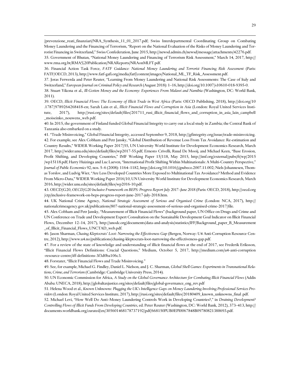/prevenzione\_reati\_finanziari/NRA\_Synthesis\_11\_01\_2017.pdf; Swiss Interdepartmental Coordinating Group on Combating Money Laundering and the Financing of Terrorism, "Report on the National Evaluation of the Risks of Money Laundering and Terrorist Financing in Switzerland," Swiss Confederation, June 2015, http://newsd.admin.ch/newsd/message/attachments/42276.pdf.

35. Government of Bhutan, "National Money Laundering and Financing of Terrorism Risk Assessment," March 14, 2017, http:// www.rma.org.bt/RMA%20Publication/NRAReports/NRAonMLFT.pdf.

36. Financial Action Task Force, *FATF Guidance: National Money Laundering and Terrorist Financing Risk Assessment* (Paris: FATF/OECD, 2013), http://www.fatf-gafi.org/media/fatf/content/images/National\_ML\_TF\_Risk\_Assessment.pdf.

37. Joras Ferwerda and Peter Reuter, "Learning From Money Laundering and National Risk Assessments: The Case of Italy and Switzerland," *European Journal on Criminal Policy and Research* (August 2018): 1–16, http://doi.org/10.1007/s10610-018-9395-0.

38. Stuart Yikona et al., *Ill-Gotten Money and the Economy: Experiences From Malawi and Namibia* (Washington, DC: World Bank, 2011).

39. OECD, *Illicit Financial Flows: The Economy of Illicit Trade in West Africa* (Paris: OECD Publishing, 2018), http://doi.org/10 .1787/9789264268418-en; Sarah Lain et al., *Illicit Financial Flows and Corruption in Asia* (London: Royal United Services Institute, 2017), http://rusi.org/sites/default/files/201711\_rusi\_illicit\_financial\_flows\_and\_corruption\_in\_asia\_lain\_campbell \_moiseinko\_nouwens\_web.pdf.

40. In 2015, the government of Finland funded Global Financial Integrity to carry out a local study in Zambia; the Central Bank of Tanzania also embarked on a study.

41. "Trade Misinvoicing," Global Financial Integrity, accessed September 9, 2018, http://gfintegrity.org/issue/trade-misinvoicing. 42. For example, see Alex Cobham and Petr Jansky, "Global Distribution of Revenue Loss From Tax Avoidance: Re-estimation and Country Results," WIDER Working Paper 2017/55, UN University World Institute for Development Economics Research, March 2017, http://wider.unu.edu/sites/default/files/wp2017-55.pdf; Ernesto Crivelli, Ruud De Mooij, and Michael Keen, "Base Erosion, Profit Shifting, and Developing Countries," IMF Working Paper 15/118, May 2015, http://imf.org/external/pubs/ft/wp/2015 /wp15118.pdf; Harry Huizinga and Luc Laeven, "International Profit Shifting Within Multinationals: A Multi-Country Perspective," *Journal of Public Economics* 92, nos. 5–6 (2008): 1164–1182, http://doi.org/10.1016/j.jpubeco.2007.11.002; Niels Johannesen, Thomas Torslov, and Ludvig Wier, "Are Less Developed Countries More Exposed to Multinational Tax Avoidance? Method and Evidence From Micro-Data," WIDER Working Paper 2016/10, UN University World Institute for Development Economics Research, March 2016, http://wider.unu.edu/sites/default/files/wp2016-10.pdf.

43. OECD/G20, *OECD/G20 Inclusive Framework on BEPS: Progress Report July 2017–June 2018* (Paris: OECD, 2018), http://oecd.org /ctp/inclusive-framework-on-beps-progress-report-june-2017-july-2018.htm.

44. UK National Crime Agency, *National Strategic Assessment of Serious and Organised Crime* (London: NCA, 2017), http:// nationalcrimeagency.gov.uk/publications/807-national-strategic-assessment-of-serious-and-organised-crime-2017/file.

45. Alex Cobham and Petr Jansky, "Measurement of Illicit Financial Flows" (background paper, UN Office on Drugs and Crime and UN Conference on Trade and Development Expert Consultation on the Sustainable Development Goal Indicator on Illicit Financial Flows, December 12–14, 2017), http://unodc.org/documents/data-and-analysis/statistics/IFF/Background\_paper\_B\_Measurement \_of\_Illicit\_Financial\_Flows\_UNCTAD\_web.pdf.

46. Jason Sharman, *Chasing Kleptocrats' Loot: Narrowing the Effectiveness Gap* (Bergen, Norway: U4 Anti-Corruption Resource Centre, 2012), http://www.u4.no/publications/chasing-kleptocrats-loot-narrowing-the-effectiveness-gap.pdf.

47. For a review of the state of knowledge and understanding of illicit financial flows at the end of 2017, see Frederik Eriksson, "Illicit Financial Flows Definitions: Crucial Questions," Medium, October 5, 2017, http://medium.com/u4-anti-corruption -resource-centre/iff-definitions-3f3d0ba106c3.

48. Forstater, "Illicit Financial Flows and Trade Misinvoicing."

 $\overline{a}$ 

49. See, for example, Michael G. Findley, Daniel L. Nielson, and J. C. Sharman, *Global Shell Games: Experiments in Transnational Relations, Crime, and Terrorism* (Cambridge: Cambridge University Press, 2014).

50. UN Economic Commission for Africa, *A Study on the Global Governance Architecture for Combating Illicit Financial Flows* (Addis Ababa: UNECA, 2018), http://globaltaxjustice.org/sites/default/files/global-governance\_eng\_rev.pdf

51. Helena Wood et al., *Known Unknowns: Plugging the UK's Intelligence Gaps on Money Laundering Involving Professional Services Providers* (London: Royal United Services Institute, 2017), http://rusi.org/sites/default/files/20180409\_known\_unknowns\_final .pdf.

52. Michael Levi, "How Well Do Anti–Money Laundering Controls Work in Developing Countries?," in *Draining Development? Controlling Flows of Illicit Funds From Developing Countries*, ed. Peter Reuter (Washington, DC: World Bank, 2012), 373–413, http:// documents.worldbank.org/curated/en/305601468178737192/pdf/668150PUB0EPI0067848B09780821388693.pdf.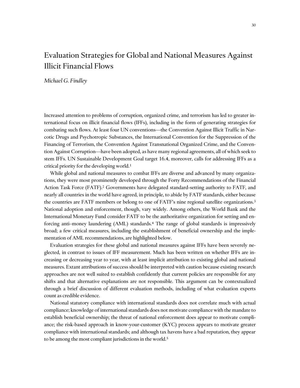# <span id="page-32-0"></span>Evaluation Strategies for Global and National Measures Against Illicit Financial Flows

*Michael G. Findley*

Increased attention to problems of corruption, organized crime, and terrorism has led to greater international focus on illicit financial flows (IFFs), including in the form of generating strategies for combating such flows. At least four UN conventions—the Convention Against Illicit Traffic in Narcotic Drugs and Psychotropic Substances, the International Convention for the Suppression of the Financing of Terrorism, the Convention Against Transnational Organized Crime, and the Convention Against Corruption—have been adopted, as have many regional agreements, all of which seek to stem IFFs. UN Sustainable Development Goal target 16.4, moreover, calls for addressing IFFs as a critical priority for the developing world.<sup>1</sup>

While global and national measures to combat IFFs are diverse and advanced by many organizations, they were most prominently developed through the Forty Recommendations of the Financial Action Task Force (FATF).<sup>2</sup> Governments have delegated standard-setting authority to FATF, and nearly all countries in the world have agreed, in principle, to abide by FATF standards, either because the countries are FATF members or belong to one of FATF's nine regional satellite organizations.<sup>3</sup> National adoption and enforcement, though, vary widely. Among others, the World Bank and the International Monetary Fund consider FATF to be the authoritative organization for setting and enforcing anti–money laundering (AML) standards.<sup>4</sup> The range of global standards is impressively broad; a few critical measures, including the establishment of beneficial ownership and the implementation of AML recommendations, are highlighted below.

Evaluation strategies for these global and national measures against IFFs have been severely neglected, in contrast to issues of IFF measurement. Much has been written on whether IFFs are increasing or decreasing year to year, with at least implicit attribution to existing global and national measures. Extant attributions of success should be interpreted with caution because existing research approaches are not well suited to establish confidently that current policies are responsible for any shifts and that alternative explanations are not responsible. This argument can be contextualized through a brief discussion of different evaluation methods, including of what evaluation experts count as credible evidence.

National statutory compliance with international standards does not correlate much with actual compliance; knowledge of international standards does not motivate compliance with the mandate to establish beneficial ownership; the threat of national enforcement does appear to motivate compliance; the risk-based approach in know-your-customer (KYC) process appears to motivate greater compliance with international standards; and although tax havens have a bad reputation, they appear to be among the most compliant jurisdictions in the world.<sup>5</sup>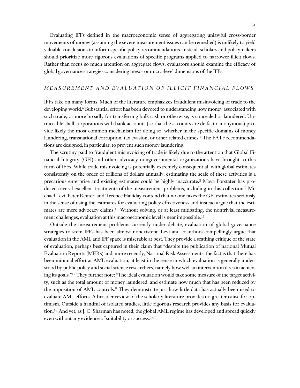Evaluating IFFs defined in the macroeconomic sense of aggregating unlawful cross-border movements of money (assuming the severe measurement issues can be remedied) is unlikely to yield valuable conclusions to inform specific policy recommendations. Instead, scholars and policymakers should prioritize more rigorous evaluations of specific programs applied to narrower illicit flows. Rather than focus so much attention on aggregate flows, evaluators should examine the efficacy of global governance strategies considering meso- or micro-level dimensions of the IFFs.

## *M E A S U R E M E N T A N D E V A L U A T I O N O F I L L I C I T F I N A N C I A L F L O W S*

IFFs take on many forms. Much of the literature emphasizes fraudulent misinvoicing of trade to the developing world.<sup>6</sup> Substantial effort has been devoted to understanding how money associated with such trade, or more broadly for transferring bulk cash or otherwise, is concealed or laundered. Untraceable shell corporations with bank accounts (so that the accounts are de facto anonymous) provide likely the most common mechanism for doing so, whether in the specific domains of money laundering, transnational corruption, tax evasion, or other related crimes.<sup>7</sup> The FATF recommendations are designed, in particular, to prevent such money laundering.

The scrutiny paid to fraudulent misinvoicing of trade is likely due to the attention that Global Financial Integrity (GFI) and other advocacy nongovernmental organizations have brought to this form of IFFs. While trade misinvoicing is potentially extremely consequential, with global estimates consistently on the order of trillions of dollars annually, estimating the scale of these activities is a precarious enterprise and existing estimates could be highly inaccurate.<sup>8</sup> Maya Forstater has produced several excellent treatments of the measurement problems, including in this collection. <sup>9</sup> Michael Levi, Peter Reuter, and Terence Halliday contend that no one takes the GFI estimates seriously in the sense of using the estimates for evaluating policy effectiveness and instead argue that the estimates are mere advocacy claims.<sup>10</sup> Without solving, or at least mitigating, the nontrivial measurement challenges, evaluation at this macroeconomic level is near impossible.<sup>11</sup>

Outside the measurement problems currently under debate, evaluation of global governance strategies to stem IFFs has been almost nonexistent. Levi and coauthors compellingly argue that evaluation in the AML and IFF space is miserable at best. They provide a scathing critique of the state of evaluation, perhaps best captured in their claim that "despite the publication of national Mutual Evaluation Reports (MERs) and, more recently, National Risk Assessments, the fact is that there has been minimal effort at AML evaluation, at least in the sense in which evaluation is generally understood by public policy and social science researchers, namely how well an intervention does in achieving its goals."<sup>12</sup> They further note: "The ideal evaluation would take some measure of the target activity, such as the total amount of money laundered, and estimate how much that has been reduced by the imposition of AML controls." They demonstrate just how little data has actually been used to evaluate AML efforts. A broader review of the scholarly literature provides no greater cause for optimism. Outside a handful of isolated studies, little rigorous research provides any basis for evaluation.<sup>13</sup> And yet, as J. C. Sharman has noted, the global AML regime has developed and spread quickly even without any evidence of suitability or success.14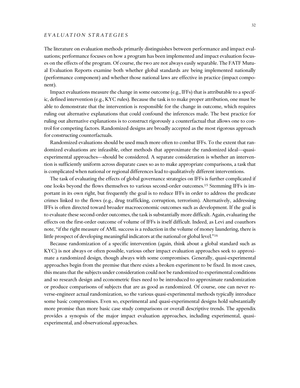## *E V A L U A T I O N S T R A T E G I E S*

The literature on evaluation methods primarily distinguishes between performance and impact evaluations; performance focuses on how a program has been implemented and impact evaluation focuses on the effects of the program. Of course, the two are not always easily separable. The FATF Mutual Evaluation Reports examine both whether global standards are being implemented nationally (performance component) and whether those national laws are effective in practice (impact component).

Impact evaluations measure the change in some outcome (e.g., IFFs) that is attributable to a specific, defined intervention (e.g., KYC rules). Because the task is to make proper attribution, one must be able to demonstrate that the intervention is responsible for the change in outcome, which requires ruling out alternative explanations that could confound the inferences made. The best practice for ruling out alternative explanations is to construct rigorously a counterfactual that allows one to control for competing factors. Randomized designs are broadly accepted as the most rigorous approach for constructing counterfactuals.

Randomized evaluations should be used much more often to combat IFFs. To the extent that randomized evaluations are infeasible, other methods that approximate the randomized ideal—quasiexperimental approaches—should be considered. A separate consideration is whether an intervention is sufficiently uniform across disparate cases so as to make appropriate comparisons, a task that is complicated when national or regional differences lead to qualitatively different interventions.

The task of evaluating the effects of global governance strategies on IFFs is further complicated if one looks beyond the flows themselves to various second-order outcomes.<sup>15</sup> Stemming IFFs is important in its own right, but frequently the goal is to reduce IFFs in order to address the predicate crimes linked to the flows (e.g., drug trafficking, corruption, terrorism). Alternatively, addressing IFFs is often directed toward broader macroeconomic outcomes such as development. If the goal is to evaluate these second-order outcomes, the task is substantially more difficult. Again, evaluating the effects on the first-order outcome of volume of IFFs is itself difficult. Indeed, as Levi and coauthors note, "if the right measure of AML success is a reduction in the volume of money laundering, there is little prospect of developing meaningful indicators at the national or global level."<sup>16</sup>

Because randomization of a specific intervention (again, think about a global standard such as KYC) is not always or often possible, various other impact evaluation approaches seek to approximate a randomized design, though always with some compromises. Generally, quasi-experimental approaches begin from the premise that there exists a broken experiment to be fixed. In most cases, this means that the subjects under consideration could not be randomized to experimental conditions and so research design and econometric fixes need to be introduced to approximate randomization or produce comparisons of subjects that are as good as randomized. Of course, one can never reverse-engineer actual randomization, so the various quasi-experimental methods typically introduce some basic compromises. Even so, experimental and quasi-experimental designs hold substantially more promise than more basic case study comparisons or overall descriptive trends. The appendix provides a synopsis of the major impact evaluation approaches, including experimental, quasiexperimental, and observational approaches.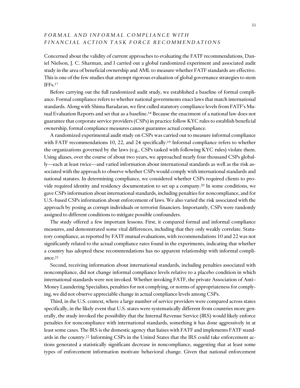## *F O R M A L A N D I N F O R M A L C O M P L I A N C E W I T H F I N A N C I A L A C T I O N T A S K F O R C E R E C O M M E N D A T I O N S*

Concerned about the validity of current approaches to evaluating the FATF recommendations, Daniel Nielson, J. C. Sharman, and I carried out a global randomized experiment and associated audit study in the area of beneficial ownership and AML to measure whether FATF standards are effective. This is one of the few studies that attempt rigorous evaluation of global governance strategies to stem IFFs.<sup>17</sup>

Before carrying out the full randomized audit study, we established a baseline of formal compliance. Formal compliance refers to whether national governments enact laws that match international standards. Along with Shima Baradaran, we first culled statutory compliance levels from FATF's Mutual Evaluation Reports and set that as a baseline.<sup>18</sup> Because the enactment of a national law does not guarantee that corporate service providers (CSPs) in practice follow KYC rules to establish beneficial ownership, formal compliance measures cannot guarantee actual compliance.

A randomized experimental audit study on CSPs was carried out to measure informal compliance with FATF recommendations 10, 22, and 24 specifically.<sup>19</sup> Informal compliance refers to whether the organizations governed by the laws (e.g., CSPs tasked with following KYC rules) violate them. Using aliases, over the course of about two years, we approached nearly four thousand CSPs globally—each at least twice—and varied information about international standards as well as the risk associated with the approach to observe whether CSPs would comply with international standards and national statutes. In determining compliance, we considered whether CSPs required clients to provide required identity and residency documentation to set up a company.<sup>20</sup> In some conditions, we gave CSPs information about international standards, including penalties for noncompliance, and for U.S.-based CSPs information about enforcement of laws. We also varied the risk associated with the approach by posing as corrupt individuals or terrorist financiers. Importantly, CSPs were randomly assigned to different conditions to mitigate possible confounders.

The study offered a few important lessons. First, it compared formal and informal compliance measures, and demonstrated some vital differences, including that they only weakly correlate. Statutory compliance, as reported by FATF mutual evaluations, with recommendations 10 and 22 was not significantly related to the actual compliance rates found in the experiments, indicating that whether a country has adopted these recommendations has no apparent relationship with informal compliance.<sup>21</sup>

Second, receiving information about international standards, including penalties associated with noncompliance, did not change informal compliance levels relative to a placebo condition in which international standards were not invoked. Whether invoking FATF, the private Association of Anti– Money Laundering Specialists, penalties for not complying, or norms of appropriateness for complying, we did not observe appreciable change in actual compliance levels among CSPs.

Third, in the U.S. context, where a large number of service providers were compared across states specifically, in the likely event that U.S. states were systematically different from countries more generally, the study invoked the possibility that the Internal Revenue Service (IRS) would likely enforce penalties for noncompliance with international standards, something it has done aggressively in at least some cases. The IRS is the domestic agency that liaises with FATF and implements FATF standards in the country.<sup>22</sup> Informing CSPs in the United States that the IRS could take enforcement actions generated a statistically significant decrease in noncompliance, suggesting that at least some types of enforcement information motivate behavioral change. Given that national enforcement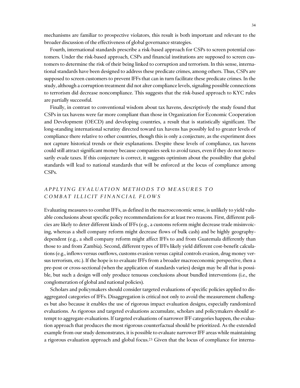mechanisms are familiar to prospective violators, this result is both important and relevant to the broader discussion of the effectiveness of global governance strategies.

Fourth, international standards prescribe a risk-based approach for CSPs to screen potential customers. Under the risk-based approach, CSPs and financial institutions are supposed to screen customers to determine the risk of their being linked to corruption and terrorism. In this sense, international standards have been designed to address these predicate crimes, among others. Thus, CSPs are supposed to screen customers to prevent IFFs that can in turn facilitate these predicate crimes. In the study, although a corruption treatment did not alter compliance levels, signaling possible connections to terrorism did decrease noncompliance. This suggests that the risk-based approach to KYC rules are partially successful.

Finally, in contrast to conventional wisdom about tax havens, descriptively the study found that CSPs in tax havens were far more compliant than those in Organization for Economic Cooperation and Development (OECD) and developing countries, a result that is statistically significant. The long-standing international scrutiny directed toward tax havens has possibly led to greater levels of compliance there relative to other countries, though this is only a conjecture, as the experiment does not capture historical trends or their explanations. Despite these levels of compliance, tax havens could still attract significant money because companies seek to avoid taxes, even if they do not necessarily evade taxes. If this conjecture is correct, it suggests optimism about the possibility that global standards will lead to national standards that will be enforced at the locus of compliance among CSPs.

## *A P P L Y I N G E V A L U A T I O N M E T H O D S T O M E A S U R E S T O C O M B A T I L L I C I T F I N A N C I A L F L O W S*

Evaluating measures to combat IFFs, as defined in the macroeconomic sense, is unlikely to yield valuable conclusions about specific policy recommendations for at least two reasons. First, different policies are likely to deter different kinds of IFFs (e.g., a customs reform might decrease trade misinvoicing, whereas a shell company reform might decrease flows of bulk cash) and be highly geographydependent (e.g., a shell company reform might affect IFFs to and from Guatemala differently than those to and from Zambia). Second, different types of IFFs likely yield different cost-benefit calculations (e.g., inflows versus outflows, customs evasion versus capital controls evasion, drug money versus terrorism, etc.). If the hope is to evaluate IFFs from a broader macroeconomic perspective, then a pre-post or cross-sectional (when the application of standards varies) design may be all that is possible, but such a design will only produce tenuous conclusions about bundled interventions (i.e., the conglomeration of global and national policies).

Scholars and policymakers should consider targeted evaluations of specific policies applied to disaggregated categories of IFFs. Disaggregation is critical not only to avoid the measurement challenges but also because it enables the use of rigorous impact evaluation designs, especially randomized evaluations. As rigorous and targeted evaluations accumulate, scholars and policymakers should attempt to aggregate evaluations. If targeted evaluations of narrower IFF categories happen, the evaluation approach that produces the most rigorous counterfactual should be prioritized. As the extended example from our study demonstrates, it is possible to evaluate narrower IFF areas while maintaining a rigorous evaluation approach and global focus.<sup>23</sup> Given that the locus of compliance for interna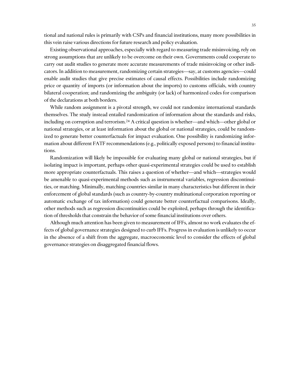tional and national rules is primarily with CSPs and financial institutions, many more possibilities in this vein raise various directions for future research and policy evaluation.

Existing observational approaches, especially with regard to measuring trade misinvoicing, rely on strong assumptions that are unlikely to be overcome on their own. Governments could cooperate to carry out audit studies to generate more accurate measurements of trade misinvoicing or other indicators. In addition to measurement, randomizing certain strategies—say, at customs agencies—could enable audit studies that give precise estimates of causal effects. Possibilities include randomizing price or quantity of imports (or information about the imports) to customs officials, with country bilateral cooperation; and randomizing the ambiguity (or lack) of harmonized codes for comparison of the declarations at both borders.

While random assignment is a pivotal strength, we could not randomize international standards themselves. The study instead entailed randomization of information about the standards and risks, including on corruption and terrorism.<sup>24</sup> A critical question is whether—and which—other global or national strategies, or at least information about the global or national strategies, could be randomized to generate better counterfactuals for impact evaluation. One possibility is randomizing information about different FATF recommendations (e.g., politically exposed persons) to financial institutions.

Randomization will likely be impossible for evaluating many global or national strategies, but if isolating impact is important, perhaps other quasi-experimental strategies could be used to establish more appropriate counterfactuals. This raises a question of whether—and which—strategies would be amenable to quasi-experimental methods such as instrumental variables, regression discontinuities, or matching. Minimally, matching countries similar in many characteristics but different in their enforcement of global standards (such as country-by-country multinational corporation reporting or automatic exchange of tax information) could generate better counterfactual comparisons. Ideally, other methods such as regression discontinuities could be exploited, perhaps through the identification of thresholds that constrain the behavior of some financial institutions over others.

Although much attention has been given to measurement of IFFs, almost no work evaluates the effects of global governance strategies designed to curb IFFs. Progress in evaluation is unlikely to occur in the absence of a shift from the aggregate, macroeconomic level to consider the effects of global governance strategies on disaggregated financial flows.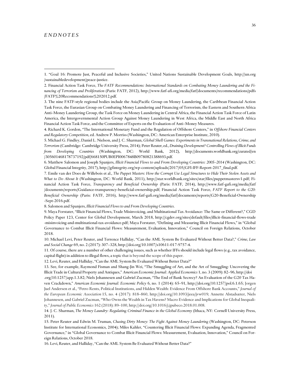### *E N D N O T E S*

8. Salomon and Spanjers, *Illicit Financial Flows to and From Developing Countries*.

9. Maya Forstater, "Illicit Financial Flows, Trade Misinvoicing, and Multinational Tax Avoidance: The Same or Different?," CGD Policy Paper 123, Center for Global Development, March 2018, http://cgdev.org/sites/default/files/illicit-financial-flows-trade -misinvoicing-and-multinational-tax-avoidance.pdf; Maya Forstater, "Defining and Measuring Illicit Financial Flows," in "Global Governance to Combat Illicit Financial Flows: Measurement, Evaluation, Innovation," Council on Foreign Relations, October 2018.

10. Michael Levi, Peter Reuter, and Terrence Halliday, "Can the AML System Be Evaluated Without Better Data?," *Crime, Law and Social Change* 69, no. 2 (2017): 307–328, http://doi.org/10.1007/s10611-017-9757-4.

11. Of course, there are a number of other challenging issues, such as whether IFFs should include legal flows (e.g., tax avoidance, capital flight) in addition to illegal flows, a topic that is beyond the scope of this paper.

12. Levi, Reuter, and Halliday, "Can the AML System Be Evaluated Without Better Data?"

13. See, for example, Raymond Fisman and Shang-Jin Wei, "The Smuggling of Art, and the Art of Smuggling: Uncovering the Illicit Trade in Cultural Property and Antiques," *American Economic Journal: Applied Economics* 1, no. 3 (2009): 82–96, http://doi .org/10.1257/app.1.3.82; Niels Johannesen and Gabriel Zucman, "The End of Bank Secrecy? An Evaluation of the G20 Tax Haven Crackdown," *American Economic Journal: Economic Policy* 6, no. 1 (2014): 65–91, http://doi.org/10.1257/pol.6.1.65; Jorgen Juel Andersen et al., "Petro Rents, Political Institutions, and Hidden Wealth: Evidence From Offshore Bank Accounts," *Journal of the European Economic Association* 15, no. 4 (2017): 818–860, http://doi.org/10.1093/jeea/jvw019; Annette Alstadsæter, Niels Johannesen, and Gabriel Zucman, "Who Owns the Wealth in Tax Havens? Macro Evidence and Implications for Global Inequality," *Journal of Public Economics* 162 (2018): 89–100, http://doi.org/10.1016/j.jpubeco.2018.01.008.

14. J. C. Sharman, *The Money Laundry: Regulating Criminal Finance in the Global Economy* (Ithaca, NY: Cornell University Press, 2011).

15. Peter Reuter and Edwin M. Truman, *Chasing Dirty Money: The Fight Against Money Laundering* (Washington, DC: Peterson Institute for International Economics, 2004); Miles Kahler, "Countering Illicit Financial Flows: Expanding Agenda, Fragmented Governance," in "Global Governance to Combat Illicit Financial Flows: Measurement, Evaluation, Innovation," Council on Foreign Relations, October 2018.

16. Levi, Reuter, and Halliday, "Can the AML System Be Evaluated Without Better Data?"

<sup>1</sup>. "Goal 16: Promote Just, Peaceful and Inclusive Societies," United Nations Sustainable Development Goals, http://un.org /sustainabledevelopment/peace-justice.

<sup>2.</sup> Financial Action Task Force, *The FATF Recommendations: International Standards on Combating Money Laundering and the Financing of Terrorism and Proliferation* (Paris: FATF, 2012), http://www.fatf-afi.org/media/fatf/documents/recommendations/pdfs /FATF%20Recommendations%202012.pdf.

<sup>3.</sup> The nine FATF-style regional bodies include the Asia/Pacific Group on Money Laundering, the Caribbean Financial Action Task Force, the Eurasian Group on Combating Money Laundering and Financing of Terrorism, the Eastern and Southern Africa Anti–Money Laundering Group, the Task Force on Money Laundering in Central Africa, the Financial Action Task Force of Latin America, the Intergovernmental Action Group Against Money Laundering in West Africa, the Middle East and North Africa Financial Action Task Force, and the Committee of Experts on the Evaluation of Anti–Money Measures.

<sup>4</sup>. Richard K. Gordon, "The International Monetary Fund and the Regulation of Offshore Centers," in *Offshore Financial Centers and Regulatory Competition*, ed. Andrew P. Morriss (Washington, DC: American Enterprise Institute, 2010).

<sup>5.</sup> Michael G. Findley, Daniel L. Nielson, and J. C. Sharman, *Global Shell Games: Experiments in Transnational Relations, Crime, and Terrorism* (Cambridge: Cambridge University Press, 2014); Peter Reuter, ed., *Draining Development? Controlling Flows of Illicit Funds from Developing Countries* (Washington, DC: World Bank, 2012), http://documents.worldbank.org/curated/en /305601468178737192/pdf/668150PUB0EPI0067848B09780821388693.pdf.

<sup>6.</sup> Matthew Salomon and Joseph Spanjers, *Illicit Financial Flows to and From Developing Countries: 2005–2014* (Washington, DC: Global Financial Integrity, 2017), http://gfintegrity.org/wp-content/uploads/2017/05/GFI-IFF-Report-2017\_final.pdf.

<sup>7.</sup> Emile van der Does de Willebois et al., *The Puppet Masters: How the Corrupt Use Legal Structures to Hide Their Stolen Assets and What to Do About It* (Washington, DC: World Bank, 2011), http://star.worldbank.org/sites/star/files/puppetmastersv1.pdf; Financial Action Task Force, *Transparency and Beneficial Ownership* (Paris: FATF, 2014), http://www.fatf-gafi.org/media/fatf /documents/reports/Guidance-transparency-beneficial-ownership.pdf; Financial Action Task Force, *FATF Report to the G20: Beneficial Ownership* (Paris: FATF, 2016), http://www.fatf-gafi.org/media/fatf/documents/reports/G20-Beneficial-Ownership -Sept-2016.pdf.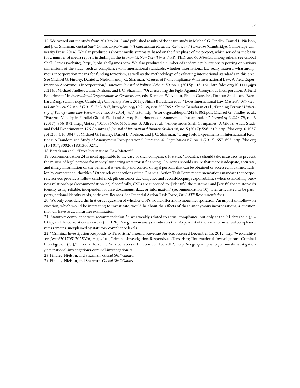17. We carried out the study from 2010 to 2012 and published results of the entire study in Michael G. Findley, Daniel L. Nielson, and J. C. Sharman, *Global Shell Games: Experiments in Transnational Relations, Crime, and Terrorism* (Cambridge: Cambridge University Press, 2014). We also produced a shorter media summary, based on the first phase of the project, which served as the basis for a number of media reports including in the *Economist*, *New York Times*, NPR, TED, and *60 Minutes*, among others; see Global Shell Games (website), http://globalshellgames.com. We also produced a number of academic publications reporting on various dimensions of the study, such as compliance with international standards, whether international law really matters, what anonymous incorporation means for funding terrorism, as well as the methodology of evaluating international standards in this area. See Michael G. Findley, Daniel L. Nielson, and J. C. Sharman, "Causes of Noncompliance With International Law: A Field Experiment on Anonymous Incorporation," *American Journal of Political Science* 59, no. 1 (2015): 146–161, http://doi.org/10.1111/ajps .12141; Michael Findley, Daniel Nielson, and J. C. Sharman, "Orchestrating the Fight Against Anonymous Incorporation: A Field Experiment," in *International Organizations as Orchestrators*, eds. Kenneth W. Abbott, Phillip Genschel, Duncan Snidal, and Bernhard Zangl (Cambridge: Cambridge University Press, 2015); Shima Baradaran et al., "Does International Law Matter?," *Minnesota Law Review* 97, no. 3 (2013): 743–837, http://doi.org/10.2139/ssrn.2097852; Shima Baradaran et al., "Funding Terror," *University of Pennsylvania Law Review* 162, no. 3 (2014): 477–536, http://jstor.org/stable/pdf/24247862.pdf; Michael G. Findley et al., "External Validity in Parallel Global Field and Survey Experiments on Anonymous Incorporation," *Journal of Politics* 79, no. 3 (2017): 856–872, http://doi.org/10.1086/690615; Brent B. Allred et al., "Anonymous Shell Companies: A Global Audit Study and Field Experiment in 176 Countries," *Journal of International Business Studies* 48, no. 5 (2017): 596–619, http://doi.org/10.1057 /s41267-016-0047-7; Michael G. Findley, Daniel L. Nielson, and J. C. Sharman, "Using Field Experiments in International Relations: A Randomized Study of Anonymous Incorporation," *International Organization* 67, no. 4 (2013): 657–693, http://doi.org /10.1017/S0020818313000271.

18. Baradaran et al., "Does International Law Matter?"

 $\overline{a}$ 

19. Recommendation 24 is most applicable to the case of shell companies. It states: "Countries should take measures to prevent the misuse of legal persons for money laundering or terrorist financing. Countries should ensure that there is adequate, accurate, and timely information on the beneficial ownership and control of legal persons that can be obtained or accessed in a timely fashion by competent authorities." Other relevant sections of the Financial Action Task Force recommendations mandate that corporate service providers follow careful in-depth customer due diligence and record-keeping responsibilities when establishing business relationships (recommendation 22). Specifically, CSPs are supposed to "[identify] the customer and [verify] that customer's identity using reliable, independent source documents, data, or information" (recommendation 10), later articulated to be passports, national identity cards, or drivers' licenses. See Financial Action Task Force, *The FATF Recommendations*.

20. We only considered the first-order question of whether CSPs would offer anonymous incorporation. An important follow-on question, which would be interesting to investigate, would be about the effects of these anonymous incorporations, a question that will have to await further examination.

21. Statutory compliance with recommendation 24 was weakly related to actual compliance, but only at the 0.1 threshold (*p* = 0.08), and the correlation was weak ( $r = 0.26$ ). A regression analysis indicates that 93 percent of the variance in actual compliance rates remains unexplained by statutory compliance levels.

22. "Criminal Investigation Responds to Terrorism," Internal Revenue Service, accessed December 15, 2012, http://web.archive .org/web/20170517025326/irs.gov/uac/Criminal-Investigation-Responds-to-Terrorism; "International Investigations: Criminal Investigation (CI)," Internal Revenue Service, accessed December 15, 2012, http://irs.gov/compliance/criminal-investigation /international-investigations-criminal-investigation-ci.

23. Findley, Nielson, and Sharman, *Global Shell Games*.

24. Findley, Nielson, and Sharman, *Global Shell Games*.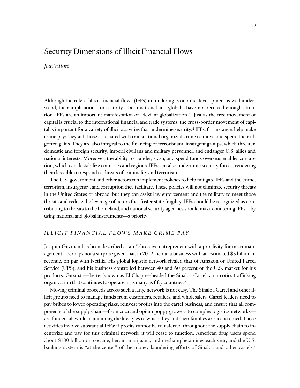## <span id="page-40-0"></span>Security Dimensions of Illicit Financial Flows

## *Jodi Vittori*

Although the role of illicit financial flows (IFFs) in hindering economic development is well understood, their implications for security—both national and global—have not received enough attention. IFFs are an important manifestation of "deviant globalization."<sup>1</sup> Just as the free movement of capital is crucial to the international financial and trade systems, the cross-border movement of capital is important for a variety of illicit activities that undermine security.<sup>2</sup> IFFs, for instance, help make crime pay: they aid those associated with transnational organized crime to move and spend their illgotten gains. They are also integral to the financing of terrorist and insurgent groups, which threaten domestic and foreign security, imperil civilians and military personnel, and endanger U.S. allies and national interests. Moreover, the ability to launder, stash, and spend funds overseas enables corruption, which can destabilize countries and regions. IFFs can also undermine security forces, rendering them less able to respond to threats of criminality and terrorism.

The U.S. government and other actors can implement policies to help mitigate IFFs and the crime, terrorism, insurgency, and corruption they facilitate. These policies will not eliminate security threats in the United States or abroad, but they can assist law enforcement and the military to meet those threats and reduce the leverage of actors that foster state fragility. IFFs should be recognized as contributing to threats to the homeland, and national security agencies should make countering IFFs—by using national and global instruments—a priority.

## *I L L I C I T F I N A N C I A L F L O W S M A K E C R I M E P A Y*

Joaquin Guzman has been described as an "obsessive entrepreneur with a proclivity for micromanagement," perhaps not a surprise given that, in 2012, he ran a business with an estimated \$3 billion in revenue, on par with Netflix. His global logistic network rivaled that of Amazon or United Parcel Service (UPS), and his business controlled between 40 and 60 percent of the U.S. market for his products. Guzman—better known as El Chapo—headed the Sinaloa Cartel, a narcotics trafficking organization that continues to operate in as many as fifty countries.<sup>3</sup>

Moving criminal proceeds across such a large network is not easy. The Sinaloa Cartel and other illicit groups need to manage funds from customers, retailers, and wholesalers. Cartel leaders need to pay bribes to lower operating risks, reinvest profits into the cartel business, and ensure that all components of the supply chain—from coca and opium poppy growers to complex logistics networks are funded, all while maintaining the lifestyles to which they and their families are accustomed. These activities involve substantial IFFs: if profits cannot be transferred throughout the supply chain to incentivize and pay for this criminal network, it will cease to function. American drug users spend about \$100 billion on cocaine, heroin, marijuana, and methamphetamines each year, and the U.S. banking system is "at the center" of the money laundering efforts of Sinaloa and other cartels.<sup>4</sup>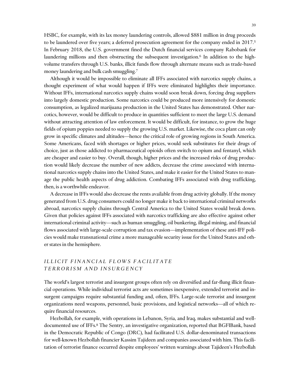HSBC, for example, with its lax money laundering controls, allowed \$881 million in drug proceeds to be laundered over five years; a deferred prosecution agreement for the company ended in 2017.<sup>5</sup> In February 2018, the U.S. government fined the Dutch financial services company Rabobank for laundering millions and then obstructing the subsequent investigation.<sup>6</sup> In addition to the highvolume transfers through U.S. banks, illicit funds flow through alternate means such as trade-based money laundering and bulk cash smuggling.<sup>7</sup>

Although it would be impossible to eliminate all IFFs associated with narcotics supply chains, a thought experiment of what would happen if IFFs were eliminated highlights their importance. Without IFFs, international narcotics supply chains would soon break down, forcing drug suppliers into largely domestic production. Some narcotics could be produced more intensively for domestic consumption, as legalized marijuana production in the United States has demonstrated. Other narcotics, however, would be difficult to produce in quantities sufficient to meet the large U.S. demand without attracting attention of law enforcement. It would be difficult, for instance, to grow the huge fields of opium poppies needed to supply the growing U.S. market. Likewise, the coca plant can only grow in specific climates and altitudes—hence the critical role of growing regions in South America. Some Americans, faced with shortages or higher prices, would seek substitutes for their drugs of choice, just as those addicted to pharmaceutical opioids often switch to opium and fentanyl, which are cheaper and easier to buy. Overall, though, higher prices and the increased risks of drug production would likely decrease the number of new addicts, decrease the crime associated with international narcotics supply chains into the United States, and make it easier for the United States to manage the public health aspects of drug addiction. Combating IFFs associated with drug trafficking, then, is a worthwhile endeavor.

A decrease in IFFs would also decrease the rents available from drug activity globally. If the money generated from U.S. drug consumers could no longer make it back to international criminal networks abroad, narcotics supply chains through Central America to the United States would break down. Given that policies against IFFs associated with narcotics trafficking are also effective against other international criminal activity—such as human smuggling, oil bunkering, illegal mining, and financial flows associated with large-scale corruption and tax evasion—implementation of these anti-IFF policies would make transnational crime a more manageable security issue for the United States and other states in the hemisphere.

## *ILLICIT FINANCIAL FLOWS FACILITATE T E R R O R I S M A N D I N S U R G E N C Y*

The world's largest terrorist and insurgent groups often rely on diversified and far-flung illicit financial operations. While individual terrorist acts are sometimes inexpensive, extended terrorist and insurgent campaigns require substantial funding and, often, IFFs. Large-scale terrorist and insurgent organizations need weapons, personnel, basic provisions, and logistical networks—all of which require financial resources.

Hezbollah, for example, with operations in Lebanon, Syria, and Iraq, makes substantial and welldocumented use of IFFs.<sup>8</sup> The Sentry, an investigative organization, reported that BGFIBank, based in the Democratic Republic of Congo (DRC), had facilitated U.S. dollar-denominated transactions for well-known Hezbollah financier Kassim Tajideen and companies associated with him. This facilitation of terrorist finance occurred despite employees' written warnings about Tajideen's Hezbollah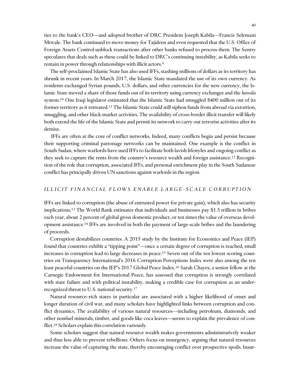ties to the bank's CEO—and adopted brother of DRC President Joseph Kabila—Francis Selemani Mtwale. The bank continued to move money for Tajideen and even requested that the U.S. Office of Foreign Assets Control unblock transactions after other banks refused to process them. The Sentry speculates that deals such as these could be linked to DRC's continuing instability, as Kabila seeks to remain in power through relationships with illicit actors.<sup>9</sup>

The self-proclaimed Islamic State has also used IFFs, stashing millions of dollars as its territory has shrunk in recent years. In March 2017, the Islamic State mandated the use of its own currency. As residents exchanged Syrian pounds, U.S. dollars, and other currencies for the new currency, the Islamic State moved a share of those funds out of its territory using currency exchanges and the *hawala* system.<sup>10</sup> One Iraqi legislator estimated that the Islamic State had smuggled \$400 million out of its former territory as it retreated.<sup>11</sup> The Islamic State could still siphon funds from abroad via extortion, smuggling, and other black-market activities. The availability of cross-border illicit transfer will likely both extend the life of the Islamic State and permit its network to carry out terrorist activities after its demise.

IFFs are often at the core of conflict networks. Indeed, many conflicts begin and persist because their supporting criminal patronage networks can be maintained. One example is the conflict in South Sudan, where warlords have used IFFs to facilitate both lavish lifestyles and ongoing conflict as they seek to capture the rents from the country's resource wealth and foreign assistance.<sup>12</sup> Recognition of the role that corruption, associated IFFs, and personal enrichment play in the South Sudanese conflict has principally driven UN sanctions against warlords in the region.

### *I L L I C I T F I N A N C I A L F L O W S E N A B L E L A R G E - S C A L E C O R R U P T I O N*

IFFs are linked to corruption (the abuse of entrusted power for private gain), which also has security implications.<sup>13</sup> The World Bank estimates that individuals and businesses pay \$1.5 trillion in bribes each year, about 2 percent of global gross domestic product, or ten times the value of overseas development assistance.<sup>14</sup> IFFs are involved in both the payment of large-scale bribes and the laundering of proceeds.

Corruption destabilizes countries. A 2015 study by the Institute for Economics and Peace (IEP) found that countries exhibit a "tipping point"—once a certain degree of corruption is reached, small increases in corruption lead to large decreases in peace.<sup>15</sup> Seven out of the ten lowest scoring countries on Transparency International's 2016 Corruption Perceptions Index were also among the ten least peaceful countries on the IEP's 2017 Global Peace Index.<sup>16</sup> Sarah Chayes, a senior fellow at the Carnegie Endowment for International Peace, has assessed that corruption is strongly correlated with state failure and with political instability, making a credible case for corruption as an underrecognized threat to U.S. national security.<sup>17</sup>

Natural resource–rich states in particular are associated with a higher likelihood of onset and longer duration of civil war, and many scholars have highlighted links between corruption and conflict dynamics. The availability of various natural resources—including petroleum, diamonds, and other nonfuel minerals, timber, and goods like coca leaves—seems to explain the prevalence of conflict.<sup>18</sup> Scholars explain this correlation variously.

Some scholars suggest that natural resource wealth makes governments administratively weaker and thus less able to prevent rebellions. Others focus on insurgency, arguing that natural resources increase the value of capturing the state, thereby encouraging conflict over prospective spoils. Insur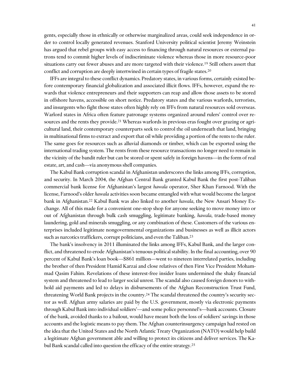gents, especially those in ethnically or otherwise marginalized areas, could seek independence in order to control locally generated revenues. Stanford University political scientist Jeremy Weinstein has argued that rebel groups with easy access to financing through natural resources or external patrons tend to commit higher levels of indiscriminate violence whereas those in more resource-poor situations carry out fewer abuses and are more targeted with their violence.<sup>19</sup> Still others assert that conflict and corruption are deeply intertwined in certain types of fragile states.<sup>20</sup>

IFFs are integral to these conflict dynamics. Predatory states, in various forms, certainly existed before contemporary financial globalization and associated illicit flows. IFFs, however, expand the rewards that violence entrepreneurs and their supporters can reap and allow those assets to be stored in offshore havens, accessible on short notice. Predatory states and the various warlords, terrorists, and insurgents who fight those states often highly rely on IFFs from natural resources sold overseas. Warlord states in Africa often feature patronage systems organized around rulers' control over resources and the rents they provide.<sup>21</sup> Whereas warlords in previous eras fought over grazing or agricultural land, their contemporary counterparts seek to control the oil underneath that land, bringing in multinational firms to extract and export that oil while providing a portion of the rents to the ruler. The same goes for resources such as alluvial diamonds or timber, which can be exported using the international trading system. The rents from these resource transactions no longer need to remain in the vicinity of the bandit ruler but can be stored or spent safely in foreign havens—in the form of real estate, art, and cash—via anonymous shell companies.

The Kabul Bank corruption scandal in Afghanistan underscores the links among IFFs, corruption, and security. In March 2004, the Afghan Central Bank granted Kabul Bank the first post-Taliban commercial bank license for Afghanistan's largest *hawala* operator, Sher Khan Farnood. With the license, Farnood's older *hawala* activities soon became entangled with what would become the largest bank in Afghanistan.<sup>22</sup> Kabul Bank was also linked to another *hawala*, the New Ansari Money Exchange. All of this made for a convenient one-stop shop for anyone seeking to move money into or out of Afghanistan through bulk cash smuggling, legitimate banking, *hawala*, trade-based money laundering, gold and minerals smuggling, or any combination of these. Customers of the various enterprises included legitimate nongovernmental organizations and businesses as well as illicit actors such as narcotics traffickers, corrupt politicians, and even the Taliban.<sup>23</sup>

The bank's insolvency in 2011 illuminated the links among IFFs, Kabul Bank, and the larger conflict, and threatened to erode Afghanistan's tenuous political stability. In the final accounting, over 90 percent of Kabul Bank's loan book—\$861 million—went to nineteen interrelated parties, including the brother of then President Hamid Karzai and close relatives of then First Vice President Mohammad Qasim Fahim. Revelations of these interest-free insider loans undermined the shaky financial system and threatened to lead to larger social unrest. The scandal also caused foreign donors to withhold aid payments and led to delays in disbursements of the Afghan Reconstruction Trust Fund, threatening World Bank projects in the country.<sup>24</sup> The scandal threatened the country's security sector as well. Afghan army salaries are paid by the U.S. government, mostly via electronic payments through Kabul Bank into individual soldiers'—and some police personnel's—bank accounts. Closure of the bank, avoided thanks to a bailout, would have meant both the loss of soldiers' savings in those accounts and the logistic means to pay them. The Afghan counterinsurgency campaign had rested on the idea that the United States and the North Atlantic Treaty Organization (NATO) would help build a legitimate Afghan government able and willing to protect its citizens and deliver services. The Kabul Bank scandal called into question the efficacy of the entire strategy.<sup>25</sup>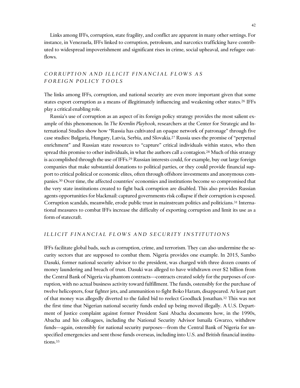Links among IFFs, corruption, state fragility, and conflict are apparent in many other settings. For instance, in Venezuela, IFFs linked to corruption, petroleum, and narcotics trafficking have contributed to widespread impoverishment and significant rises in crime, social upheaval, and refugee outflows.

## *C O R R U P T I O N A N D I L L I C I T F I N A N C I A L F L O W S A S F O R E I G N P O L I C Y T O O L S*

The links among IFFs, corruption, and national security are even more important given that some states export corruption as a means of illegitimately influencing and weakening other states.<sup>26</sup> IFFs play a critical enabling role.

Russia's use of corruption as an aspect of its foreign policy strategy provides the most salient example of this phenomenon. In *The Kremlin Playbook*, researchers at the Center for Strategic and International Studies show how "Russia has cultivated an opaque network of patronage" through five case studies: Bulgaria, Hungary, Latvia, Serbia, and Slovakia.<sup>27</sup> Russia uses the promise of "perpetual enrichment" and Russian state resources to "capture" critical individuals within states, who then spread this promise to other individuals, in what the authors call a contagion.<sup>28</sup> Much of this strategy is accomplished through the use of IFFs.<sup>29</sup> Russian interests could, for example, buy out large foreign companies that make substantial donations to political parties, or they could provide financial support to critical political or economic elites, often through offshore investments and anonymous companies.<sup>30</sup> Over time, the affected countries' economies and institutions become so compromised that the very state institutions created to fight back corruption are disabled. This also provides Russian agents opportunities for blackmail: captured governments risk collapse if their corruption is exposed. Corruption scandals, meanwhile, erode public trust in mainstream politics and politicians.<sup>31</sup> International measures to combat IFFs increase the difficulty of exporting corruption and limit its use as a form of statecraft.

## *I L L I C I T F I N A N C I A L F L O W S A N D S E C U R I T Y I N S T I T U T I O N S*

IFFs facilitate global bads, such as corruption, crime, and terrorism. They can also undermine the security sectors that are supposed to combat them. Nigeria provides one example. In 2015, Sambo Dasuki, former national security advisor to the president, was charged with three dozen counts of money laundering and breach of trust. Dasuki was alleged to have withdrawn over \$2 billion from the Central Bank of Nigeria via phantom contracts—contracts created solely for the purposes of corruption, with no actual business activity toward fulfillment. The funds, ostensibly for the purchase of twelve helicopters, four fighter jets, and ammunition to fight Boko Haram, disappeared. At least part of that money was allegedly diverted to the failed bid to reelect Goodluck Jonathan.<sup>32</sup> This was not the first time that Nigerian national security funds ended up being moved illegally. A U.S. Department of Justice complaint against former President Sani Abacha documents how, in the 1990s, Abacha and his colleagues, including the National Security Advisor Ismaila Gwarzo, withdrew funds—again, ostensibly for national security purposes—from the Central Bank of Nigeria for unspecified emergencies and sent those funds overseas, including into U.S. and British financial institutions.33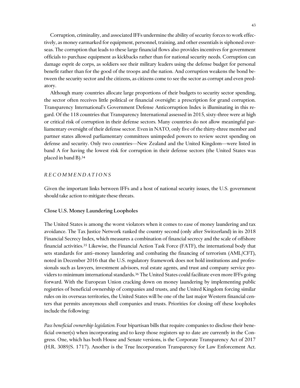Corruption, criminality, and associated IFFs undermine the ability of security forces to work effectively, as money earmarked for equipment, personnel, training, and other essentials is siphoned overseas. The corruption that leads to these large financial flows also provides incentives for government officials to purchase equipment as kickbacks rather than for national security needs. Corruption can damage esprit de corps, as soldiers see their military leaders using the defense budget for personal benefit rather than for the good of the troops and the nation. And corruption weakens the bond between the security sector and the citizens, as citizens come to see the sector as corrupt and even predatory.

Although many countries allocate large proportions of their budgets to security sector spending, the sector often receives little political or financial oversight: a prescription for grand corruption. Transparency International's Government Defense Anticorruption Index is illuminating in this regard. Of the 118 countries that Transparency International assessed in 2015, sixty-three were at high or critical risk of corruption in their defense sectors. Many countries do not allow meaningful parliamentary oversight of their defense sector. Even in NATO, only five of the thirty-three member and partner states allowed parliamentary committees unimpeded powers to review secret spending on defense and security. Only two countries—New Zealand and the United Kingdom—were listed in band A for having the lowest risk for corruption in their defense sectors (the United States was placed in band B).<sup>34</sup>

## *R E C O M M E N D A T I O N S*

Given the important links between IFFs and a host of national security issues, the U.S. government should take action to mitigate these threats.

#### Close U.S. Money Laundering Loopholes

The United States is among the worst violators when it comes to ease of money laundering and tax avoidance. The Tax Justice Network ranked the country second (only after Switzerland) in its 2018 Financial Secrecy Index, which measures a combination of financial secrecy and the scale of offshore financial activities.<sup>35</sup> Likewise, the Financial Action Task Force (FATF), the international body that sets standards for anti–money laundering and combating the financing of terrorism (AML/CFT), noted in December 2016 that the U.S. regulatory framework does not hold institutions and professionals such as lawyers, investment advisors, real estate agents, and trust and company service providers to minimum international standards.<sup>36</sup> The United States could facilitate even more IFFs going forward. With the European Union cracking down on money laundering by implementing public registries of beneficial ownership of companies and trusts, and the United Kingdom forcing similar rules on its overseas territories, the United States will be one of the last major Western financial centers that permits anonymous shell companies and trusts. Priorities for closing off these loopholes include the following:

*Pass beneficial ownership legislation.* Four bipartisan bills that require companies to disclose their beneficial owner(s) when incorporating and to keep those registers up to date are currently in the Congress. One, which has both House and Senate versions, is the Corporate Transparency Act of 2017 (H.R. 3089/S. 1717). Another is the True Incorporation Transparency for Law Enforcement Act.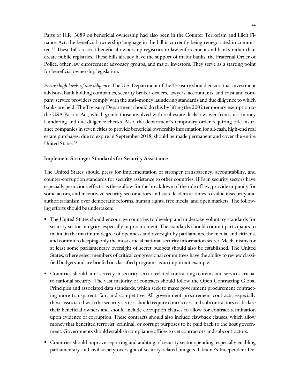Parts of H.R. 3089 on beneficial ownership had also been in the Counter Terrorism and Illicit Finance Act; the beneficial ownership language in the bill is currently being renegotiated in committee.<sup>37</sup> These bills restrict beneficial ownership registries to law enforcement and banks rather than create public registries. These bills already have the support of major banks, the Fraternal Order of Police, other law enforcement advocacy groups, and major investors. They serve as a starting point for beneficial ownership legislation.

*Ensure high levels of due diligence.* The U.S. Department of the Treasury should ensure that investment advisors, bank holding companies, security broker-dealers, lawyers, accountants, and trust and company service providers comply with the anti–money laundering standards and due diligence to which banks are held. The Treasury Department should do this by lifting the 2002 temporary exemption to the USA Patriot Act, which grants those involved with real estate deals a waiver from anti–money laundering and due diligence checks. Also, the department's temporary order requiring title insurance companies in seven cities to provide beneficial ownership information for all-cash, high-end real estate purchases, due to expire in September 2018, should be made permanent and cover the entire United States.<sup>38</sup>

## Implement Stronger Standards for Security Assistance

The United States should press for implementation of stronger transparency, accountability, and counter-corruption standards for security assistance to other countries. IFFs in security sectors have especially pernicious effects, as these allow for the breakdown of the rule of law, provide impunity for some actors, and incentivize security sector actors and state leaders at times to value insecurity and authoritarianism over democratic reforms, human rights, free media, and open markets. The following efforts should be undertaken:

- The United States should encourage countries to develop and undertake voluntary standards for security sector integrity, especially in procurement. The standards should commit participants to maintain the maximum degree of openness and oversight by parliaments, the media, and citizens, and commit to keeping only the most crucial national security information secret. Mechanisms for at least some parliamentary oversight of secret budgets should also be established. The United States, where select members of critical congressional committees have the ability to review classified budgets and are briefed on classified programs, is an important example.
- Countries should limit secrecy in security sector–related contracting to items and services crucial to national security. The vast majority of contracts should follow the Open Contracting Global Principles and associated data standards, which seek to make government procurement contracting more transparent, fair, and competitive. All government procurement contracts, especially those associated with the security sector, should require contractors and subcontractors to declare their beneficial owners and should include corruption clauses to allow for contract termination upon evidence of corruption. These contracts should also include clawback clauses, which allow money that benefited terrorist, criminal, or corrupt purposes to be paid back to the host government. Governments should establish compliance offices to vet contractors and subcontractors.
- Countries should improve reporting and auditing of security sector spending, especially enabling parliamentary and civil society oversight of security-related budgets. Ukraine's Independent De-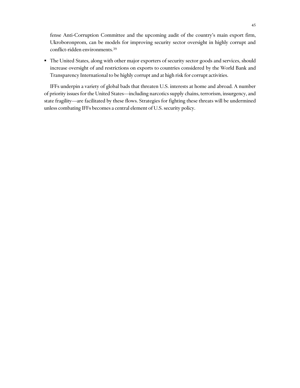fense Anti-Corruption Committee and the upcoming audit of the country's main export firm, Ukroboronprom, can be models for improving security sector oversight in highly corrupt and conflict-ridden environments.<sup>39</sup>

 The United States, along with other major exporters of security sector goods and services, should increase oversight of and restrictions on exports to countries considered by the World Bank and Transparency International to be highly corrupt and at high risk for corrupt activities.

IFFs underpin a variety of global bads that threaten U.S. interests at home and abroad. A number of priority issues for the United States—including narcotics supply chains, terrorism, insurgency, and state fragility—are facilitated by these flows. Strategies for fighting these threats will be undermined unless combating IFFs becomes a central element of U.S. security policy.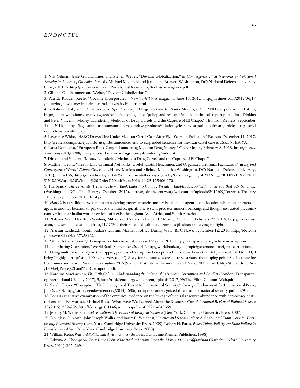#### *E N D N O T E S*

 $\overline{a}$ 

2. Gilman, Goldhammer, and Weber, "Deviant Globalization."

8. Matthew Levitt, "Hezbollah's Criminal Networks: Useful Idiots, Henchmen, and Organized Criminal Facilitators," in *Beyond Convergence: World Without Order*, eds. Hilary Matfess and Michael Miklaucic (Washington, DC: National Defense University, 2016), 155–156, http://cco.ndu.edu/Portals/96/Documents/books/Beyond%20Convergence/BEYOND%20CONVERGENCE %20%20World%20Without%20Order%20.pdf?ver=2016-10-25-125406-170.

10. *Hawala* is a traditional system for transferring money whereby money is paid to an agent in one location who then instructs an agent in another location to pay out to the final recipient. The system predates modern banking, and though associated predominantly with the Muslim world, versions of it exist throughout Asia, Africa, and South America.

11. "Islamic State Has Been Stashing Millions of Dollars in Iraq and Abroad," *Economist*, February 22, 2018, http://economist .com/news/middle-east-and-africa/21737302-their-so-called-caliphate-crumbles-jihadists-are-saving-up-fight.

12. Alastair Leithead, "South Sudan's Kiir and Machar Profited During War," BBC News, September 12, 2016, http://bbc.com /news/world-africa-37338432.

13. "What Is Corruption?," Transparency International, accessed May 15, 2018, http://transparency.org/what-is-corruption.

14. "Combating Corruption," World Bank, September 26, 2017, http://worldbank.org/en/topic/governance/brief/anti-corruption. 15. Using multivariate analysis, that tipping point is a Corruption Perceptions Index score lower than 40 (on a scale of 0 to 100, 0 being "highly corrupt" and 100 being "very clean"). Sixty-four countries were clustered around that tipping point. See Institute for Economics and Peace, *Peace and Corruption 2015* (Sydney: Institute for Economics and Peace, 2015), 7–10, http://files.ethz.ch/isn /190854/Peace%20and%20Corruption.pdf.

16. Karolina MacLachlan, *The Fifth Column: Understanding the Relationship Between Corruption and Conflict* (London: Transparency International UK, July 2017), 5, http://ti-defence.org/wp-content/uploads/2017/09/The\_Fifth\_Column\_Web.pdf.

17. Sarah Chayes, "Corruption: The Unrecognized Threat to International Security," Carnegie Endowment for International Peace, June 6, 2014, http://carnegieendowment.org/2014/06/06/corruption-unrecognized-threat-to-international-security-pub-55791.

18. For an exhaustive examination of the empirical evidence on the linkage of natural resource abundance with democracy, institutions, and civil war, see Michael Ross, "What Have We Learned About the Resource Curse?," *Annual Review of Political Science* 18 (2015): 239–259, http://doi.org/10.1146/annurev-polisci-052213-040359.

19. Jeremy M. Weinstein, *Inside Rebellion: The Politics of Insurgent Violence* (New York: Cambridge University Press, 2007).

20. Douglass C. North, John Joseph Wallis, and Barry R. Weingast, *Violence and Social Orders: A Conceptual Framework for Interpreting Recorded History* (New York: Cambridge University Press, 2009); Robert H. Bates, *When Things Fell Apart: State Failure in Late-Century Africa* (New York: Cambridge University Press, 2008).

21. William Reno, *Warlord Politics and African States* (Boulder, CO: Lynne Rienner Publishers, 1998).

22. Edwina A. Thompson, *Trust Is the Coin of the Realm: Lessons From the Money Men in Afghanistan* (Karachi: Oxford University Press, 2011), 267–269.

<sup>1.</sup> Nils Gilman, Jesse Goldhammer, and Steven Weber, "Deviant Globalization," in *Convergence: Illicit Networks and National Security in the Age of Globalization*, eds. Michael Miklaucic and Jacqueline Brewer (Washington, DC: National Defense University Press, 2013), 5, http://ndupress.ndu.edu/Portals/68/Documents/Books/convergence.pdf.

<sup>3.</sup> Patrick Radden Keefe, "Cocaine Incorporated," *New York Times Magazine*, June 15, 2012, http://nytimes.com/2012/06/17 /magazine/how-a-mexican-drug-cartel-makes-its-billions.html.

<sup>4.</sup> B. Kilmer et al., *What America's Users Spend on Illegal Drugs: 2000–2010* (Santa Monica, CA: RAND Corporation, 2014), 3, http://obamawhitehouse.archives.gov/sites/default/files/ondcp/policy-and-research/wausid\_technical\_report.pdf; Jim Dinkins and Peter Vincent, "Money-Laundering Methods of Drug Cartels and the Capture of El Chapo," Thomson Reuters, September 14, 2016, http://legalsolutions.thomsonreuters.com/law-products/solutions/clear-investigation-software/articles/drug-cartel -apprehension-whitepaper.

<sup>5.</sup> Lawrence White, "HSBC Draws Line Under Mexican Cartel Case After Five Years on Probation," Reuters, December 11, 2017, http://reuters.com/article/us-hsbc-usa/hsbc-announces-end-to-suspended-sentence-for-mexican-cartel-case-idUSKBN1E50YA.

<sup>6.</sup> Ivana Kottasova, "European Bank Caught Laundering Mexican Drug Money," CNN Money, February 8, 2018, http://money .cnn.com/2018/02/08/news/rabobank-mexico-drug-money-laundering/index.html.

<sup>7.</sup> Dinkins and Vincent, "Money Laundering Methods of Drug Cartels and the Capture of El Chapo."

<sup>9.</sup> The Sentry, *The Terrorists' Treasury: How a Bank Linked to Congo's President Enabled Hezbollah Financiers to Bust U.S. Sanctions* (Washington, DC: The Sentry, October 2017), https://cdn.thesentry.org/wp-content/uploads/2016/09/TerroristsTreasury \_TheSentry\_October2017\_final.pdf.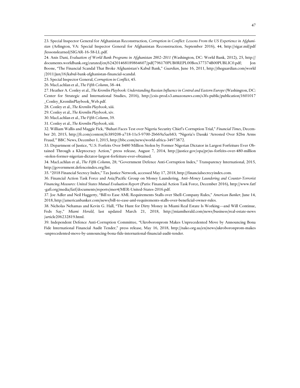23. Special Inspector General for Afghanistan Reconstruction, *Corruption in Conflict: Lessons From the US Experience in Afghanistan* (Arlington, VA: Special Inspector General for Afghanistan Reconstruction, September 2016), 44, http://sigar.mil/pdf /lessonslearned/SIGAR-16-58-LL.pdf.

24. Anis Dani, *Evaluation of World Bank Programs in Afghanistan 2002–2011* (Washington, DC: World Bank, 2012), 25, http:// documents.worldbank.org/curated/en/624201468189864607/pdf/796170PUB0REPL00Box377374B00PUBLIC0.pdf; Jon Boone, "The Financial Scandal That Broke Afghanistan's Kabul Bank," *Guardian*, June 16, 2011, http://theguardian.com/world /2011/jun/16/kabul-bank-afghanistan-financial-scandal.

25. Special Inspector General, *Corruption in Conflict*, 45.

26. MacLachlan et al., *The Fifth Column*, 38–44.

 $\overline{a}$ 

27. Heather A. Conley et al., *The Kremlin Playbook: Understanding Russian Influence in Central and Eastern Europe* (Washington, DC: Center for Strategic and International Studies, 2016), http://csis-prod.s3.amazonaws.com/s3fs-public/publication/1601017 \_Conley\_KremlinPlaybook\_Web.pdf.

28. Conley et al., *The Kremlin Playbook*, xiii.

29. Conley et al., *The Kremlin Playbook*, xiv.

30. MacLachlan et al., *The Fifth Column*, 39.

31. Conley et al., *The Kremlin Playbook*, xiii.

32. William Wallis and Maggie Fick, "Buhari Faces Test over Nigeria Security Chief's Corruption Trial," *Financial Times*, December 20, 2015, http://ft.com/content/fe389208-a718-11e5-9700-2b669a5aeb83; "Nigeria's Dasuki 'Arrested Over \$2bn Arms Fraud,'" BBC News, December 1, 2015, http://bbc.com/news/world-africa-34973872.

33. Department of Justice, "U.S. Forfeits Over \$480 Million Stolen by Former Nigerian Dictator in Largest Forfeiture Ever Obtained Through a Kleptocracy Action," press release, August 7, 2014, http://justice.gov/opa/pr/us-forfeits-over-480-million -stolen-former-nigerian-dictator-largest-forfeiture-ever-obtained.

34. MacLachlan et al., *The Fifth Column*, 28; "Government Defence Anti-Corruption Index," Transparency International, 2015, http://government.defenceindex.org/list.

35. "2018 Financial Secrecy Index," Tax Justice Network, accessed May 17, 2018, http://financialsecrecyindex.com.

36. Financial Action Task Force and Asia/Pacific Group on Money Laundering, *Anti–Money Laundering and Counter-Terrorist Financing Measures: United States Mutual Evaluation Report* (Paris: Financial Action Task Force, December 2016), http://www.fatf -gafi.org/media/fatf/documents/reports/mer4/MER-United-States-2016.pdf.

37. Joe Adler and Neil Haggerty, "Bill to Ease AML Requirements Stalls over Shell-Company Rules," *American Banker*, June 14, 2018, http://americanbanker.com/news/bill-to-ease-aml-requirements-stalls-over-beneficial-owner-rules.

38. Nicholas Nehamas and Kevin G. Hall, "The Hunt for Dirty Money in Miami Real Estate Is Working—and Will Continue, Feds Say," *Miami Herald*, last updated March 21, 2018, http://miamiherald.com/news/business/real-estate-news /article206232819.html.

39. Independent Defence Anti-Corruption Committee, "Ukroboronprom Makes Unprecedented Move by Announcing Bona Fide International Financial Audit Tender," press release, May 16, 2018, http://nako.org.ua/en/news/ukroboronprom-makes -unprecedented-move-by-announcing-bona-fide-international-financial-audit-tender.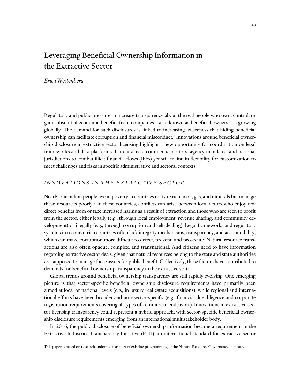# <span id="page-50-0"></span>Leveraging Beneficial Ownership Information in the Extractive Sector

*Erica Westenberg*

Regulatory and public pressure to increase transparency about the real people who own, control, or gain substantial economic benefits from companies—also known as beneficial owners—is growing globally. The demand for such disclosures is linked to increasing awareness that hiding beneficial ownership can facilitate corruption and financial misconduct.<sup>1</sup> Innovations around beneficial ownership disclosure in extractive sector licensing highlight a new opportunity for coordination on legal frameworks and data platforms that cut across commercial sectors, agency mandates, and national jurisdictions to combat illicit financial flows (IFFs) yet still maintain flexibility for customization to meet challenges and risks in specific administrative and sectoral contexts.\*

## *INNOVATIONS IN THE EXTRACTIVE SECTOR*

Nearly one billion people live in poverty in countries that are rich in oil, gas, and minerals but manage these resources poorly.<sup>2</sup> In these countries, conflicts can arise between local actors who enjoy few direct benefits from or face increased harms as a result of extraction and those who are seen to profit from the sector, either legally (e.g., through local employment, revenue sharing, and community development) or illegally (e.g., through corruption and self-dealing). Legal frameworks and regulatory systems in resource-rich countries often lack integrity mechanisms, transparency, and accountability, which can make corruption more difficult to detect, prevent, and prosecute. Natural resource transactions are also often opaque, complex, and transnational. And citizens need to have information regarding extractive sector deals, given that natural resources belong to the state and state authorities are supposed to manage these assets for public benefit. Collectively, these factors have contributed to demands for beneficial ownership transparency in the extractive sector.

Global trends around beneficial ownership transparency are still rapidly evolving. One emerging picture is that sector-specific beneficial ownership disclosure requirements have primarily been aimed at local or national levels (e.g., in luxury real estate acquisitions), while regional and international efforts have been broader and non-sector-specific (e.g., financial due diligence and corporate registration requirements covering all types of commercial endeavors). Innovations in extractive sector licensing transparency could represent a hybrid approach, with sector-specific beneficial ownership disclosure requirements emerging from an international multistakeholder body.

In 2016, the public disclosure of beneficial ownership information became a requirement in the Extractive Industries Transparency Initiative (EITI), an international standard for extractive sector

This paper is based on research undertaken as part of existing programming of the Natural Resource Governance Institute.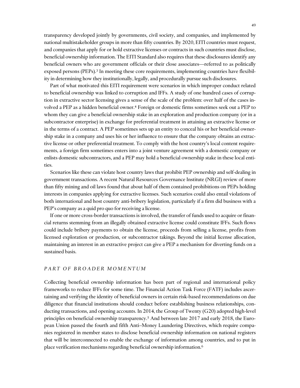transparency developed jointly by governments, civil society, and companies, and implemented by national multistakeholder groups in more than fifty countries. By 2020, EITI countries must request, and companies that apply for or hold extractive licenses or contracts in such countries must disclose, beneficial ownership information. The EITI Standard also requires that these disclosures identify any beneficial owners who are government officials or their close associates—referred to as politically exposed persons (PEPs).<sup>3</sup> In meeting these core requirements, implementing countries have flexibility in determining how they institutionally, legally, and procedurally pursue such disclosures.

Part of what motivated this EITI requirement were scenarios in which improper conduct related to beneficial ownership was linked to corruption and IFFs. A study of one hundred cases of corruption in extractive sector licensing gives a sense of the scale of the problem: over half of the cases involved a PEP as a hidden beneficial owner.<sup>4</sup> Foreign or domestic firms sometimes seek out a PEP to whom they can give a beneficial ownership stake in an exploration and production company (or in a subcontractor enterprise) in exchange for preferential treatment in attaining an extractive license or in the terms of a contract. A PEP sometimes sets up an entity to conceal his or her beneficial ownership stake in a company and uses his or her influence to ensure that the company obtains an extractive license or other preferential treatment. To comply with the host country's local content requirements, a foreign firm sometimes enters into a joint venture agreement with a domestic company or enlists domestic subcontractors, and a PEP may hold a beneficial ownership stake in these local entities.

Scenarios like these can violate host country laws that prohibit PEP ownership and self-dealing in government transactions. A recent Natural Resources Governance Institute (NRGI) review of more than fifty mining and oil laws found that about half of them contained prohibitions on PEPs holding interests in companies applying for extractive licenses. Such scenarios could also entail violations of both international and host country anti-bribery legislation, particularly if a firm did business with a PEP's company as a quid pro quo for receiving a license.

If one or more cross-border transactions is involved, the transfer of funds used to acquire or financial returns stemming from an illegally obtained extractive license could constitute IFFs. Such flows could include bribery payments to obtain the license, proceeds from selling a license, profits from licensed exploration or production, or subcontractor takings. Beyond the initial license allocation, maintaining an interest in an extractive project can give a PEP a mechanism for diverting funds on a sustained basis.

#### *PART OF BROADER MOMENTUM*

Collecting beneficial ownership information has been part of regional and international policy frameworks to reduce IFFs for some time. The Financial Action Task Force (FATF) includes ascertaining and verifying the identity of beneficial owners in certain risk-based recommendations on due diligence that financial institutions should conduct before establishing business relationships, conducting transactions, and opening accounts. In 2014, the Group of Twenty (G20) adopted high-level principles on beneficial ownership transparency.<sup>5</sup> And between late 2017 and early 2018, the European Union passed the fourth and fifth Anti–Money Laundering Directives, which require companies registered in member states to disclose beneficial ownership information on national registers that will be interconnected to enable the exchange of information among countries, and to put in place verification mechanisms regarding beneficial ownership information.6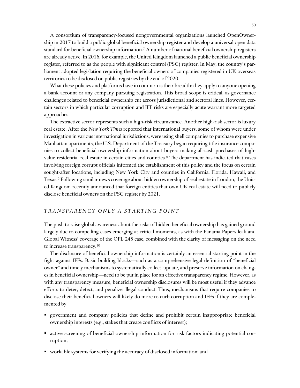A consortium of transparency-focused nongovernmental organizations launched OpenOwnership in 2017 to build a public global beneficial ownership register and develop a universal open data standard for beneficial ownership information.<sup>7</sup> A number of national beneficial ownership registers are already active. In 2016, for example, the United Kingdom launched a public beneficial ownership register, referred to as the people with significant control (PSC) register. In May, the country's parliament adopted legislation requiring the beneficial owners of companies registered in UK overseas territories to be disclosed on public registries by the end of 2020.

What these policies and platforms have in common is their breadth: they apply to anyone opening a bank account or any company pursuing registration. This broad scope is critical, as governance challenges related to beneficial ownership cut across jurisdictional and sectoral lines. However, certain sectors in which particular corruption and IFF risks are especially acute warrant more targeted approaches.

The extractive sector represents such a high-risk circumstance. Another high-risk sector is luxury real estate. After the *New York Times* reported that international buyers, some of whom were under investigation in various international jurisdictions, were using shell companies to purchase expensive Manhattan apartments, the U.S. Department of the Treasury began requiring title insurance companies to collect beneficial ownership information about buyers making all-cash purchases of highvalue residential real estate in certain cities and counties.<sup>8</sup> The department has indicated that cases involving foreign corrupt officials informed the establishment of this policy and the focus on certain sought-after locations, including New York City and counties in California, Florida, Hawaii, and Texas.<sup>9</sup> Following similar news coverage about hidden ownership of real estate in London, the United Kingdom recently announced that foreign entities that own UK real estate will need to publicly disclose beneficial owners on the PSC register by 2021.

## *T R A N S P A R E N C Y O N L Y A S T A R T I N G P O I N T*

The push to raise global awareness about the risks of hidden beneficial ownership has gained ground largely due to compelling cases emerging at critical moments, as with the Panama Papers leak and Global Witness' coverage of the OPL 245 case, combined with the clarity of messaging on the need to increase transparency.<sup>10</sup>

The disclosure of beneficial ownership information is certainly an essential starting point in the fight against IFFs. Basic building blocks—such as a comprehensive legal definition of "beneficial owner" and timely mechanisms to systematically collect, update, and preserve information on changes in beneficial ownership—need to be put in place for an effective transparency regime. However, as with any transparency measure, beneficial ownership disclosures will be most useful if they advance efforts to deter, detect, and penalize illegal conduct. Thus, mechanisms that require companies to disclose their beneficial owners will likely do more to curb corruption and IFFs if they are complemented by

- government and company policies that define and prohibit certain inappropriate beneficial ownership interests (e.g., stakes that create conflicts of interest);
- active screening of beneficial ownership information for risk factors indicating potential corruption;
- workable systems for verifying the accuracy of disclosed information; and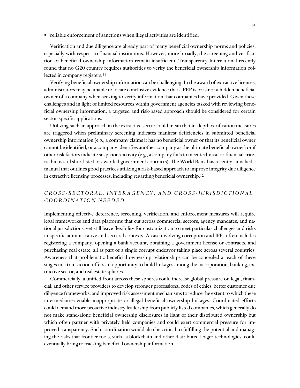reliable enforcement of sanctions when illegal activities are identified.

Verification and due diligence are already part of many beneficial ownership norms and policies, especially with respect to financial institutions. However, more broadly, the screening and verification of beneficial ownership information remain insufficient. Transparency International recently found that no G20 country requires authorities to verify the beneficial ownership information collected in company registers. 11

Verifying beneficial ownership information can be challenging. In the award of extractive licenses, administrators may be unable to locate conclusive evidence that a PEP is or is not a hidden beneficial owner of a company when seeking to verify information that companies have provided. Given these challenges and in light of limited resources within government agencies tasked with reviewing beneficial ownership information, a targeted and risk-based approach should be considered for certain sector-specific applications.

Utilizing such an approach in the extractive sector could mean that in-depth verification measures are triggered when preliminary screening indicates manifest deficiencies in submitted beneficial ownership information (e.g., a company claims it has no beneficial owner or that its beneficial owner cannot be identified, or a company identifies another company as the ultimate beneficial owner) or if other risk factors indicate suspicious activity (e.g., a company fails to meet technical or financial criteria but is still shortlisted or awarded government contracts). The World Bank has recently launched a manual that outlines good practices utilizing a risk-based approach to improve integrity due diligence in extractive licensing processes, including regarding beneficial ownership.<sup>12</sup>

## *C R O S S - S E C T O R A L , I N T E R A G E N C Y , A N D C R O S S - J U R I S D I C T I O N A L C O O R D I N A T I O N N E E D E D*

Implementing effective deterrence, screening, verification, and enforcement measures will require legal frameworks and data platforms that cut across commercial sectors, agency mandates, and national jurisdictions, yet still leave flexibility for customization to meet particular challenges and risks in specific administrative and sectoral contexts. A case involving corruption and IFFs often includes registering a company, opening a bank account, obtaining a government license or contracts, and purchasing real estate, all as part of a single corrupt endeavor taking place across several countries. Awareness that problematic beneficial ownership relationships can be concealed at each of these stages in a transaction offers an opportunity to build linkages among the incorporation, banking, extractive sector, and real estate spheres.

Commercially, a unified front across these spheres could increase global pressure on legal, financial, and other service providers to develop stronger professional codes of ethics, better customer due diligence frameworks, and improved risk assessment mechanisms to reduce the extent to which these intermediaries enable inappropriate or illegal beneficial ownership linkages. Coordinated efforts could demand more proactive industry leadership from publicly listed companies, which generally do not make stand-alone beneficial ownership disclosures in light of their distributed ownership but which often partner with privately held companies and could exert commercial pressure for improved transparency. Such coordination would also be critical to fulfilling the potential and managing the risks that frontier tools, such as blockchain and other distributed ledger technologies, could eventually bring to tracking beneficial ownership information.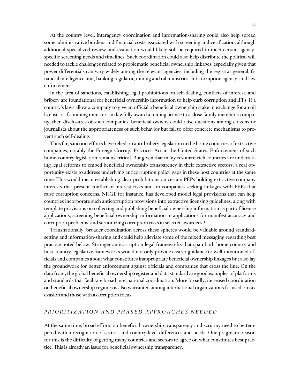At the country level, interagency coordination and information-sharing could also help spread some administrative burdens and financial costs associated with screening and verification, although additional specialized review and evaluation would likely still be required to meet certain agencyspecific screening needs and timelines. Such coordination could also help distribute the political will needed to tackle challenges related to problematic beneficial ownership linkages, especially given that power differentials can vary widely among the relevant agencies, including the registrar general, financial intelligence unit, banking regulator, mining and oil ministries, anticorruption agency, and law enforcement.

In the area of sanctions, establishing legal prohibitions on self-dealing, conflicts of interest, and bribery are foundational for beneficial ownership information to help curb corruption and IFFs. If a country's laws allow a company to give an official a beneficial ownership stake in exchange for an oil license or if a mining minister can lawfully award a mining license to a close family member's company, then disclosures of such companies' beneficial owners could raise questions among citizens or journalists about the appropriateness of such behavior but fail to offer concrete mechanisms to prevent such self-dealing.

Thus far, sanction efforts have relied on anti-bribery legislation in the home countries of extractive companies, notably the Foreign Corrupt Practices Act in the United States. Enforcement of such home-country legislation remains critical. But given that many resource-rich countries are undertaking legal reforms to embed beneficial ownership transparency in their extractive sectors, a real opportunity exists to address underlying anticorruption policy gaps in these host countries at the same time. This would mean establishing clear prohibitions on certain PEPs holding extractive company interests that present conflict-of-interest risks and on companies seeking linkages with PEPs that raise corruption concerns. NRGI, for instance, has developed model legal provisions that can help countries incorporate such anticorruption provisions into extractive licensing guidelines, along with template provisions on collecting and publishing beneficial ownership information as part of license applications, screening beneficial ownership information in applications for manifest accuracy and corruption problems, and scrutinizing corruption risks in selected awardees.<sup>13</sup>

Transnationally, broader coordination across these spheres would be valuable around standardsetting and information-sharing and could help alleviate some of the mixed messaging regarding best practice noted below. Stronger anticorruption legal frameworks that span both home country and host country legislative frameworks would not only provide clearer guidance to well-intentioned officials and companies about what constitutes inappropriate beneficial ownership linkages but also lay the groundwork for better enforcement against officials and companies that cross the line. On the data front, the global beneficial ownership register and data standard are good examples of platforms and standards that facilitate broad international coordination. More broadly, increased coordination on beneficial ownership regimes is also warranted among international organizations focused on tax evasion and those with a corruption focus.

## *P R I O R I T I Z A T I O N A N D P H A S E D A P P R O A C H E S N E E D E D*

At the same time, broad efforts on beneficial ownership transparency and scrutiny need to be tempered with a recognition of sector- and country-level differences and needs. One pragmatic reason for this is the difficulty of getting many countries and sectors to agree on what constitutes best practice. This is already an issue for beneficial ownership transparency.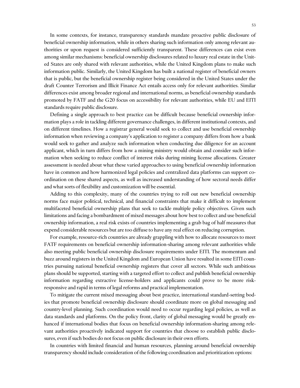In some contexts, for instance, transparency standards mandate proactive public disclosure of beneficial ownership information, while in others sharing such information only among relevant authorities or upon request is considered sufficiently transparent. These differences can exist even among similar mechanisms: beneficial ownership disclosures related to luxury real estate in the United States are only shared with relevant authorities, while the United Kingdom plans to make such information public. Similarly, the United Kingdom has built a national register of beneficial owners that is public, but the beneficial ownership register being considered in the United States under the draft Counter Terrorism and Illicit Finance Act entails access only for relevant authorities. Similar differences exist among broader regional and international norms, as beneficial ownership standards promoted by FATF and the G20 focus on accessibility for relevant authorities, while EU and EITI standards require public disclosure.

Defining a single approach to best practice can be difficult because beneficial ownership information plays a role in tackling different governance challenges, in different institutional contexts, and on different timelines. How a registrar general would seek to collect and use beneficial ownership information when reviewing a company's application to register a company differs from how a bank would seek to gather and analyze such information when conducting due diligence for an account applicant, which in turn differs from how a mining ministry would obtain and consider such information when seeking to reduce conflict of interest risks during mining license allocations. Greater assessment is needed about what these varied approaches to using beneficial ownership information have in common and how harmonized legal policies and centralized data platforms can support coordination on these shared aspects, as well as increased understanding of how sectoral needs differ and what sorts of flexibility and customization will be essential.

Adding to this complexity, many of the countries trying to roll out new beneficial ownership norms face major political, technical, and financial constraints that make it difficult to implement multifaceted beneficial ownership plans that seek to tackle multiple policy objectives. Given such limitations and facing a bombardment of mixed messages about how best to collect and use beneficial ownership information, a real risk exists of countries implementing a grab bag of half measures that expend considerable resources but are too diffuse to have any real effect on reducing corruption.

For example, resource-rich countries are already grappling with how to allocate resources to meet FATF requirements on beneficial ownership information-sharing among relevant authorities while also meeting public beneficial ownership disclosure requirements under EITI. The momentum and buzz around registers in the United Kingdom and European Union have resulted in some EITI countries pursuing national beneficial ownership registers that cover all sectors. While such ambitious plans should be supported, starting with a targeted effort to collect and publish beneficial ownership information regarding extractive license-holders and applicants could prove to be more riskresponsive and rapid in terms of legal reforms and practical implementation.

To mitigate the current mixed messaging about best practice, international standard-setting bodies that promote beneficial ownership disclosure should coordinate more on global messaging and country-level planning. Such coordination would need to occur regarding legal policies, as well as data standards and platforms. On the policy front, clarity of global messaging would be greatly enhanced if international bodies that focus on beneficial ownership information-sharing among relevant authorities proactively indicated support for countries that choose to establish public disclosures, even if such bodies do not focus on public disclosure in their own efforts.

In countries with limited financial and human resources, planning around beneficial ownership transparency should include consideration of the following coordination and prioritization options: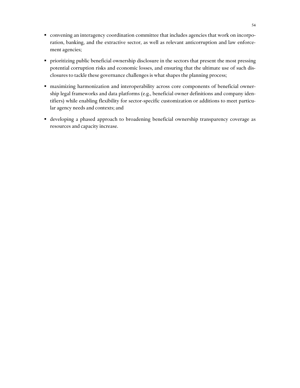- convening an interagency coordination committee that includes agencies that work on incorporation, banking, and the extractive sector, as well as relevant anticorruption and law enforcement agencies;
- prioritizing public beneficial ownership disclosure in the sectors that present the most pressing potential corruption risks and economic losses, and ensuring that the ultimate use of such disclosures to tackle these governance challenges is what shapes the planning process;
- maximizing harmonization and interoperability across core components of beneficial ownership legal frameworks and data platforms (e.g., beneficial owner definitions and company identifiers) while enabling flexibility for sector-specific customization or additions to meet particular agency needs and contexts; and
- developing a phased approach to broadening beneficial ownership transparency coverage as resources and capacity increase.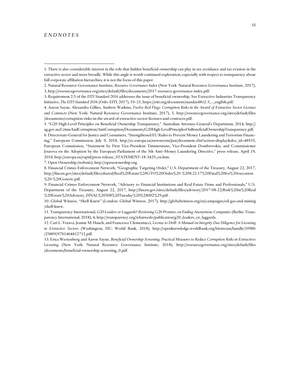## *E N D N O T E S*

 $\overline{a}$ 

7. Open Ownership (website), http://openownership.org.

8. Financial Crimes Enforcement Network, "Geographic Targeting Order," U.S. Department of the Treasury, August 22, 2017, http://fincen.gov/sites/default/files/shared/Real%20Estate%20GTO%20Order%20-%208.22.17%20Final%20for%20execution %20-%20Generic.pdf.

9. Financial Crimes Enforcement Network, "Advisory to Financial Institutions and Real Estate Firms and Professionals," U.S. Department of the Treasury, August 22, 2017, http://fincen.gov/sites/default/files/advisory/2017-08-22/Risk%20in%20Real %20Estate%20Advisory\_FINAL%20508%20Tuesday%20%28002%29.pdf .

<sup>1.</sup> There is also considerable interest in the role that hidden beneficial ownership can play in tax avoidance and tax evasion in the extractive sector and more broadly. While this angle is worth continued exploration, especially with respect to transparency about full corporate affiliation hierarchies, it is not the focus of this paper.

<sup>2.</sup> Natural Resource Governance Institute, *Resource Governance Index* (New York: Natural Resource Governance Institute, 2017), 3, http://resourcegovernance.org/sites/default/files/documents/2017-resource-governance-index.pdf.

<sup>3.</sup> Requirement 2.5 of the *EITI Standard 2016* addresses the issue of beneficial ownership. See Extractive Industries Transparency Initiative, *The EITI Standard 2016* (Oslo: EITI, 2017), 19–21, https://eiti.org/document/standard#r2-5\_-\_english.pdf.

<sup>4.</sup> Aaron Sayne, Alexandra Gillies, Andrew Watkins, *Twelve Red Flags: Corruption Risks in the Award of Extractive Sector Licenses and Contracts* (New York: Natural Resource Governance Institute, 2017), 5, http://resourcegovernance.org/sites/default/files /documents/corruption-risks-in-the-award-of-extractive-sector-licenses-and-contracts.pdf.

<sup>5</sup>. "G20 High-Level Principles on Beneficial Ownership Transparency," Australian Attorney-General's Department, 2014, http:// ag.gov.au/CrimeAndCorruption/AntiCorruption/Documents/G20High-LevelPrinciplesOnBeneficialOwnershipTransparency.pdf. 6. Directorate-General for Justice and Consumers, "Strengthened EU Rules to Prevent Money Laundering and Terrorism Financing," European Commission, July 9, 2018, http://ec.europa.eu/newsroom/just/document.cfm?action=display&doc\_id=48935; European Commission, "Statement by First Vice-President Timmermans, Vice-President Dombrovskis, and Commissioner Jourova on the Adoption by the European Parliament of the 5th Anti–Money Laundering Directive," press release, April 19, 2018, http://europa.eu/rapid/press-release\_STATEMENT-18-3429\_en.htm.

<sup>10</sup>. Global Witness, "Shell Knew" (London: Global Witness, 2017), http://globalwitness.org/en/campaigns/oil-gas-and-mining /shell-knew.

<sup>11.</sup> Transparency International, *G20 Leaders or Laggards? Reviewing G20 Promises on Ending Anonymous Companies* (Berlin: Transparency International, 2018), 4, http://transparency.org/whatwedo/publication/g20\_leaders\_or\_laggards.

<sup>12.</sup> Cari L. Votava, Jeanne M. Hauch, and Francesco Clementucci, *License to Drill: A Manual on Integrity Due Diligence for Licensing in Extractive Sectors* (Washington, DC: World Bank, 2018), http://openknowledge.worldbank.org/bitstream/handle/10986 /29809/9781464812712.pdf.

<sup>13.</sup> Erica Westenberg and Aaron Sayne, *Beneficial Ownership Screening: Practical Measures to Reduce Corruption Risks in Extractives Licensing* (New York: Natural Resource Governance Institute, 2018), http://resourcegovernance.org/sites/default/files /documents/beneficial-ownership-screening\_0.pdf.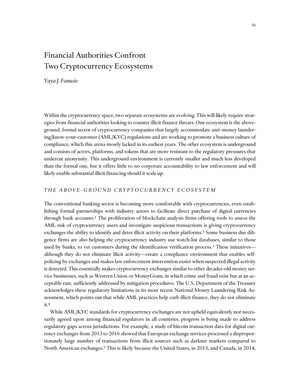# <span id="page-58-0"></span>Financial Authorities Confront Two Cryptocurrency Ecosystems

*Yaya J. Fanusie*

Within the cryptocurrency space, two separate ecosystems are evolving. This will likely require strategies from financial authorities looking to counter illicit finance threats. One ecosystem is the aboveground, formal sector of cryptocurrency companies that largely accommodate anti–money laundering/know-your-customer (AML/KYC) regulations and are working to promote a business culture of compliance, which this arena mostly lacked in its earliest years. The other ecosystem is underground and consists of actors, platforms, and tokens that are more resistant to the regulatory pressures that undercut anonymity. This underground environment is currently smaller and much less developed than the formal one, but it offers little to no corporate accountability to law enforcement and will likely enable substantial illicit financing should it scale up.

## *T H E A B O V E - G R O U N D C R Y P T O C U R R E N C Y E C O S Y S T E M*

The conventional banking sector is becoming more comfortable with cryptocurrencies, even establishing formal partnerships with industry actors to facilitate direct purchase of digital currencies through bank accounts.<sup>1</sup> The proliferation of blockchain analysis firms offering tools to assess the AML risk of cryptocurrency users and investigate suspicious transactions is giving cryptocurrency exchanges the ability to identify and deter illicit activity on their platforms.<sup>2</sup> Some business due diligence firms are also helping the cryptocurrency industry use watch-list databases, similar to those used by banks, to vet customers during the identification verification process.<sup>3</sup> These initiatives although they do not eliminate illicit activity—create a compliance environment that enables selfpolicing by exchanges and makes law enforcement intervention easier when suspected illegal activity is detected. This essentially makes cryptocurrency exchanges similar to other decades-old money service businesses, such as Western Union or MoneyGram, in which crime and fraud exist but at an acceptable rate, sufficiently addressed by mitigation procedures. The U.S. Department of the Treasury acknowledges these regulatory limitations in its most recent National Money Laundering Risk Assessment, which points out that while AML practices help curb illicit finance, they do not eliminate it.<sup>4</sup>

While AML/KYC standards for cryptocurrency exchanges are not upheld equivalently nor necessarily agreed upon among financial regulators in all countries, progress is being made to address regulatory gaps across jurisdictions. For example, a study of bitcoin transaction data for digital currency exchanges from 2013 to 2016 showed that European exchange services processed a disproportionately large number of transactions from illicit sources such as darknet markets compared to North American exchanges.<sup>5</sup> This is likely because the United States, in 2013, and Canada, in 2014,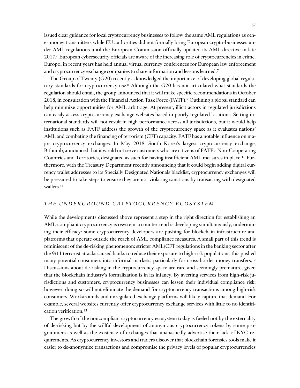issued clear guidance for local cryptocurrency businesses to follow the same AML regulations as other money transmitters while EU authorities did not formally bring European crypto-businesses under AML regulations until the European Commission officially updated its AML directive in late 2017.<sup>6</sup> European cybersecurity officials are aware of the increasing role of cryptocurrencies in crime. Europol in recent years has held annual virtual currency conferences for European law enforcement

The Group of Twenty (G20) recently acknowledged the importance of developing global regulatory standards for cryptocurrency use.<sup>8</sup> Although the G20 has not articulated what standards the regulation should entail, the group announced that it will make specific recommendations in October 2018, in consultation with the Financial Action Task Force (FATF).<sup>9</sup> Outlining a global standard can help minimize opportunities for AML arbitrage. At present, illicit actors in regulated jurisdictions can easily access cryptocurrency exchange websites based in poorly regulated locations. Setting international standards will not result in high performance across all jurisdictions, but it would help institutions such as FATF address the growth of the cryptocurrency space as it evaluates nations' AML and combating the financing of terrorism (CFT) capacity. FATF has a notable influence on major cryptocurrency exchanges. In May 2018, South Korea's largest cryptocurrency exchange, Bithumb, announced that it would not serve customers who are citizens of FATF's Non-Cooperating Countries and Territories, designated as such for having insufficient AML measures in place.<sup>10</sup> Furthermore, with the Treasury Department recently announcing that it could begin adding digital currency wallet addresses to its Specially Designated Nationals blacklist, cryptocurrency exchanges will be pressured to take steps to ensure they are not violating sanctions by transacting with designated wallets.<sup>11</sup>

## *T H E U N D E R G R O U N D C R Y P T O C U R R E N C Y E C O S Y S T E M*

and cryptocurrency exchange companies to share information and lessons learned.<sup>7</sup>

While the developments discussed above represent a step in the right direction for establishing an AML-compliant cryptocurrency ecosystem, a countertrend is developing simultaneously, undermining their efficacy: some cryptocurrency developers are pushing for blockchain infrastructure and platforms that operate outside the reach of AML compliance measures. A small part of this trend is reminiscent of the de-risking phenomenon: stricter AML/CFT regulations in the banking sector after the 9/11 terrorist attacks caused banks to reduce their exposure to high-risk populations; this pushed many potential consumers into informal markets, particularly for cross-border money transfers.<sup>12</sup> Discussions about de-risking in the cryptocurrency space are rare and seemingly premature, given that the blockchain industry's formalization is in its infancy. By averting services from high-risk jurisdictions and customers, cryptocurrency businesses can lessen their individual compliance risk; however, doing so will not eliminate the demand for cryptocurrency transactions among high-risk consumers. Workarounds and unregulated exchange platforms will likely capture that demand. For example, several websites currently offer cryptocurrency exchange services with little to no identification verification.<sup>13</sup>

The growth of the noncompliant cryptocurrency ecosystem today is fueled not by the externality of de-risking but by the willful development of anonymous cryptocurrency tokens by some programmers as well as the existence of exchanges that unabashedly advertise their lack of KYC requirements. As cryptocurrency investors and traders discover that blockchain forensics tools make it easier to de-anonymize transactions and compromise the privacy levels of popular cryptocurrencies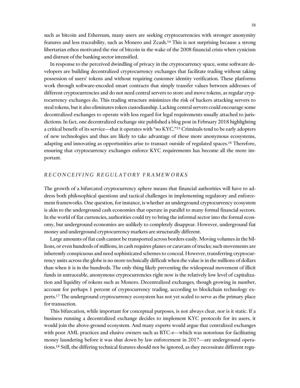such as bitcoin and Ethereum, many users are seeking cryptocurrencies with stronger anonymity features and less traceability, such as Monero and Zcash.<sup>14</sup> This is not surprising because a strong libertarian ethos motivated the rise of bitcoin in the wake of the 2008 financial crisis when cynicism and distrust of the banking sector intensified.

In response to the perceived dwindling of privacy in the cryptocurrency space, some software developers are building decentralized cryptocurrency exchanges that facilitate trading without taking possession of users' tokens and without requiring customer identity verification. These platforms work through software-encoded smart contracts that simply transfer values between addresses of different cryptocurrencies and do not need central servers to store and move tokens, as regular cryptocurrency exchanges do. This trading structure minimizes the risk of hackers attacking servers to steal tokens, but it also eliminates token custodianship. Lacking central servers could encourage some decentralized exchanges to operate with less regard for legal requirements usually attached to jurisdictions. In fact, one decentralized exchange site published a blog post in February 2018 highlighting a critical benefit of its service—that it operates with "no KYC."<sup>15</sup> Criminals tend to be early adopters of new technologies and thus are likely to take advantage of these more anonymous ecosystems, adapting and innovating as opportunities arise to transact outside of regulated spaces.<sup>16</sup> Therefore, ensuring that cryptocurrency exchanges enforce KYC requirements has become all the more important.

## *R E C O N C E I V I N G R E G U L A T O R Y F R A M E W O R K S*

The growth of a bifurcated cryptocurrency sphere means that financial authorities will have to address both philosophical questions and tactical challenges in implementing regulatory and enforcement frameworks. One question, for instance, is whether an underground cryptocurrency ecosystem is akin to the underground cash economies that operate in parallel to many formal financial sectors. In the world of fiat currencies, authorities could try to bring the informal sector into the formal economy, but underground economies are unlikely to completely disappear. However, underground fiat money and underground cryptocurrency markets are structurally different.

Large amounts of fiat cash cannot be transported across borders easily. Moving volumes in the billions, or even hundreds of millions, in cash requires planes or caravans of trucks; such movements are inherently conspicuous and need sophisticated schemes to conceal. However, transferring cryptocurrency units across the globe is no more technically difficult when the value is in the millions of dollars than when it is in the hundreds. The only thing likely preventing the widespread movement of illicit funds in untraceable, anonymous cryptocurrencies right now is the relatively low level of capitalization and liquidity of tokens such as Monero. Decentralized exchanges, though growing in number, account for perhaps 1 percent of cryptocurrency trading, according to blockchain technology experts.<sup>17</sup> The underground cryptocurrency ecosystem has not yet scaled to serve as the primary place for transaction.

This bifurcation, while important for conceptual purposes, is not always clear, nor is it static. If a business running a decentralized exchange decides to implement KYC protocols for its users, it would join the above-ground ecosystem. And many experts would argue that centralized exchanges with poor AML practices and elusive owners such as BTC-e—which was notorious for facilitating money laundering before it was shut down by law enforcement in 2017—are underground operations.<sup>18</sup> Still, the differing technical features should not be ignored, as they necessitate different regu-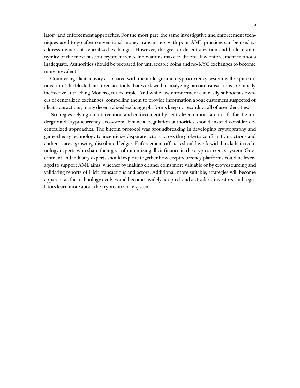latory and enforcement approaches. For the most part, the same investigative and enforcement techniques used to go after conventional money transmitters with poor AML practices can be used to address owners of centralized exchanges. However, the greater decentralization and built-in anonymity of the most nascent cryptocurrency innovations make traditional law enforcement methods inadequate. Authorities should be prepared for untraceable coins and no-KYC exchanges to become more prevalent.

Countering illicit activity associated with the underground cryptocurrency system will require innovation. The blockchain forensics tools that work well in analyzing bitcoin transactions are mostly ineffective at tracking Monero, for example. And while law enforcement can easily subpoenas owners of centralized exchanges, compelling them to provide information about customers suspected of illicit transactions, many decentralized exchange platforms keep no records at all of user identities.

Strategies relying on intervention and enforcement by centralized entities are not fit for the underground cryptocurrency ecosystem. Financial regulation authorities should instead consider decentralized approaches. The bitcoin protocol was groundbreaking in developing cryptography and game-theory technology to incentivize disparate actors across the globe to confirm transactions and authenticate a growing, distributed ledger. Enforcement officials should work with blockchain technology experts who share their goal of minimizing illicit finance in the cryptocurrency system. Government and industry experts should explore together how cryptocurrency platforms could be leveraged to support AML aims, whether by making cleaner coins more valuable or by crowdsourcing and validating reports of illicit transactions and actors. Additional, more suitable, strategies will become apparent as the technology evolves and becomes widely adopted, and as traders, investors, and regulators learn more about the cryptocurrency system.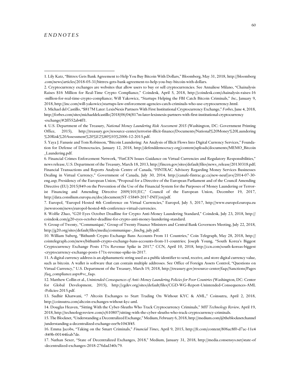#### *E N D N O T E S*

 $\overline{a}$ 

7. Europol, "Europol Hosted 4th Conference on Virtual Currencies," Europol, July 5, 2017, http://www.europol.europa.eu /newsroom/news/europol-hosted-4th-conference-virtual-currencies.

8. Wolfie Zhao, "G20 Eyes October Deadline for Crypto Anti-Money Laundering Standard," Coindesk, July 23, 2018, http:// coindesk.com/g20-eyes-october-deadline-for-crypto-anti-money-laundering-standard.

9. Group of Twenty, "Communiqué," Group of Twenty Finance Ministers and Central Bank Governors Meeting, July 22, 2018, http://g20.org/sites/default/files/media/communique-\_fmcbg\_july.pdf.

10. William Suberg, "Bithumb Crypto Exchange Bans Accounts From 11 Countries," Coin Telegraph, May 28, 2018, http:// cointelegraph.com/news/bithumb-crypto-exchange-bans-accounts-from-11-countries; Joseph Young, "South Korea's Biggest Cryptocurrency Exchange Posts 171x Revenue Spike in 2017," CCN, April 10, 2018, http://ccn.com/south-koreas-biggest -cryptocurrency-exchange-posts-171x-revenue-spike-in-2017.

11. A digital currency address is an alphanumeric string used as a public identifier to send, receive, and store digital currency value, such as bitcoin. A wallet is software that can contain multiple addresses. See Office of Foreign Assets Control, "Questions on Virtual Currency," U.S. Department of the Treasury, March 19, 2018, http://treasury.gov/resource-center/faqs/Sanctions/Pages /faq\_compliance.aspx#vc\_faqs.

12. Matthew Collin et al., *Unintended Consequences of Anti–Money Laundering Policies for Poor Countries* (Washington, DC: Center for Global Development, 2015), http://cgdev.org/sites/default/files/CGD-WG-Report-Unintended-Consequences-AML -Policies-2015.pdf.

13. Sudhir Khatwani, "7 Altcoin Exchanges to Start Trading On Without KYC & AML," Coinsutra, April 2, 2018, http://coinsutra.com/altcoin-exchanges-without-kyc-aml.

14. Douglas Heaven, "Sitting With the Cyber-Sleuths Who Track Cryptocurrency Criminals," *MIT Technology Review,* April 19, 2018, http://technologyreview.com/s/610807/sitting-with-the-cyber-sleuths-who-track-cryptocurrency-criminals.

15. The Blocknet, "Understanding a Decentralized Exchange," Medium, February 6, 2018, http://medium.com/@theblocknetchannel /understanding-a-decentralized-exchange-eee9e1043f45*.*

16. Emma Jacobs, "Taking on the Smart Criminals," *Financial Times*, April 9, 2015, http://ft.com/content/806ac8f0-d7ac-11e4 -849b-00144feab7de.

17. Nathan Sexer, "State of Decentralized Exchanges, 2018," Medium, January 31, 2018, http://media.consensys.net/state-of -decentralized-exchanges-2018-276dad340c79.

<sup>1</sup>. Lily Katz, "Bittrex Gets Bank Agreement to Help You Buy Bitcoin With Dollars," Bloomberg, May 31, 2018, http://bloomberg .com/news/articles/2018-05-31/bittrex-gets-bank-agreement-to-help-you-buy-bitcoin-with-dollars.

<sup>2</sup>. Cryptocurrency exchanges are websites that allow users to buy or sell cryptocurrencies. See Annaliese Milano, "Chainalysis Raises \$16 Million for Real-Time Crypto Compliance," Coindesk*,* April 5, 2018, http://coindesk.com/chainalysis-raises-16 -million-for-real-time-crypto-compliance; Will Yakowicz, "Startups Helping the FBI Catch Bitcoin Criminals," *Inc.,* January 9, 2018, http://inc.com/will-yakowicz/startups-law-enforcement-agencies-catch-criminals-who-use-cryptocurrency.html.

<sup>3</sup>. Michael del Castillo, "\$817M Later: LexisNexis Partners With First Institutional Cryptocurrency Exchange," *Forbes*, June 4, 2018, http://forbes.com/sites/michaeldelcastillo/2018/06/04/817m-later-lexisnexis-partners-with-first-institutional-cryptocurrency -exchange/#2ff552ab4ff1.

<sup>4.</sup> U.S. Department of the Treasury, *National Money Laundering Risk Assessment 2015* (Washington, DC: Government Printing Office, 2015), http://treasury.gov/resource-center/terrorist-illicit-finance/Documents/National%20Money%20Laundering %20Risk%20Assessment%20%E2%80%93%2006-12-2015.pdf.

<sup>5</sup>. Yaya J. Fanusie and Tom Robinson, "Bitcoin Laundering: An Analysis of Illicit Flows Into Digital Currency Services," Foundation for Defense of Democracies, January 12, 2018, http://defenddemocracy.org/content/uploads/documents/MEMO\_Bitcoin \_Laundering.pdf.

<sup>6</sup>. Financial Crimes Enforcement Network, "FinCEN Issues Guidance on Virtual Currencies and Regulatory Responsibilities," news release, U.S. Department of the Treasury, March 18, 2013, http://fincen.gov/sites/default/files/news\_release/20130318.pdf; Financial Transactions and Reports Analysis Centre of Canada, "FINTRAC Advisory Regarding Money Services Businesses Dealing in Virtual Currency," Government of Canada, July 30, 2014, http://canafe-fintrac.gc.ca/new-neuf/avs/2014-07-30 eng.asp; Presidency of the European Union, "Proposal for a Directive of the European Parliament and of the Council Amending Directive (EU) 2015/849 on the Prevention of the Use of the Financial System for the Purposes of Money Laundering or Terrorist Financing and Amending Directive 2009/101/EC*,*" Council of the European Union, December 19, 2017, http://data.consilium.europa.eu/doc/document/ST-15849-2017-INIT/en/pdf.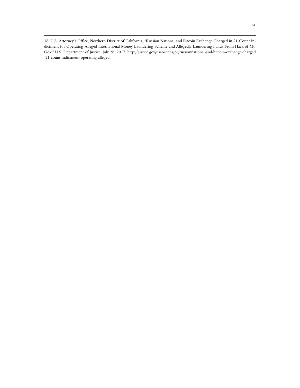18. U.S. Attorney's Office, Northern District of California, "Russian National and Bitcoin Exchange Charged in 21-Count Indictment for Operating Alleged International Money Laundering Scheme and Allegedly Laundering Funds From Hack of Mt. Gox," U.S. Department of Justice, July 26, 2017, http://justice.gov/usao-ndca/pr/russiannational-and-bitcoin-exchange-charged -21-count-indictment-operating-alleged.

 $\overline{a}$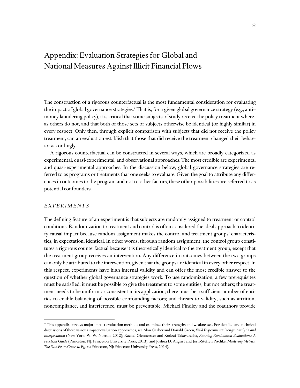# Appendix: Evaluation Strategies for Global and National Measures Against Illicit Financial Flows

The construction of a rigorous counterfactual is the most fundamental consideration for evaluating the impact of global governance strategies.\* That is, for a given global governance strategy (e.g., anti– money laundering policy), it is critical that some subjects of study receive the policy treatment whereas others do not, and that both of those sets of subjects otherwise be identical (or highly similar) in every respect. Only then, through explicit comparison with subjects that did not receive the policy treatment, can an evaluation establish that those that did receive the treatment changed their behavior accordingly.

A rigorous counterfactual can be constructed in several ways, which are broadly categorized as experimental, quasi-experimental, and observational approaches. The most credible are experimental and quasi-experimental approaches. In the discussion below, global governance strategies are referred to as programs or treatments that one seeks to evaluate. Given the goal to attribute any differences in outcomes to the program and not to other factors, these other possibilities are referred to as potential confounders.

## *E X P E R I M E N T S*

 $\overline{a}$ 

The defining feature of an experiment is that subjects are randomly assigned to treatment or control conditions. Randomization to treatment and control is often considered the ideal approach to identify causal impact because random assignment makes the control and treatment groups' characteristics, in expectation, identical. In other words, through random assignment, the control group constitutes a rigorous counterfactual because it is theoretically identical to the treatment group, except that the treatment group receives an intervention. Any difference in outcomes between the two groups can only be attributed to the intervention, given that the groups are identical in every other respect. In this respect, experiments have high internal validity and can offer the most credible answer to the question of whether global governance strategies work. To use randomization, a few prerequisites must be satisfied: it must be possible to give the treatment to some entities, but not others; the treatment needs to be uniform or consistent in its application; there must be a sufficient number of entities to enable balancing of possible confounding factors; and threats to validity, such as attrition, noncompliance, and interference, must be preventable. Michael Findley and the coauthors provide

<sup>\*</sup> This appendix surveys major impact evaluation methods and examines their strengths and weaknesses. For detailed and technical discussions of these various impact evaluation approaches, see Alan Gerber and Donald Green, *Field Experiments: Design, Analysis, and Interpretation* (New York: W. W. Norton, 2012); Rachel Glennerster and Kudzai Takavarasha, *Running Randomized Evaluations: A Practical Guide* (Princeton, NJ: Princeton University Press, 2013); and Joshua D. Angrist and Jorn-Steffen Pischke, *Mastering Metrics: The Path From Cause to Effect*(Princeton, NJ: Princeton University Press, 2014).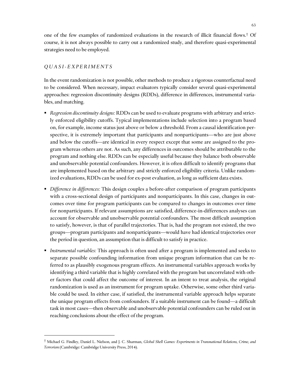one of the few examples of randomized evaluations in the research of illicit financial flows.† Of course, it is not always possible to carry out a randomized study, and therefore quasi-experimental strategies need to be employed.

## *Q U A S I - E X P E R I M E N T S*

 $\overline{a}$ 

In the event randomization is not possible, other methods to produce a rigorous counterfactual need to be considered. When necessary, impact evaluators typically consider several quasi-experimental approaches: regression discontinuity designs (RDDs), difference in differences, instrumental variables, and matching.

- *Regression discontinuity designs:* RDDs can be used to evaluate programs with arbitrary and strictly enforced eligibility cutoffs. Typical implementations include selection into a program based on, for example, income status just above or below a threshold. From a causal identification perspective, it is extremely important that participants and nonparticipants—who are just above and below the cutoffs—are identical in every respect except that some are assigned to the program whereas others are not. As such, any differences in outcomes should be attributable to the program and nothing else. RDDs can be especially useful because they balance both observable and unobservable potential confounders. However, it is often difficult to identify programs that are implemented based on the arbitrary and strictly enforced eligibility criteria. Unlike randomized evaluations, RDDs can be used for ex-post evaluation, as long as sufficient data exists.
- *Difference in differences:* This design couples a before-after comparison of program participants with a cross-sectional design of participants and nonparticipants. In this case, changes in outcomes over time for program participants can be compared to changes in outcomes over time for nonparticipants. If relevant assumptions are satisfied, difference-in-differences analyses can account for observable and unobservable potential confounders. The most difficult assumption to satisfy, however, is that of parallel trajectories. That is, had the program not existed, the two groups—program participants and nonparticipants—would have had identical trajectories over the period in question, an assumption that is difficult to satisfy in practice.
- *Instrumental variables:* This approach is often used after a program is implemented and seeks to separate possible confounding information from unique program information that can be referred to as plausibly exogenous program effects. An instrumental variables approach works by identifying a third variable that is highly correlated with the program but uncorrelated with other factors that could affect the outcome of interest. In an intent to treat analysis, the original randomization is used as an instrument for program uptake. Otherwise, some other third variable could be used. In either case, if satisfied, the instrumental variable approach helps separate the unique program effects from confounders. If a suitable instrument can be found—a difficult task in most cases—then observable and unobservable potential confounders can be ruled out in reaching conclusions about the effect of the program.

<sup>†</sup> Michael G. Findley, Daniel L. Nielson, and J. C. Sharman, *Global Shell Games: Experiments in Transnational Relations, Crime, and Terrorism* (Cambridge: Cambridge University Press, 2014).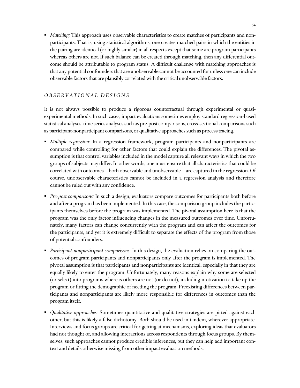*Matching:* This approach uses observable characteristics to create matches of participants and nonparticipants. That is, using statistical algorithms, one creates matched pairs in which the entities in the pairing are identical (or highly similar) in all respects except that some are program participants whereas others are not. If such balance can be created through matching, then any differential outcome should be attributable to program status. A difficult challenge with matching approaches is that any potential confounders that are unobservable cannot be accounted for unless one can include observable factors that are plausibly correlated with the critical unobservable factors.

## *O B S E R V A T I O N A L D E S I G N S*

It is not always possible to produce a rigorous counterfactual through experimental or quasiexperimental methods. In such cases, impact evaluations sometimes employ standard regression-based statistical analyses, time series analyses such as pre-post comparisons, cross-sectional comparisons such as participant-nonparticipant comparisons, or qualitative approaches such as process tracing.

- *Multiple regression:* In a regression framework, program participants and nonparticipants are compared while controlling for other factors that could explain the differences. The pivotal assumption is that control variables included in the model capture all relevant ways in which the two groups of subjects may differ. In other words, one must ensure that all characteristics that could be correlated with outcomes—both observable and unobservable—are captured in the regression. Of course, unobservable characteristics cannot be included in a regression analysis and therefore cannot be ruled out with any confidence.
- *Pre-post comparisons:* In such a design, evaluators compare outcomes for participants both before and after a program has been implemented. In this case, the comparison group includes the participants themselves before the program was implemented. The pivotal assumption here is that the program was the only factor influencing changes in the measured outcomes over time. Unfortunately, many factors can change concurrently with the program and can affect the outcomes for the participants, and yet it is extremely difficult to separate the effects of the program from those of potential confounders.
- *Participant-nonparticipant comparisons:* In this design, the evaluation relies on comparing the outcomes of program participants and nonparticipants only after the program is implemented. The pivotal assumption is that participants and nonparticipants are identical, especially in that they are equally likely to enter the program. Unfortunately, many reasons explain why some are selected (or select) into programs whereas others are not (or do not), including motivation to take up the program or fitting the demographic of needing the program. Preexisting differences between participants and nonparticipants are likely more responsible for differences in outcomes than the program itself.
- *Qualitative approaches:* Sometimes quantitative and qualitative strategies are pitted against each other, but this is likely a false dichotomy. Both should be used in tandem, wherever appropriate. Interviews and focus groups are critical for getting at mechanisms, exploring ideas that evaluators had not thought of, and allowing interactions across respondents through focus groups. By themselves, such approaches cannot produce credible inferences, but they can help add important context and details otherwise missing from other impact evaluation methods.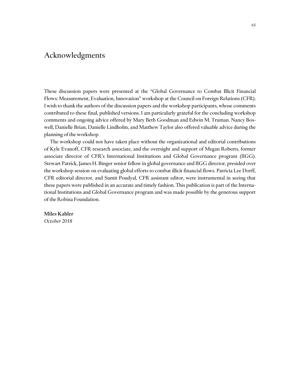## Acknowledgments

These discussion papers were presented at the "Global Governance to Combat Illicit Financial Flows: Measurement, Evaluation, Innovation" workshop at the Council on Foreign Relations (CFR). I wish to thank the authors of the discussion papers and the workshop participants, whose comments contributed to these final, published versions. I am particularly grateful for the concluding workshop comments and ongoing advice offered by Mary Beth Goodman and Edwin M. Truman. Nancy Boswell, Danielle Brian, Danielle Lindholm, and Matthew Taylor also offered valuable advice during the planning of the workshop.

The workshop could not have taken place without the organizational and editorial contributions of Kyle Evanoff, CFR research associate, and the oversight and support of Megan Roberts, former associate director of CFR's International Institutions and Global Governance program (IIGG). Stewart Patrick, James H. Binger senior fellow in global governance and IIGG director, presided over the workshop session on evaluating global efforts to combat illicit financial flows. Patricia Lee Dorff, CFR editorial director, and Sumit Poudyal, CFR assistant editor, were instrumental in seeing that these papers were published in an accurate and timely fashion. This publication is part of the International Institutions and Global Governance program and was made possible by the generous support of the Robina Foundation.

## Miles Kahler

*October 2018*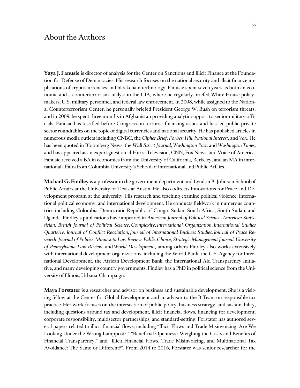## About the Authors

**Yaya J. Fanusie** is director of analysis for the Center on Sanctions and Illicit Finance at the Foundation for Defense of Democracies. His research focuses on the national security and illicit finance implications of cryptocurrencies and blockchain technology. Fanusie spent seven years as both an economic and a counterterrorism analyst in the CIA, where he regularly briefed White House policymakers, U.S. military personnel, and federal law enforcement. In 2008, while assigned to the National Counterterrorism Center, he personally briefed President George W. Bush on terrorism threats, and in 2009, he spent three months in Afghanistan providing analytic support to senior military officials. Fanusie has testified before Congress on terrorist financing issues and has led public-private sector roundtables on the topic of digital currencies and national security. He has published articles in numerous media outlets including CNBC, the *Cipher Brief*, *Forbes*, *Hill*, *National Interest*, and *Vox*. He has been quoted in Bloomberg News, the *Wall Street Journal*, *Washington Post*, and *Washington Times*, and has appeared as an expert guest on al-Hurra Television, CNN, Fox News, and Voice of America. Fanusie received a BA in economics from the University of California, Berkeley, and an MA in international affairs from Columbia University's School of International and Public Affairs.

**Michael G. Findley** is a professor in the government department and Lyndon B. Johnson School of Public Affairs at the University of Texas at Austin. He also codirects Innovations for Peace and Development program at the university. His research and teaching examine political violence, international political economy, and international development. He conducts fieldwork in numerous countries including Colombia, Democratic Republic of Congo, Sudan, South Africa, South Sudan, and Uganda. Findley's publications have appeared in *American Journal of Political Science*, *American Statistician*, *British Journal of Political Science*, *Complexity*, *International Organization*, *International Studies Quarterly*, *Journal of Conflict Resolution*, *Journal of International Business Studies*, *Journal of Peace Research*, *Journal of Politics*, *Minnesota Law Review, Public Choice*, *Strategic Management Journal*, *University of Pennsylvania Law Review*, and *World Development*, among others. Findley also works extensively with international development organizations, including the World Bank, the U.S. Agency for International Development, the African Development Bank, the International Aid Transparency Initiative, and many developing country governments. Findley has a PhD in political science from the University of Illinois, Urbana-Champaign.

**Maya Forstater** is a researcher and advisor on business and sustainable development. She is a visiting fellow at the Center for Global Development and an advisor to the B Team on responsible tax practice. Her work focuses on the intersection of public policy, business strategy, and sustainability, including questions around tax and development, illicit financial flows, financing for development, corporate responsibility, multisector partnerships, and standard-setting. Forstater has authored several papers related to illicit financial flows, including "Illicit Flows and Trade Misinvoicing: Are We Looking Under the Wrong Lamppost?," "Beneficial Openness? Weighing the Costs and Benefits of Financial Transparency," and "Illicit Financial Flows, Trade Misinvoicing, and Multinational Tax Avoidance: The Same or Different?". From 2014 to 2016, Forstater was senior researcher for the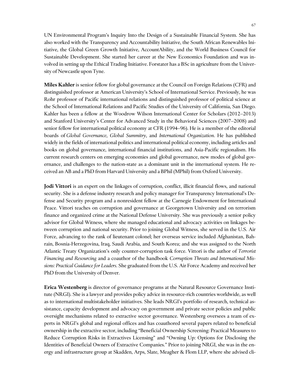UN Environmental Program's Inquiry Into the Design of a Sustainable Financial System. She has also worked with the Transparency and Accountability Initiative, the South African Renewables Initiative, the Global Green Growth Initiative, AccountAbility, and the World Business Council for Sustainable Development. She started her career at the New Economics Foundation and was involved in setting up the Ethical Trading Initiative. Forstater has a BSc in agriculture from the University of Newcastle upon Tyne.

**Miles Kahler** is senior fellow for global governance at the Council on Foreign Relations (CFR) and distinguished professor at American University's School of International Service. Previously, he was Rohr professor of Pacific international relations and distinguished professor of political science at the School of International Relations and Pacific Studies of the University of California, San Diego. Kahler has been a fellow at the Woodrow Wilson International Center for Scholars (2012–2013) and Stanford University's Center for Advanced Study in the Behavioral Sciences (2007–2008) and senior fellow for international political economy at CFR (1994–96). He is a member of the editorial boards of *Global Governance*, *Global Summitry*, and *International Organization*. He has published widely in the fields of international politics and international political economy, including articles and books on global governance, international financial institutions, and Asia-Pacific regionalism. His current research centers on emerging economies and global governance, new modes of global governance, and challenges to the nation-state as a dominant unit in the international system. He received an AB and a PhD from Harvard University and a BPhil (MPhil) from Oxford University.

**Jodi Vittori** is an expert on the linkages of corruption, conflict, illicit financial flows, and national security. She is a defense industry research and policy manager for Transparency International's Defense and Security program and a nonresident fellow at the Carnegie Endowment for International Peace. Vittori teaches on corruption and governance at Georgetown University and on terrorism finance and organized crime at the National Defense University. She was previously a senior policy advisor for Global Witness, where she managed educational and advocacy activities on linkages between corruption and national security. Prior to joining Global Witness, she served in the U.S. Air Force, advancing to the rank of lieutenant colonel; her overseas service included Afghanistan, Bahrain, Bosnia-Herzegovina, Iraq, Saudi Arabia, and South Korea; and she was assigned to the North Atlantic Treaty Organization's only counter-corruption task force. Vittori is the author of *Terrorist Financing and Resourcing* and a coauthor of the handbook *Corruption Threats and International Missions: Practical Guidance for Leaders*. She graduated from the U.S. Air Force Academy and received her PhD from the University of Denver.

**Erica Westenberg** is director of governance programs at the Natural Resource Governance Institute (NRGI). She is a lawyer and provides policy advice in resource-rich countries worldwide, as well as to international multistakeholder initiatives. She leads NRGI's portfolio of research, technical assistance, capacity development and advocacy on government and private sector policies and public oversight mechanisms related to extractive sector governance. Westenberg oversees a team of experts in NRGI's global and regional offices and has coauthored several papers related to beneficial ownership in the extractive sector, including "Beneficial Ownership Screening: Practical Measures to Reduce Corruption Risks in Extractives Licensing" and "Owning Up: Options for Disclosing the Identities of Beneficial Owners of Extractive Companies." Prior to joining NRGI, she was in the energy and infrastructure group at Skadden, Arps, Slate, Meagher & Flom LLP, where she advised cli-